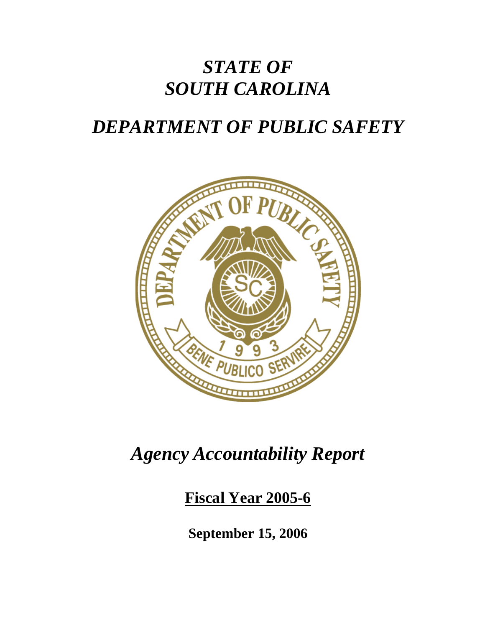# *STATE OF SOUTH CAROLINA*

# *DEPARTMENT OF PUBLIC SAFETY*



# *Agency Accountability Report*

**Fiscal Year 2005-6**

**September 15, 2006**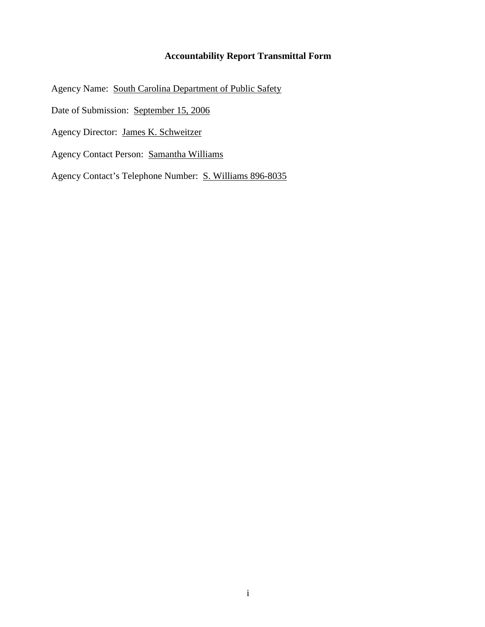#### **Accountability Report Transmittal Form**

Agency Name: South Carolina Department of Public Safety

Date of Submission: September 15, 2006

Agency Director: James K. Schweitzer

Agency Contact Person: Samantha Williams

Agency Contact's Telephone Number: S. Williams 896-8035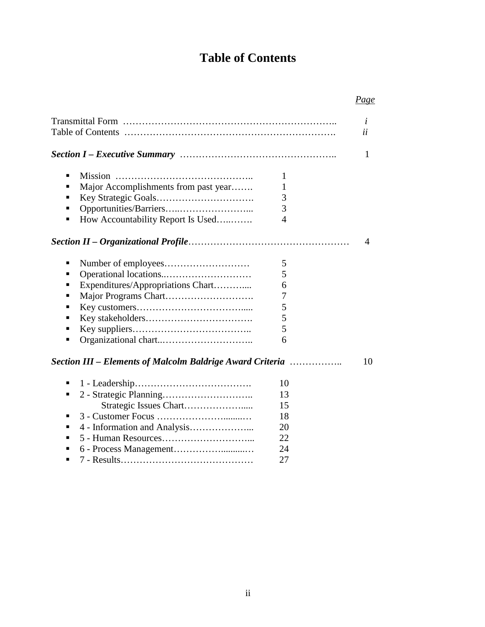# **Table of Contents**

# *Page*

|                                                                                                                                   |                                              | i<br>ii        |
|-----------------------------------------------------------------------------------------------------------------------------------|----------------------------------------------|----------------|
|                                                                                                                                   |                                              | $\mathbf{1}$   |
| $\blacksquare$<br>Major Accomplishments from past year<br>▪<br>п<br>How Accountability Report Is Used<br>п                        | 1<br>1<br>3<br>3<br>$\overline{4}$           |                |
|                                                                                                                                   |                                              | $\overline{4}$ |
| ٠<br>п<br>Expenditures/Appropriations Chart<br>٠<br>▪<br>п<br>п<br>п<br>Section III – Elements of Malcolm Baldrige Award Criteria | 5<br>5<br>6<br>7<br>5<br>5<br>5<br>6         | 10             |
| ■<br>п<br>٠<br>п<br>٠                                                                                                             | 10<br>13<br>15<br>18<br>20<br>22<br>24<br>27 |                |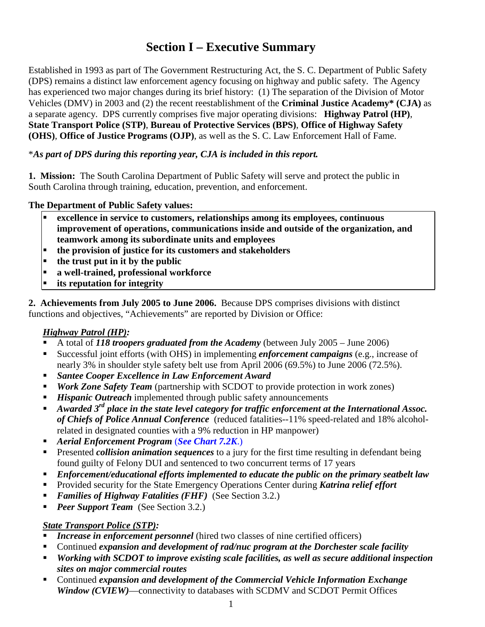# **Section I – Executive Summary**

Established in 1993 as part of The Government Restructuring Act, the S. C. Department of Public Safety (DPS) remains a distinct law enforcement agency focusing on highway and public safety. The Agency has experienced two major changes during its brief history: (1) The separation of the Division of Motor Vehicles (DMV) in 2003 and (2) the recent reestablishment of the **Criminal Justice Academy\* (CJA)** as a separate agency. DPS currently comprises five major operating divisions: **Highway Patrol (HP)**, **State Transport Police (STP)**, **Bureau of Protective Services (BPS)**, **Office of Highway Safety (OHS)**, **Office of Justice Programs (OJP)**, as well as the S. C. Law Enforcement Hall of Fame.

#### \**As part of DPS during this reporting year, CJA is included in this report.*

**1. Mission:** The South Carolina Department of Public Safety will serve and protect the public in South Carolina through training, education, prevention, and enforcement.

#### **The Department of Public Safety values:**

- **excellence in service to customers, relationships among its employees, continuous improvement of operations, communications inside and outside of the organization, and teamwork among its subordinate units and employees**
- **the provision of justice for its customers and stakeholders**
- **the trust put in it by the public**
- **a well-trained, professional workforce**
- **its reputation for integrity**

**2. Achievements from July 2005 to June 2006.** Because DPS comprises divisions with distinct functions and objectives, "Achievements" are reported by Division or Office:

#### *Highway Patrol (HP):*

- A total of *118 troopers graduated from the Academy* (between July 2005 June 2006)
- Successful joint efforts (with OHS) in implementing *enforcement campaigns* (e.g., increase of nearly 3% in shoulder style safety belt use from April 2006 (69.5%) to June 2006 (72.5%).
- *Santee Cooper Excellence in Law Enforcement Award*
- *Work Zone Safety Team* (partnership with SCDOT to provide protection in work zones)
- *Hispanic Outreach* implemented through public safety announcements
- *Awarded 3rd place in the state level category for traffic enforcement at the International Assoc. of Chiefs of Police Annual Conference* (reduced fatalities--11% speed-related and 18% alcoholrelated in designated counties with a 9% reduction in HP manpower)
- *Aerial Enforcement Program* (*See Chart 7.2K*.)
- Presented *collision animation sequences* to a jury for the first time resulting in defendant being found guilty of Felony DUI and sentenced to two concurrent terms of 17 years
- *Enforcement/educational efforts implemented to educate the public on the primary seatbelt law*
- Provided security for the State Emergency Operations Center during *Katrina relief effort*
- *Families of Highway Fatalities (FHF)* (See Section 3.2.)
- **Peer Support Team** (See Section 3.2.)

### *State Transport Police (STP):*

- **Increase in enforcement personnel** (hired two classes of nine certified officers)
- Continued *expansion and development of rad/nuc program at the Dorchester scale facility*
- *Working with SCDOT to improve existing scale facilities, as well as secure additional inspection sites on major commercial routes*
- Continued *expansion and development of the Commercial Vehicle Information Exchange Window (CVIEW)*—connectivity to databases with SCDMV and SCDOT Permit Offices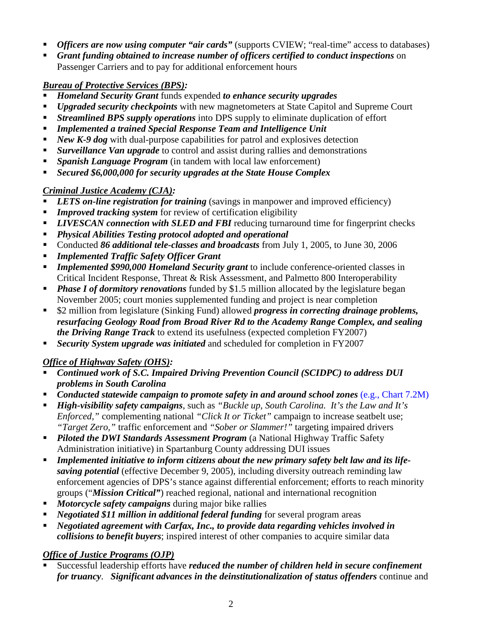- **•** *Officers are now using computer "air cards"* (supports CVIEW; "real-time" access to databases)
- *Grant funding obtained to increase number of officers certified to conduct inspections* on Passenger Carriers and to pay for additional enforcement hours

### *Bureau of Protective Services (BPS):*

- *Homeland Security Grant* funds expended *to enhance security upgrades*
- *Upgraded security checkpoints* with new magnetometers at State Capitol and Supreme Court
- *Streamlined BPS supply operations* into DPS supply to eliminate duplication of effort
- *Implemented a trained Special Response Team and Intelligence Unit*
- **New K-9 dog** with dual-purpose capabilities for patrol and explosives detection
- **Surveillance Van upgrade** to control and assist during rallies and demonstrations
- *Spanish Language Program* (in tandem with local law enforcement)
- *Secured \$6,000,000 for security upgrades at the State House Complex*

## *Criminal Justice Academy (CJA):*

- *LETS on-line registration for training* (savings in manpower and improved efficiency)
- **Improved tracking system** for review of certification eligibility
- **LIVESCAN connection with SLED and FBI** reducing turnaround time for fingerprint checks
- *Physical Abilities Testing protocol adopted and operational*
- Conducted *86 additional tele-classes and broadcasts* from July 1, 2005, to June 30, 2006
- *Implemented Traffic Safety Officer Grant*
- *Implemented \$990,000 Homeland Security grant* to include conference-oriented classes in Critical Incident Response, Threat & Risk Assessment, and Palmetto 800 Interoperability
- **Phase I of dormitory renovations** funded by \$1.5 million allocated by the legislature began November 2005; court monies supplemented funding and project is near completion
- \$2 million from legislature (Sinking Fund) allowed *progress in correcting drainage problems, resurfacing Geology Road from Broad River Rd to the Academy Range Complex, and sealing the Driving Range Track* to extend its usefulness (expected completion FY2007)
- *Security System upgrade was initiated* and scheduled for completion in FY2007

## *Office of Highway Safety (OHS):*

- *Continued work of S.C. Impaired Driving Prevention Council (SCIDPC) to address DUI problems in South Carolina*
- *Conducted statewide campaign to promote safety in and around school zones* (e.g., Chart 7.2M)
- *High-visibility safety campaigns*, such as *"Buckle up, South Carolina. It's the Law and It's Enforced,"* complementing national *"Click It or Ticket"* campaign to increase seatbelt use; *"Target Zero,"* traffic enforcement and *"Sober or Slammer!"* targeting impaired drivers
- *Piloted the DWI Standards Assessment Program* (a National Highway Traffic Safety Administration initiative) in Spartanburg County addressing DUI issues
- *Implemented initiative to inform citizens about the new primary safety belt law and its lifesaving potential* (effective December 9, 2005), including diversity outreach reminding law enforcement agencies of DPS's stance against differential enforcement; efforts to reach minority groups ("*Mission Critical"*) reached regional, national and international recognition
- *Motorcycle safety campaigns* during major bike rallies
- *Negotiated \$11 million in additional federal funding* for several program areas
- *Negotiated agreement with Carfax, Inc., to provide data regarding vehicles involved in collisions to benefit buyers*; inspired interest of other companies to acquire similar data

### *Office of Justice Programs (OJP)*

 Successful leadership efforts have *reduced the number of children held in secure confinement for truancy*. *Significant advances in the deinstitutionalization of status offenders* continue and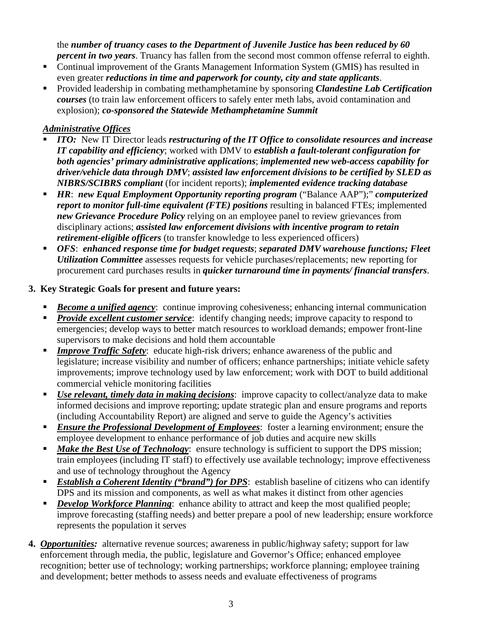the *number of truancy cases to the Department of Juvenile Justice has been reduced by 60 percent in two years*. Truancy has fallen from the second most common offense referral to eighth.

- Continual improvement of the Grants Management Information System (GMIS) has resulted in even greater *reductions in time and paperwork for county, city and state applicants*.
- Provided leadership in combating methamphetamine by sponsoring *Clandestine Lab Certification courses* (to train law enforcement officers to safely enter meth labs, avoid contamination and explosion); *co-sponsored the Statewide Methamphetamine Summit*

#### *Administrative Offices*

- *ITO:* New IT Director leads *restructuring of the IT Office to consolidate resources and increase IT capability and efficiency*; worked with DMV to *establish a fault-tolerant configuration for both agencies' primary administrative applications*; *implemented new web-access capability for driver/vehicle data through DMV*; *assisted law enforcement divisions to be certified by SLED as NIBRS/SCIBRS compliant* (for incident reports); *implemented evidence tracking database*
- *HR*: *new Equal Employment Opportunity reporting program* ("Balance AAP");" *computerized report to monitor full-time equivalent (FTE) positions* resulting in balanced FTEs; implemented *new Grievance Procedure Policy* relying on an employee panel to review grievances from disciplinary actions; *assisted law enforcement divisions with incentive program to retain retirement-eligible officers* (to transfer knowledge to less experienced officers)
- *OFS*: *enhanced response time for budget requests*; *separated DMV warehouse functions; Fleet Utilization Committee* assesses requests for vehicle purchases/replacements; new reporting for procurement card purchases results in *quicker turnaround time in payments/ financial transfers*.

#### **3. Key Strategic Goals for present and future years:**

- **Become a unified agency:** continue improving cohesiveness; enhancing internal communication
- **Provide excellent customer service**: identify changing needs; improve capacity to respond to emergencies; develop ways to better match resources to workload demands; empower front-line supervisors to make decisions and hold them accountable
- **Improve Traffic Safety:** educate high-risk drivers; enhance awareness of the public and legislature; increase visibility and number of officers; enhance partnerships; initiate vehicle safety improvements; improve technology used by law enforcement; work with DOT to build additional commercial vehicle monitoring facilities
- *Use relevant, timely data in making decisions*: improve capacity to collect/analyze data to make informed decisions and improve reporting; update strategic plan and ensure programs and reports (including Accountability Report) are aligned and serve to guide the Agency's activities
- *Ensure the Professional Development of Employees*: foster a learning environment; ensure the employee development to enhance performance of job duties and acquire new skills
- **Make the Best Use of Technology:** ensure technology is sufficient to support the DPS mission; train employees (including IT staff) to effectively use available technology; improve effectiveness and use of technology throughout the Agency
- *Establish a Coherent Identity ("brand") for DPS*: establish baseline of citizens who can identify DPS and its mission and components, as well as what makes it distinct from other agencies
- *Develop Workforce Planning*: enhance ability to attract and keep the most qualified people; improve forecasting (staffing needs) and better prepare a pool of new leadership; ensure workforce represents the population it serves
- **4.** *Opportunities:* alternative revenue sources; awareness in public/highway safety; support for law enforcement through media, the public, legislature and Governor's Office; enhanced employee recognition; better use of technology; working partnerships; workforce planning; employee training and development; better methods to assess needs and evaluate effectiveness of programs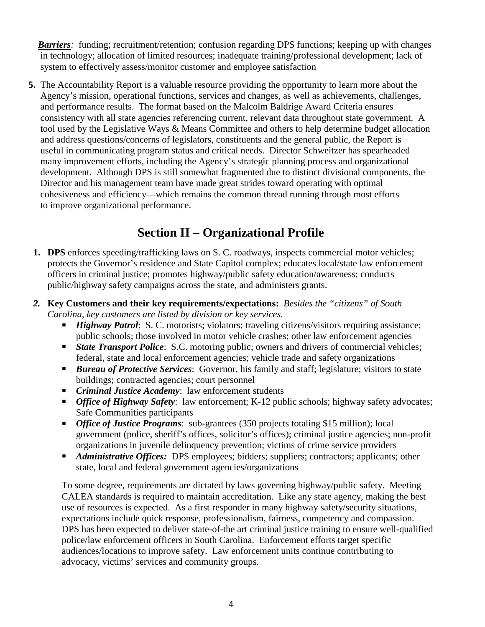*Barriers*: funding; recruitment/retention; confusion regarding DPS functions; keeping up with changes in technology; allocation of limited resources; inadequate training/professional development; lack of system to effectively assess/monitor customer and employee satisfaction

**5.** The Accountability Report is a valuable resource providing the opportunity to learn more about the Agency's mission, operational functions, services and changes, as well as achievements, challenges, and performance results. The format based on the Malcolm Baldrige Award Criteria ensures consistency with all state agencies referencing current, relevant data throughout state government. A tool used by the Legislative Ways & Means Committee and others to help determine budget allocation and address questions/concerns of legislators, constituents and the general public, the Report is useful in communicating program status and critical needs. Director Schweitzer has spearheaded many improvement efforts, including the Agency's strategic planning process and organizational development. Although DPS is still somewhat fragmented due to distinct divisional components, the Director and his management team have made great strides toward operating with optimal cohesiveness and efficiency—which remains the common thread running through most efforts to improve organizational performance.

# **Section II – Organizational Profile**

- **1. DPS** enforces speeding/trafficking laws on S. C. roadways, inspects commercial motor vehicles; protects the Governor's residence and State Capitol complex; educates local/state law enforcement officers in criminal justice; promotes highway/public safety education/awareness; conducts public/highway safety campaigns across the state, and administers grants.
- *2.* **Key Customers and their key requirements/expectations:** *Besides the "citizens" of South*  *Carolina, key customers are listed by division or key services.* 
	- *Highway Patrol*: S. C. motorists; violators; traveling citizens/visitors requiring assistance; public schools; those involved in motor vehicle crashes; other law enforcement agencies
	- **State Transport Police:** S.C. motoring public; owners and drivers of commercial vehicles; federal, state and local enforcement agencies; vehicle trade and safety organizations
	- **Bureau of Protective Services:** Governor, his family and staff; legislature; visitors to state buildings; contracted agencies; court personnel
	- *Criminal Justice Academy*: law enforcement students
	- **•** *Office of Highway Safety*: law enforcement; K-12 public schools; highway safety advocates; Safe Communities participants
	- *Office of Justice Programs*: sub-grantees (350 projects totaling \$15 million); local government (police, sheriff's offices, solicitor's offices); criminal justice agencies; non-profit organizations in juvenile delinquency prevention; victims of crime service providers
	- **Administrative Offices:** DPS employees; bidders; suppliers; contractors; applicants; other state, local and federal government agencies/organizations

To some degree, requirements are dictated by laws governing highway/public safety. Meeting CALEA standards is required to maintain accreditation. Like any state agency, making the best use of resources is expected. As a first responder in many highway safety/security situations, expectations include quick response, professionalism, fairness, competency and compassion. DPS has been expected to deliver state-of-the art criminal justice training to ensure well-qualified police/law enforcement officers in South Carolina. Enforcement efforts target specific audiences/locations to improve safety. Law enforcement units continue contributing to advocacy, victims' services and community groups.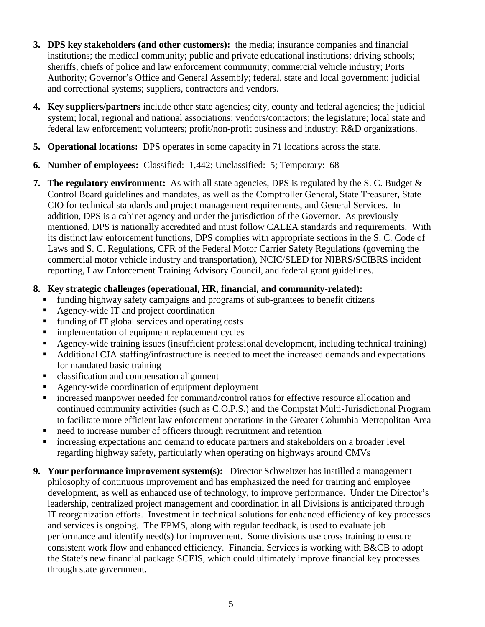- **3. DPS key stakeholders (and other customers):** the media; insurance companies and financial institutions; the medical community; public and private educational institutions; driving schools; sheriffs, chiefs of police and law enforcement community; commercial vehicle industry; Ports Authority; Governor's Office and General Assembly; federal, state and local government; judicial and correctional systems; suppliers, contractors and vendors.
- **4. Key suppliers/partners** include other state agencies; city, county and federal agencies; the judicial system; local, regional and national associations; vendors/contactors; the legislature; local state and federal law enforcement; volunteers; profit/non-profit business and industry; R&D organizations.
- **5. Operational locations:** DPS operates in some capacity in 71 locations across the state.
- **6. Number of employees:** Classified: 1,442; Unclassified: 5; Temporary: 68
- **7. The regulatory environment:** As with all state agencies, DPS is regulated by the S. C. Budget & Control Board guidelines and mandates, as well as the Comptroller General, State Treasurer, State CIO for technical standards and project management requirements, and General Services. In addition, DPS is a cabinet agency and under the jurisdiction of the Governor. As previously mentioned, DPS is nationally accredited and must follow CALEA standards and requirements. With its distinct law enforcement functions, DPS complies with appropriate sections in the S. C. Code of Laws and S. C. Regulations, CFR of the Federal Motor Carrier Safety Regulations (governing the commercial motor vehicle industry and transportation), NCIC/SLED for NIBRS/SCIBRS incident reporting, Law Enforcement Training Advisory Council, and federal grant guidelines.

#### **8. Key strategic challenges (operational, HR, financial, and community-related):**

- funding highway safety campaigns and programs of sub-grantees to benefit citizens
- Agency-wide IT and project coordination
- funding of IT global services and operating costs
- **Indementation of equipment replacement cycles**
- Agency-wide training issues (insufficient professional development, including technical training)
- Additional CJA staffing/infrastructure is needed to meet the increased demands and expectations for mandated basic training
- classification and compensation alignment
- Agency-wide coordination of equipment deployment
- increased manpower needed for command/control ratios for effective resource allocation and continued community activities (such as C.O.P.S.) and the Compstat Multi-Jurisdictional Program to facilitate more efficient law enforcement operations in the Greater Columbia Metropolitan Area
- need to increase number of officers through recruitment and retention
- increasing expectations and demand to educate partners and stakeholders on a broader level regarding highway safety, particularly when operating on highways around CMVs
- **9. Your performance improvement system(s):** Director Schweitzer has instilled a management philosophy of continuous improvement and has emphasized the need for training and employee development, as well as enhanced use of technology, to improve performance. Under the Director's leadership, centralized project management and coordination in all Divisions is anticipated through IT reorganization efforts. Investment in technical solutions for enhanced efficiency of key processes and services is ongoing. The EPMS, along with regular feedback, is used to evaluate job performance and identify need(s) for improvement. Some divisions use cross training to ensure consistent work flow and enhanced efficiency. Financial Services is working with B&CB to adopt the State's new financial package SCEIS, which could ultimately improve financial key processes through state government.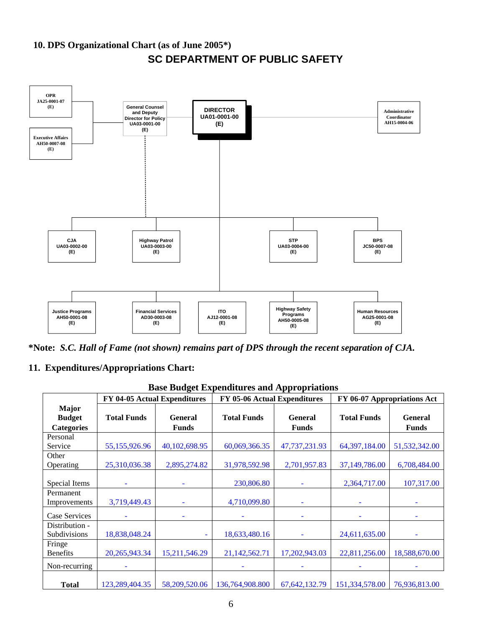



**\*Note:** *S.C. Hall of Fame (not shown) remains part of DPS through the recent separation of CJA.*

#### **11. Expenditures/Appropriations Chart:**

| <b>Base Budget Expenditures and Appropriations</b> |                              |                                |                              |                                |                    |                                |  |  |  |
|----------------------------------------------------|------------------------------|--------------------------------|------------------------------|--------------------------------|--------------------|--------------------------------|--|--|--|
|                                                    | FY 04-05 Actual Expenditures |                                | FY 05-06 Actual Expenditures |                                |                    | FY 06-07 Appropriations Act    |  |  |  |
| <b>Major</b><br><b>Budget</b><br><b>Categories</b> | <b>Total Funds</b>           | <b>General</b><br><b>Funds</b> | <b>Total Funds</b>           | <b>General</b><br><b>Funds</b> | <b>Total Funds</b> | <b>General</b><br><b>Funds</b> |  |  |  |
| Personal<br>Service                                | 55,155,926.96                | 40,102,698.95                  | 60,069,366.35                | 47,737,231.93                  | 64,397,184.00      | 51,532,342.00                  |  |  |  |
| Other<br>Operating                                 | 25,310,036.38                | 2,895,274.82                   | 31,978,592.98                | 2,701,957.83                   | 37,149,786.00      | 6,708,484.00                   |  |  |  |
| Special Items                                      |                              |                                | 230,806.80                   |                                | 2,364,717.00       | 107,317.00                     |  |  |  |
| Permanent<br>Improvements                          | 3,719,449.43                 |                                | 4,710,099.80                 | ٠                              |                    |                                |  |  |  |
| Case Services                                      |                              |                                |                              |                                |                    |                                |  |  |  |
| Distribution -<br>Subdivisions                     | 18,838,048.24                | ٠                              | 18,633,480.16                |                                | 24,611,635.00      |                                |  |  |  |
| Fringe<br><b>Benefits</b>                          | 20, 265, 943. 34             | 15,211,546.29                  | 21,142,562.71                | 17,202,943.03                  | 22,811,256.00      | 18,588,670.00                  |  |  |  |
| Non-recurring                                      |                              |                                |                              |                                |                    |                                |  |  |  |
| <b>Total</b>                                       | 123,289,404.35               | 58,209,520.06                  | 136,764,908.800              | 67, 642, 132. 79               | 151,334,578.00     | 76,936,813.00                  |  |  |  |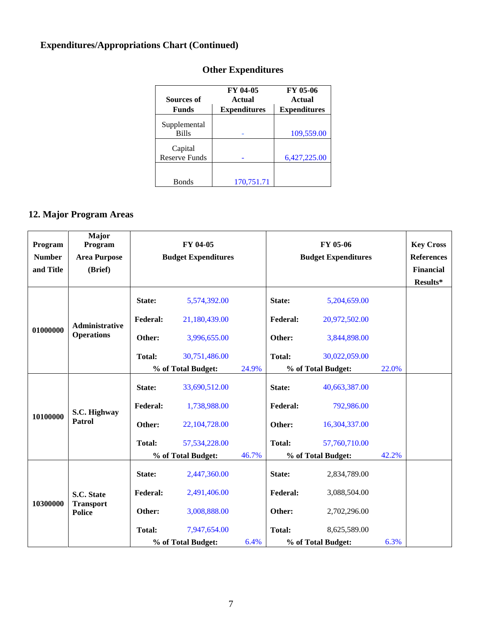# **Expenditures/Appropriations Chart (Continued)**

| Sources of                      | FY 04-05<br>Actual  | FY 05-06<br>Actual  |
|---------------------------------|---------------------|---------------------|
| <b>Funds</b>                    | <b>Expenditures</b> | <b>Expenditures</b> |
| Supplemental<br><b>Bills</b>    |                     | 109,559.00          |
| Capital<br><b>Reserve Funds</b> |                     | 6,427,225.00        |
| <b>Bonds</b>                    | 170,751.71          |                     |

# **Other Expenditures**

# **12. Major Program Areas**

| Program       | Major<br>Program                  | FY 04-05        |                            |       | FY 05-06        |                            |       | <b>Key Cross</b> |
|---------------|-----------------------------------|-----------------|----------------------------|-------|-----------------|----------------------------|-------|------------------|
| <b>Number</b> | <b>Area Purpose</b>               |                 | <b>Budget Expenditures</b> |       |                 | <b>Budget Expenditures</b> |       |                  |
| and Title     | (Brief)                           |                 |                            |       |                 |                            |       | <b>Financial</b> |
|               |                                   |                 |                            |       |                 |                            |       | Results*         |
|               |                                   | State:          | 5,574,392.00               |       | State:          | 5,204,659.00               |       |                  |
|               | <b>Administrative</b>             | <b>Federal:</b> | 21,180,439.00              |       | <b>Federal:</b> | 20,972,502.00              |       |                  |
| 01000000      | <b>Operations</b>                 | Other:          | 3,996,655.00               |       | Other:          | 3,844,898.00               |       |                  |
|               |                                   | <b>Total:</b>   | 30,751,486.00              |       | <b>Total:</b>   | 30,022,059.00              |       |                  |
|               |                                   |                 | % of Total Budget:         | 24.9% |                 | % of Total Budget:         | 22.0% |                  |
|               | S.C. Highway<br>Patrol            | State:          | 33,690,512.00              |       | State:          | 40,663,387.00              |       |                  |
|               |                                   | <b>Federal:</b> | 1,738,988.00               |       | <b>Federal:</b> | 792,986.00                 |       |                  |
| 10100000      |                                   | Other:          | 22,104,728.00              |       | Other:          | 16,304,337.00              |       |                  |
|               |                                   | <b>Total:</b>   | 57,534,228.00              |       | <b>Total:</b>   | 57,760,710.00              |       |                  |
|               |                                   |                 | % of Total Budget:         | 46.7% |                 | % of Total Budget:         | 42.2% |                  |
|               |                                   | State:          | 2,447,360.00               |       | State:          | 2,834,789.00               |       |                  |
|               | S.C. State                        | <b>Federal:</b> | 2,491,406.00               |       | <b>Federal:</b> | 3,088,504.00               |       |                  |
| 10300000      | <b>Transport</b><br><b>Police</b> | Other:          | 3,008,888.00               |       | Other:          | 2,702,296.00               |       |                  |
|               |                                   | <b>Total:</b>   | 7,947,654.00               |       | <b>Total:</b>   | 8,625,589.00               |       |                  |
|               |                                   |                 | % of Total Budget:         | 6.4%  |                 | % of Total Budget:         | 6.3%  |                  |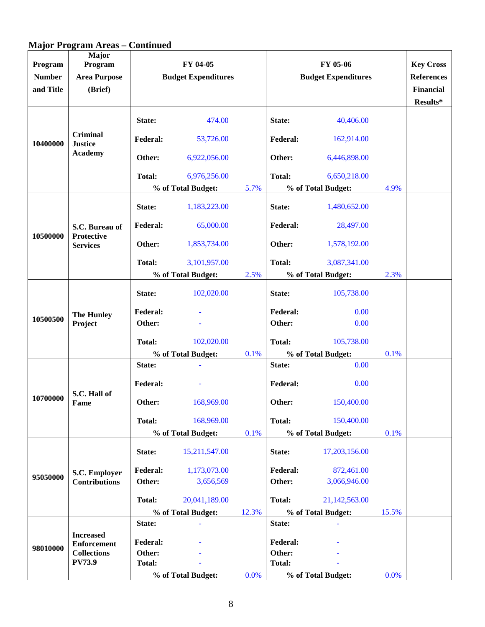# **Major Program Areas – Continued**

| Program<br><b>Number</b><br>and Title | <b>Major</b><br>Program<br><b>Area Purpose</b><br>(Brief) | FY 04-05<br><b>Budget Expenditures</b> |                    |       | FY 05-06<br><b>Budget Expenditures</b> |                    |       | <b>Key Cross</b><br><b>References</b><br><b>Financial</b><br>Results* |
|---------------------------------------|-----------------------------------------------------------|----------------------------------------|--------------------|-------|----------------------------------------|--------------------|-------|-----------------------------------------------------------------------|
|                                       |                                                           | State:                                 | 474.00             |       | State:                                 | 40,406.00          |       |                                                                       |
| 10400000                              | <b>Criminal</b><br><b>Justice</b>                         | <b>Federal:</b>                        | 53,726.00          |       | Federal:                               | 162,914.00         |       |                                                                       |
|                                       | <b>Academy</b>                                            | Other:                                 | 6,922,056.00       |       | Other:                                 | 6,446,898.00       |       |                                                                       |
|                                       |                                                           | <b>Total:</b>                          | 6,976,256.00       |       | <b>Total:</b>                          | 6,650,218.00       |       |                                                                       |
|                                       |                                                           |                                        | % of Total Budget: | 5.7%  |                                        | % of Total Budget: | 4.9%  |                                                                       |
|                                       |                                                           | State:                                 | 1,183,223.00       |       | State:                                 | 1,480,652.00       |       |                                                                       |
|                                       | S.C. Bureau of<br><b>Protective</b>                       | <b>Federal:</b>                        | 65,000.00          |       | <b>Federal:</b>                        | 28,497.00          |       |                                                                       |
| 10500000                              | <b>Services</b>                                           | Other:                                 | 1,853,734.00       |       | Other:                                 | 1,578,192.00       |       |                                                                       |
|                                       |                                                           | <b>Total:</b>                          | 3,101,957.00       |       | <b>Total:</b>                          | 3,087,341.00       |       |                                                                       |
|                                       |                                                           |                                        | % of Total Budget: | 2.5%  |                                        | % of Total Budget: | 2.3%  |                                                                       |
|                                       |                                                           | State:                                 | 102,020.00         |       | State:                                 | 105,738.00         |       |                                                                       |
|                                       | <b>The Hunley</b><br>Project                              | <b>Federal:</b>                        |                    |       | <b>Federal:</b>                        | 0.00               |       |                                                                       |
| 10500500                              |                                                           | Other:                                 |                    |       | Other:                                 | 0.00               |       |                                                                       |
|                                       |                                                           | <b>Total:</b>                          | 102,020.00         |       | <b>Total:</b>                          | 105,738.00         |       |                                                                       |
|                                       |                                                           | % of Total Budget:                     |                    | 0.1%  | % of Total Budget:                     |                    | 0.1%  |                                                                       |
|                                       |                                                           | State:                                 |                    |       | State:                                 | 0.00               |       |                                                                       |
|                                       | S.C. Hall of                                              | <b>Federal:</b>                        |                    |       | Federal:                               | 0.00               |       |                                                                       |
| 10700000                              | Fame                                                      | Other:                                 | 168,969.00         |       | Other:                                 | 150,400.00         |       |                                                                       |
|                                       |                                                           | <b>Total:</b>                          | 168,969.00         |       | <b>Total:</b>                          | 150,400.00         |       |                                                                       |
|                                       |                                                           |                                        | % of Total Budget: | 0.1%  |                                        | % of Total Budget: | 0.1%  |                                                                       |
|                                       |                                                           | State:                                 | 15,211,547.00      |       | State:                                 | 17,203,156.00      |       |                                                                       |
|                                       | S.C. Employer                                             | <b>Federal:</b>                        | 1,173,073.00       |       | <b>Federal:</b>                        | 872,461.00         |       |                                                                       |
| 95050000                              | <b>Contributions</b>                                      | Other:                                 | 3,656,569          |       | Other:                                 | 3,066,946.00       |       |                                                                       |
|                                       |                                                           | Total:                                 | 20,041,189.00      |       | <b>Total:</b>                          | 21,142,563.00      |       |                                                                       |
|                                       |                                                           |                                        | % of Total Budget: | 12.3% |                                        | % of Total Budget: | 15.5% |                                                                       |
|                                       |                                                           | State:                                 |                    |       | State:                                 |                    |       |                                                                       |
|                                       | <b>Increased</b><br><b>Enforcement</b>                    | <b>Federal:</b>                        |                    |       | Federal:                               |                    |       |                                                                       |
| 98010000                              | <b>Collections</b>                                        | Other:                                 |                    |       | Other:                                 |                    |       |                                                                       |
|                                       | <b>PV73.9</b>                                             | <b>Total:</b>                          |                    |       | <b>Total:</b>                          |                    |       |                                                                       |
|                                       |                                                           |                                        | % of Total Budget: | 0.0%  |                                        | % of Total Budget: | 0.0%  |                                                                       |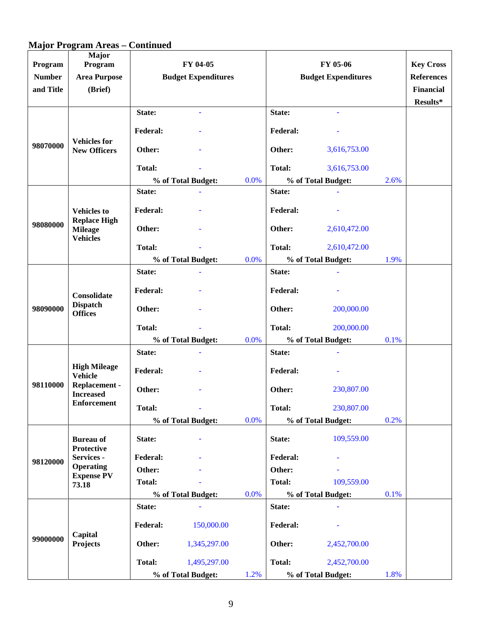# **Major Program Areas – Continued**

| Program<br><b>Number</b><br>and Title | <b>Major</b><br>Program<br><b>Area Purpose</b><br>(Brief) | FY 04-05<br><b>Budget Expenditures</b> |                     | FY 05-06<br><b>Budget Expenditures</b> |                    |                    | <b>Key Cross</b><br><b>References</b><br>Financial<br>Results* |  |
|---------------------------------------|-----------------------------------------------------------|----------------------------------------|---------------------|----------------------------------------|--------------------|--------------------|----------------------------------------------------------------|--|
|                                       |                                                           | State:                                 | $\bar{\phantom{a}}$ |                                        | State:             |                    |                                                                |  |
|                                       |                                                           | <b>Federal:</b>                        |                     |                                        | <b>Federal:</b>    |                    |                                                                |  |
| 98070000                              | <b>Vehicles</b> for<br><b>New Officers</b>                | Other:                                 |                     |                                        | Other:             | 3,616,753.00       |                                                                |  |
|                                       |                                                           | <b>Total:</b>                          |                     |                                        | <b>Total:</b>      | 3,616,753.00       |                                                                |  |
|                                       |                                                           |                                        | % of Total Budget:  | 0.0%                                   |                    | % of Total Budget: | 2.6%                                                           |  |
|                                       |                                                           | State:                                 |                     |                                        | State:             |                    |                                                                |  |
|                                       | <b>Vehicles to</b><br><b>Replace High</b>                 | <b>Federal:</b>                        |                     |                                        | <b>Federal:</b>    |                    |                                                                |  |
| 98080000                              | <b>Mileage</b><br><b>Vehicles</b>                         | Other:                                 |                     |                                        | Other:             | 2,610,472.00       |                                                                |  |
|                                       |                                                           | <b>Total:</b>                          |                     |                                        | <b>Total:</b>      | 2,610,472.00       |                                                                |  |
|                                       |                                                           |                                        | % of Total Budget:  | 0.0%                                   |                    | % of Total Budget: | 1.9%                                                           |  |
|                                       |                                                           | State:                                 |                     |                                        | State:             |                    |                                                                |  |
|                                       | Consolidate<br><b>Dispatch</b><br><b>Offices</b>          | <b>Federal:</b>                        |                     |                                        | <b>Federal:</b>    |                    |                                                                |  |
| 98090000                              |                                                           | Other:                                 |                     |                                        | Other:             | 200,000.00         |                                                                |  |
|                                       |                                                           | <b>Total:</b>                          |                     |                                        | <b>Total:</b>      | 200,000.00         |                                                                |  |
|                                       |                                                           |                                        | % of Total Budget:  | 0.0%                                   |                    | % of Total Budget: | 0.1%                                                           |  |
|                                       |                                                           | State:                                 |                     |                                        | State:             |                    |                                                                |  |
|                                       | <b>High Mileage</b><br><b>Vehicle</b>                     | <b>Federal:</b>                        |                     |                                        | <b>Federal:</b>    |                    |                                                                |  |
| 98110000                              | Replacement -<br><b>Increased</b>                         | Other:                                 |                     |                                        | Other:             | 230,807.00         |                                                                |  |
|                                       | <b>Enforcement</b>                                        | <b>Total:</b>                          |                     |                                        | Total:             | 230,807.00         |                                                                |  |
|                                       |                                                           |                                        | % of Total Budget:  | 0.0%                                   | % of Total Budget: |                    | 0.2%                                                           |  |
|                                       | <b>Bureau of</b><br><b>Protective</b>                     | State:                                 |                     |                                        | State:             | 109,559.00         |                                                                |  |
| 98120000                              | Services -                                                | <b>Federal:</b>                        |                     |                                        | <b>Federal:</b>    |                    |                                                                |  |
|                                       | <b>Operating</b><br><b>Expense PV</b>                     | Other:                                 |                     |                                        | Other:             |                    |                                                                |  |
|                                       | 73.18                                                     | <b>Total:</b>                          |                     |                                        | <b>Total:</b>      | 109,559.00         |                                                                |  |
|                                       |                                                           |                                        | % of Total Budget:  | 0.0%                                   |                    | % of Total Budget: | 0.1%                                                           |  |
|                                       |                                                           | State:                                 |                     |                                        | State:             |                    |                                                                |  |
|                                       | Capital                                                   | <b>Federal:</b>                        | 150,000.00          |                                        | <b>Federal:</b>    |                    |                                                                |  |
| 99000000                              | Projects                                                  | Other:                                 | 1,345,297.00        |                                        | Other:             | 2,452,700.00       |                                                                |  |
|                                       |                                                           | Total:                                 | 1,495,297.00        |                                        | <b>Total:</b>      | 2,452,700.00       |                                                                |  |
|                                       |                                                           |                                        | % of Total Budget:  | 1.2%                                   |                    | % of Total Budget: | 1.8%                                                           |  |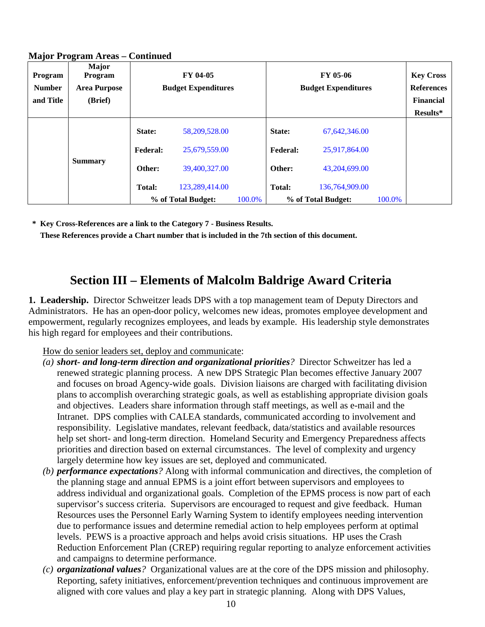| $\cdot$<br>Program<br><b>Number</b><br>and Title | o<br>Major<br>Program<br><b>Area Purpose</b><br>(Brief) | FY 04-05<br><b>Budget Expenditures</b> |                    |        | FY 05-06<br><b>Budget Expenditures</b> |                    |        | <b>Key Cross</b><br><b>References</b><br><b>Financial</b><br>Results* |
|--------------------------------------------------|---------------------------------------------------------|----------------------------------------|--------------------|--------|----------------------------------------|--------------------|--------|-----------------------------------------------------------------------|
|                                                  |                                                         |                                        |                    |        |                                        |                    |        |                                                                       |
|                                                  |                                                         | State:                                 | 58,209,528.00      |        | State:                                 | 67,642,346.00      |        |                                                                       |
|                                                  |                                                         | <b>Federal:</b>                        | 25,679,559.00      |        | <b>Federal:</b>                        | 25,917,864.00      |        |                                                                       |
|                                                  | <b>Summary</b>                                          | Other:                                 | 39,400,327.00      |        | Other:                                 | 43,204,699.00      |        |                                                                       |
|                                                  |                                                         | <b>Total:</b>                          | 123,289,414.00     |        | <b>Total:</b>                          | 136,764,909.00     |        |                                                                       |
|                                                  |                                                         |                                        | % of Total Budget: | 100.0% |                                        | % of Total Budget: | 100.0% |                                                                       |

#### **Major Program Areas – Continued**

**\* Key Cross-References are a link to the Category 7 - Business Results.** 

**These References provide a Chart number that is included in the 7th section of this document.**

# **Section III – Elements of Malcolm Baldrige Award Criteria**

**1. Leadership.** Director Schweitzer leads DPS with a top management team of Deputy Directors and Administrators. He has an open-door policy, welcomes new ideas, promotes employee development and empowerment, regularly recognizes employees, and leads by example. His leadership style demonstrates his high regard for employees and their contributions.

#### How do senior leaders set, deploy and communicate:

- *(a) short- and long-term direction and organizational priorities?* Director Schweitzer has led a renewed strategic planning process. A new DPS Strategic Plan becomes effective January 2007 and focuses on broad Agency-wide goals. Division liaisons are charged with facilitating division plans to accomplish overarching strategic goals, as well as establishing appropriate division goals and objectives. Leaders share information through staff meetings, as well as e-mail and the Intranet. DPS complies with CALEA standards, communicated according to involvement and responsibility. Legislative mandates, relevant feedback, data/statistics and available resources help set short- and long-term direction. Homeland Security and Emergency Preparedness affects priorities and direction based on external circumstances. The level of complexity and urgency largely determine how key issues are set, deployed and communicated.
- *(b) performance expectations?* Along with informal communication and directives, the completion of the planning stage and annual EPMS is a joint effort between supervisors and employees to address individual and organizational goals. Completion of the EPMS process is now part of each supervisor's success criteria. Supervisors are encouraged to request and give feedback. Human Resources uses the Personnel Early Warning System to identify employees needing intervention due to performance issues and determine remedial action to help employees perform at optimal levels. PEWS is a proactive approach and helps avoid crisis situations. HP uses the Crash Reduction Enforcement Plan (CREP) requiring regular reporting to analyze enforcement activities and campaigns to determine performance.
- *(c) organizational values?* Organizational values are at the core of the DPS mission and philosophy. Reporting, safety initiatives, enforcement/prevention techniques and continuous improvement are aligned with core values and play a key part in strategic planning. Along with DPS Values,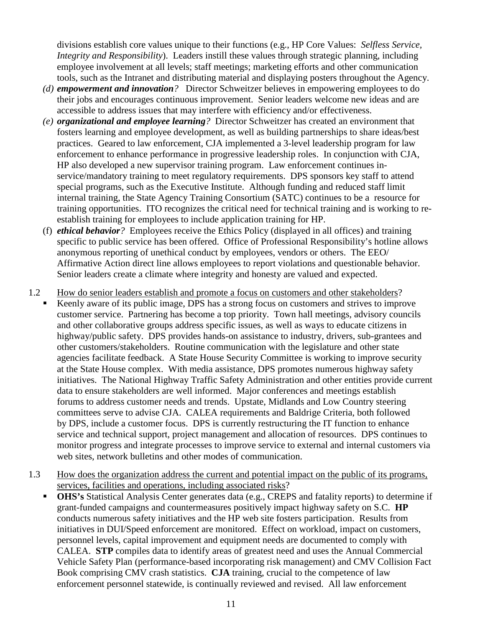divisions establish core values unique to their functions (e.g., HP Core Values: *Selfless Service, Integrity and Responsibility*). Leaders instill these values through strategic planning, including employee involvement at all levels; staff meetings; marketing efforts and other communication tools, such as the Intranet and distributing material and displaying posters throughout the Agency.

- *(d) empowerment and innovation?* Director Schweitzer believes in empowering employees to do their jobs and encourages continuous improvement. Senior leaders welcome new ideas and are accessible to address issues that may interfere with efficiency and/or effectiveness.
- *(e) organizational and employee learning?* Director Schweitzer has created an environment that fosters learning and employee development, as well as building partnerships to share ideas/best practices. Geared to law enforcement, CJA implemented a 3-level leadership program for law enforcement to enhance performance in progressive leadership roles. In conjunction with CJA, HP also developed a new supervisor training program. Law enforcement continues inservice/mandatory training to meet regulatory requirements. DPS sponsors key staff to attend special programs, such as the Executive Institute. Although funding and reduced staff limit internal training, the State Agency Training Consortium (SATC) continues to be a resource for training opportunities. ITO recognizes the critical need for technical training and is working to reestablish training for employees to include application training for HP.
- (f) *ethical behavior?* Employees receive the Ethics Policy (displayed in all offices) and training specific to public service has been offered. Office of Professional Responsibility's hotline allows anonymous reporting of unethical conduct by employees, vendors or others. The EEO/ Affirmative Action direct line allows employees to report violations and questionable behavior. Senior leaders create a climate where integrity and honesty are valued and expected.
- 1.2 How do senior leaders establish and promote a focus on customers and other stakeholders?
	- Keenly aware of its public image, DPS has a strong focus on customers and strives to improve customer service. Partnering has become a top priority. Town hall meetings, advisory councils and other collaborative groups address specific issues, as well as ways to educate citizens in highway/public safety. DPS provides hands-on assistance to industry, drivers, sub-grantees and other customers/stakeholders. Routine communication with the legislature and other state agencies facilitate feedback. A State House Security Committee is working to improve security at the State House complex. With media assistance, DPS promotes numerous highway safety initiatives. The National Highway Traffic Safety Administration and other entities provide current data to ensure stakeholders are well informed. Major conferences and meetings establish forums to address customer needs and trends. Upstate, Midlands and Low Country steering committees serve to advise CJA. CALEA requirements and Baldrige Criteria, both followed by DPS, include a customer focus. DPS is currently restructuring the IT function to enhance service and technical support, project management and allocation of resources. DPS continues to monitor progress and integrate processes to improve service to external and internal customers via web sites, network bulletins and other modes of communication.
- 1.3 How does the organization address the current and potential impact on the public of its programs, services, facilities and operations, including associated risks?
	- **OHS's** Statistical Analysis Center generates data (e.g., CREPS and fatality reports) to determine if grant-funded campaigns and countermeasures positively impact highway safety on S.C. **HP** conducts numerous safety initiatives and the HP web site fosters participation. Results from initiatives in DUI/Speed enforcement are monitored. Effect on workload, impact on customers, personnel levels, capital improvement and equipment needs are documented to comply with CALEA. **STP** compiles data to identify areas of greatest need and uses the Annual Commercial Vehicle Safety Plan (performance-based incorporating risk management) and CMV Collision Fact Book comprising CMV crash statistics. **CJA** training, crucial to the competence of law enforcement personnel statewide, is continually reviewed and revised. All law enforcement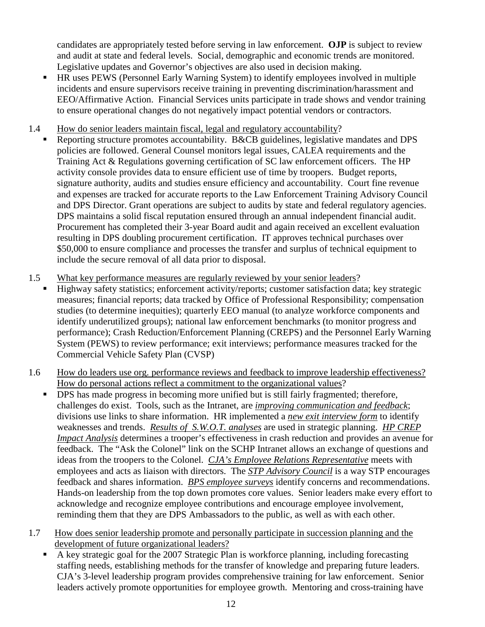candidates are appropriately tested before serving in law enforcement. **OJP** is subject to review and audit at state and federal levels. Social, demographic and economic trends are monitored. Legislative updates and Governor's objectives are also used in decision making.

- HR uses PEWS (Personnel Early Warning System) to identify employees involved in multiple incidents and ensure supervisors receive training in preventing discrimination/harassment and EEO/Affirmative Action. Financial Services units participate in trade shows and vendor training to ensure operational changes do not negatively impact potential vendors or contractors.
- 1.4 How do senior leaders maintain fiscal, legal and regulatory accountability?
	- Reporting structure promotes accountability. B&CB guidelines, legislative mandates and DPS policies are followed. General Counsel monitors legal issues, CALEA requirements and the Training Act & Regulations governing certification of SC law enforcement officers. The HP activity console provides data to ensure efficient use of time by troopers. Budget reports, signature authority, audits and studies ensure efficiency and accountability. Court fine revenue and expenses are tracked for accurate reports to the Law Enforcement Training Advisory Council and DPS Director. Grant operations are subject to audits by state and federal regulatory agencies. DPS maintains a solid fiscal reputation ensured through an annual independent financial audit. Procurement has completed their 3-year Board audit and again received an excellent evaluation resulting in DPS doubling procurement certification. IT approves technical purchases over \$50,000 to ensure compliance and processes the transfer and surplus of technical equipment to include the secure removal of all data prior to disposal.
- 1.5 What key performance measures are regularly reviewed by your senior leaders?
	- Highway safety statistics; enforcement activity/reports; customer satisfaction data; key strategic measures; financial reports; data tracked by Office of Professional Responsibility; compensation studies (to determine inequities); quarterly EEO manual (to analyze workforce components and identify underutilized groups); national law enforcement benchmarks (to monitor progress and performance); Crash Reduction/Enforcement Planning (CREPS) and the Personnel Early Warning System (PEWS) to review performance; exit interviews; performance measures tracked for the Commercial Vehicle Safety Plan (CVSP)
- 1.6 How do leaders use org. performance reviews and feedback to improve leadership effectiveness? How do personal actions reflect a commitment to the organizational values?
	- **DPS** has made progress in becoming more unified but is still fairly fragmented; therefore, challenges do exist. Tools, such as the Intranet, are *improving communication and feedback*; divisions use links to share information. HR implemented a *new exit interview form* to identify weaknesses and trends. *Results of S.W.O.T. analyses* are used in strategic planning. *HP CREP Impact Analysis* determines a trooper's effectiveness in crash reduction and provides an avenue for feedback. The "Ask the Colonel" link on the SCHP Intranet allows an exchange of questions and ideas from the troopers to the Colonel. *CJA's Employee Relations Representative* meets with employees and acts as liaison with directors. The *STP Advisory Council* is a way STP encourages feedback and shares information. *BPS employee surveys* identify concerns and recommendations. Hands-on leadership from the top down promotes core values. Senior leaders make every effort to acknowledge and recognize employee contributions and encourage employee involvement, reminding them that they are DPS Ambassadors to the public, as well as with each other.
- 1.7 How does senior leadership promote and personally participate in succession planning and the development of future organizational leaders?
	- A key strategic goal for the 2007 Strategic Plan is workforce planning, including forecasting staffing needs, establishing methods for the transfer of knowledge and preparing future leaders. CJA's 3-level leadership program provides comprehensive training for law enforcement. Senior leaders actively promote opportunities for employee growth. Mentoring and cross-training have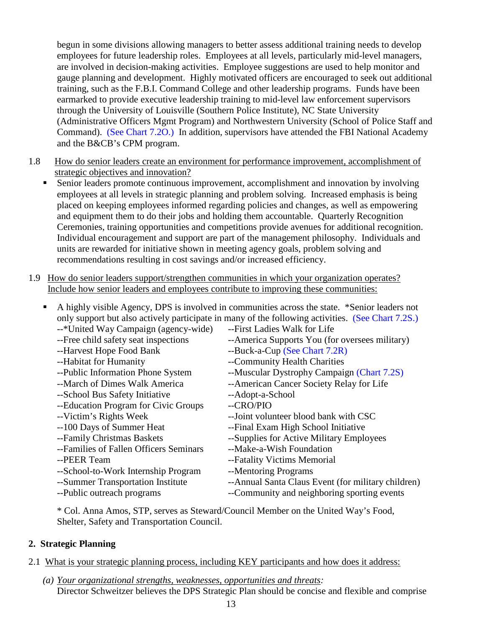begun in some divisions allowing managers to better assess additional training needs to develop employees for future leadership roles. Employees at all levels, particularly mid-level managers, are involved in decision-making activities. Employee suggestions are used to help monitor and gauge planning and development. Highly motivated officers are encouraged to seek out additional training, such as the F.B.I. Command College and other leadership programs. Funds have been earmarked to provide executive leadership training to mid-level law enforcement supervisors through the University of Louisville (Southern Police Institute), NC State University (Administrative Officers Mgmt Program) and Northwestern University (School of Police Staff and Command). (See Chart 7.2O.) In addition, supervisors have attended the FBI National Academy and the B&CB's CPM program.

- 1.8 How do senior leaders create an environment for performance improvement, accomplishment of strategic objectives and innovation?
	- Senior leaders promote continuous improvement, accomplishment and innovation by involving employees at all levels in strategic planning and problem solving. Increased emphasis is being placed on keeping employees informed regarding policies and changes, as well as empowering and equipment them to do their jobs and holding them accountable. Quarterly Recognition Ceremonies, training opportunities and competitions provide avenues for additional recognition. Individual encouragement and support are part of the management philosophy. Individuals and units are rewarded for initiative shown in meeting agency goals, problem solving and recommendations resulting in cost savings and/or increased efficiency.
- 1.9 How do senior leaders support/strengthen communities in which your organization operates? Include how senior leaders and employees contribute to improving these communities:

| ٠ |                                           | A highly visible Agency, DPS is involved in communities across the state. *Senior leaders not     |
|---|-------------------------------------------|---------------------------------------------------------------------------------------------------|
|   |                                           | only support but also actively participate in many of the following activities. (See Chart 7.2S.) |
|   | --*United Way Campaign (agency-wide)      | --First Ladies Walk for Life                                                                      |
|   | --Free child safety seat inspections      | --America Supports You (for oversees military)                                                    |
|   | --Harvest Hope Food Bank                  | --Buck-a-Cup (See Chart 7.2R)                                                                     |
|   | --Habitat for Humanity                    | --Community Health Charities                                                                      |
|   | --Public Information Phone System         | --Muscular Dystrophy Campaign (Chart 7.2S)                                                        |
|   | --March of Dimes Walk America             | --American Cancer Society Relay for Life                                                          |
|   | --School Bus Safety Initiative            | --Adopt-a-School                                                                                  |
|   | --Education Program for Civic Groups      | --CRO/PIO                                                                                         |
|   | --Victim's Rights Week                    | --Joint volunteer blood bank with CSC                                                             |
|   | --100 Days of Summer Heat                 | --Final Exam High School Initiative                                                               |
|   | --Family Christmas Baskets                | --Supplies for Active Military Employees                                                          |
|   | --Families of Fallen Officers Seminars    | --Make-a-Wish Foundation                                                                          |
|   | --PEER Team                               | --Fatality Victims Memorial                                                                       |
|   | --School-to-Work Internship Program       | --Mentoring Programs                                                                              |
|   | --Summer Transportation Institute         | --Annual Santa Claus Event (for military children)                                                |
|   | --Public outreach programs                | --Community and neighboring sporting events                                                       |
|   | $\sim$ $\sim$ $\sim$ $\sim$ $\sim$ $\sim$ | **********************                                                                            |
|   |                                           |                                                                                                   |

\* Col. Anna Amos, STP, serves as Steward/Council Member on the United Way's Food, Shelter, Safety and Transportation Council.

#### **2. Strategic Planning**

- 2.1 What is your strategic planning process, including KEY participants and how does it address:
	- *(a) Your organizational strengths, weaknesses, opportunities and threats:* Director Schweitzer believes the DPS Strategic Plan should be concise and flexible and comprise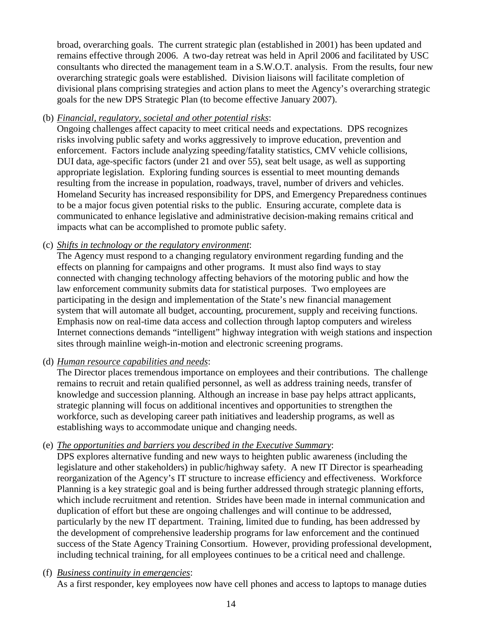broad, overarching goals. The current strategic plan (established in 2001) has been updated and remains effective through 2006. A two-day retreat was held in April 2006 and facilitated by USC consultants who directed the management team in a S.W.O.T. analysis. From the results, four new overarching strategic goals were established. Division liaisons will facilitate completion of divisional plans comprising strategies and action plans to meet the Agency's overarching strategic goals for the new DPS Strategic Plan (to become effective January 2007).

(b) *Financial, regulatory, societal and other potential risks*:

Ongoing challenges affect capacity to meet critical needs and expectations. DPS recognizes risks involving public safety and works aggressively to improve education, prevention and enforcement. Factors include analyzing speeding/fatality statistics, CMV vehicle collisions, DUI data, age-specific factors (under 21 and over 55), seat belt usage, as well as supporting appropriate legislation. Exploring funding sources is essential to meet mounting demands resulting from the increase in population, roadways, travel, number of drivers and vehicles. Homeland Security has increased responsibility for DPS, and Emergency Preparedness continues to be a major focus given potential risks to the public. Ensuring accurate, complete data is communicated to enhance legislative and administrative decision-making remains critical and impacts what can be accomplished to promote public safety.

#### (c) *Shifts in technology or the regulatory environment*:

The Agency must respond to a changing regulatory environment regarding funding and the effects on planning for campaigns and other programs. It must also find ways to stay connected with changing technology affecting behaviors of the motoring public and how the law enforcement community submits data for statistical purposes. Two employees are participating in the design and implementation of the State's new financial management system that will automate all budget, accounting, procurement, supply and receiving functions. Emphasis now on real-time data access and collection through laptop computers and wireless Internet connections demands "intelligent" highway integration with weigh stations and inspection sites through mainline weigh-in-motion and electronic screening programs.

#### (d) *Human resource capabilities and needs*:

The Director places tremendous importance on employees and their contributions. The challenge remains to recruit and retain qualified personnel, as well as address training needs, transfer of knowledge and succession planning. Although an increase in base pay helps attract applicants, strategic planning will focus on additional incentives and opportunities to strengthen the workforce, such as developing career path initiatives and leadership programs, as well as establishing ways to accommodate unique and changing needs.

#### (e) *The opportunities and barriers you described in the Executive Summary*:

DPS explores alternative funding and new ways to heighten public awareness (including the legislature and other stakeholders) in public/highway safety. A new IT Director is spearheading reorganization of the Agency's IT structure to increase efficiency and effectiveness. Workforce Planning is a key strategic goal and is being further addressed through strategic planning efforts, which include recruitment and retention. Strides have been made in internal communication and duplication of effort but these are ongoing challenges and will continue to be addressed, particularly by the new IT department. Training, limited due to funding, has been addressed by the development of comprehensive leadership programs for law enforcement and the continued success of the State Agency Training Consortium. However, providing professional development, including technical training, for all employees continues to be a critical need and challenge.

(f) *Business continuity in emergencies*: As a first responder, key employees now have cell phones and access to laptops to manage duties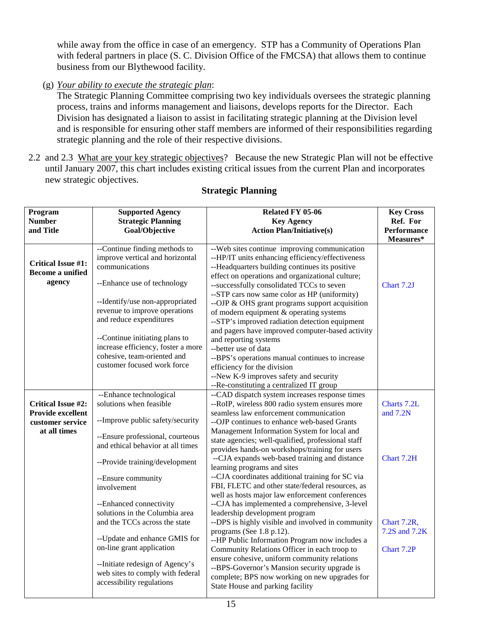while away from the office in case of an emergency. STP has a Community of Operations Plan with federal partners in place (S. C. Division Office of the FMCSA) that allows them to continue business from our Blythewood facility.

(g) *Your ability to execute the strategic plan*:

The Strategic Planning Committee comprising two key individuals oversees the strategic planning process, trains and informs management and liaisons, develops reports for the Director. Each Division has designated a liaison to assist in facilitating strategic planning at the Division level and is responsible for ensuring other staff members are informed of their responsibilities regarding strategic planning and the role of their respective divisions.

2.2 and 2.3 What are your key strategic objectives? Because the new Strategic Plan will not be effective until January 2007, this chart includes existing critical issues from the current Plan and incorporates new strategic objectives.

| Program                   | <b>Supported Agency</b>            | Related FY 05-06                                                                                  | <b>Key Cross</b>   |
|---------------------------|------------------------------------|---------------------------------------------------------------------------------------------------|--------------------|
| <b>Number</b>             | <b>Strategic Planning</b>          | <b>Key Agency</b>                                                                                 | Ref. For           |
| and Title                 | Goal/Objective                     | <b>Action Plan/Initiative(s)</b>                                                                  | <b>Performance</b> |
|                           |                                    |                                                                                                   | Measures*          |
|                           | --Continue finding methods to      | -- Web sites continue improving communication                                                     |                    |
|                           | improve vertical and horizontal    | --HP/IT units enhancing efficiency/effectiveness                                                  |                    |
| <b>Critical Issue #1:</b> | communications                     | --Headquarters building continues its positive                                                    |                    |
| <b>Become a unified</b>   |                                    | effect on operations and organizational culture;                                                  |                    |
| agency                    | --Enhance use of technology        | --successfully consolidated TCCs to seven                                                         | Chart 7.2J         |
|                           |                                    | --STP cars now same color as HP (uniformity)                                                      |                    |
|                           | --Identify/use non-appropriated    | --OJP & OHS grant programs support acquisition                                                    |                    |
|                           | revenue to improve operations      | of modern equipment & operating systems                                                           |                    |
|                           | and reduce expenditures            | --STP's improved radiation detection equipment                                                    |                    |
|                           |                                    | and pagers have improved computer-based activity                                                  |                    |
|                           | --Continue initiating plans to     | and reporting systems                                                                             |                    |
|                           | increase efficiency, foster a more | --better use of data                                                                              |                    |
|                           | cohesive, team-oriented and        | --BPS's operations manual continues to increase                                                   |                    |
|                           | customer focused work force        | efficiency for the division                                                                       |                    |
|                           |                                    | --New K-9 improves safety and security                                                            |                    |
|                           |                                    | --Re-constituting a centralized IT group                                                          |                    |
|                           | --Enhance technological            | --CAD dispatch system increases response times                                                    |                    |
| <b>Critical Issue #2:</b> | solutions when feasible            | --RoIP, wireless 800 radio system ensures more                                                    | Charts 7.2L        |
| Provide excellent         |                                    | seamless law enforcement communication                                                            | and 7.2N           |
| customer service          | --Improve public safety/security   | --OJP continues to enhance web-based Grants                                                       |                    |
| at all times              | --Ensure professional, courteous   | Management Information System for local and                                                       |                    |
|                           | and ethical behavior at all times  | state agencies; well-qualified, professional staff                                                |                    |
|                           |                                    | provides hands-on workshops/training for users                                                    |                    |
|                           | --Provide training/development     | --CJA expands web-based training and distance                                                     | Chart 7.2H         |
|                           |                                    | learning programs and sites                                                                       |                    |
|                           | --Ensure community                 | --CJA coordinates additional training for SC via                                                  |                    |
|                           | involvement                        | FBI, FLETC and other state/federal resources, as                                                  |                    |
|                           | --Enhanced connectivity            | well as hosts major law enforcement conferences<br>--CJA has implemented a comprehensive, 3-level |                    |
|                           | solutions in the Columbia area     | leadership development program                                                                    |                    |
|                           | and the TCCs across the state      | --DPS is highly visible and involved in community                                                 | Chart 7.2R,        |
|                           |                                    | programs (See 1.8 p.12).                                                                          | 7.2S and 7.2K      |
|                           | -- Update and enhance GMIS for     | --HP Public Information Program now includes a                                                    |                    |
|                           | on-line grant application          | Community Relations Officer in each troop to                                                      | Chart 7.2P         |
|                           |                                    | ensure cohesive, uniform community relations                                                      |                    |
|                           | --Initiate redesign of Agency's    | --BPS-Governor's Mansion security upgrade is                                                      |                    |
|                           | web sites to comply with federal   | complete; BPS now working on new upgrades for                                                     |                    |
|                           | accessibility regulations          | State House and parking facility                                                                  |                    |
|                           |                                    |                                                                                                   |                    |

#### **Strategic Planning**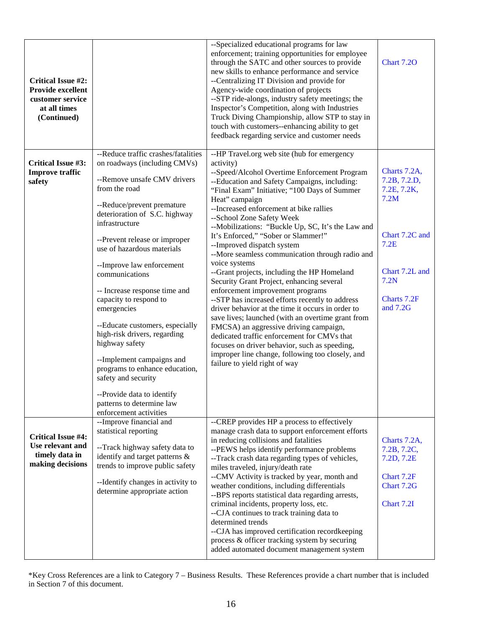| <b>Critical Issue #2:</b><br>Provide excellent<br>customer service<br>at all times<br>(Continued) |                                                                                                                                                                                                                                                                                                                                                                                                                                                                                                                                                                                                                                                              | --Specialized educational programs for law<br>enforcement; training opportunities for employee<br>through the SATC and other sources to provide<br>new skills to enhance performance and service<br>--Centralizing IT Division and provide for<br>Agency-wide coordination of projects<br>--STP ride-alongs, industry safety meetings; the<br>Inspector's Competition, along with Industries<br>Truck Diving Championship, allow STP to stay in<br>touch with customers--enhancing ability to get<br>feedback regarding service and customer needs                                                                                                                                                                                                                                                                                                                                                                                                                                                                           | Chart 7.2O                                                                                                                         |
|---------------------------------------------------------------------------------------------------|--------------------------------------------------------------------------------------------------------------------------------------------------------------------------------------------------------------------------------------------------------------------------------------------------------------------------------------------------------------------------------------------------------------------------------------------------------------------------------------------------------------------------------------------------------------------------------------------------------------------------------------------------------------|------------------------------------------------------------------------------------------------------------------------------------------------------------------------------------------------------------------------------------------------------------------------------------------------------------------------------------------------------------------------------------------------------------------------------------------------------------------------------------------------------------------------------------------------------------------------------------------------------------------------------------------------------------------------------------------------------------------------------------------------------------------------------------------------------------------------------------------------------------------------------------------------------------------------------------------------------------------------------------------------------------------------------|------------------------------------------------------------------------------------------------------------------------------------|
| <b>Critical Issue #3:</b><br><b>Improve traffic</b><br>safety                                     | --Reduce traffic crashes/fatalities<br>on roadways (including CMVs)<br>--Remove unsafe CMV drivers<br>from the road<br>--Reduce/prevent premature<br>deterioration of S.C. highway<br>infrastructure<br>--Prevent release or improper<br>use of hazardous materials<br>--Improve law enforcement<br>communications<br>-- Increase response time and<br>capacity to respond to<br>emergencies<br>--Educate customers, especially<br>high-risk drivers, regarding<br>highway safety<br>--Implement campaigns and<br>programs to enhance education,<br>safety and security<br>--Provide data to identify<br>patterns to determine law<br>enforcement activities | --HP Travel.org web site (hub for emergency<br>activity)<br>--Speed/Alcohol Overtime Enforcement Program<br>--Education and Safety Campaigns, including:<br>"Final Exam" Initiative; "100 Days of Summer<br>Heat" campaign<br>--Increased enforcement at bike rallies<br>--School Zone Safety Week<br>--Mobilizations: "Buckle Up, SC, It's the Law and<br>It's Enforced," "Sober or Slammer!"<br>--Improved dispatch system<br>--More seamless communication through radio and<br>voice systems<br>--Grant projects, including the HP Homeland<br>Security Grant Project, enhancing several<br>enforcement improvement programs<br>--STP has increased efforts recently to address<br>driver behavior at the time it occurs in order to<br>save lives; launched (with an overtime grant from<br>FMCSA) an aggressive driving campaign,<br>dedicated traffic enforcement for CMVs that<br>focuses on driver behavior, such as speeding,<br>improper line change, following too closely, and<br>failure to yield right of way | Charts 7.2A,<br>7.2B, 7.2.D,<br>7.2E, 7.2K,<br>7.2M<br>Chart 7.2C and<br>7.2E<br>Chart 7.2L and<br>7.2N<br>Charts 7.2F<br>and 7.2G |
| <b>Critical Issue #4:</b><br>Use relevant and<br>timely data in<br>making decisions               | --Improve financial and<br>statistical reporting<br>--Track highway safety data to<br>identify and target patterns &<br>trends to improve public safety<br>--Identify changes in activity to<br>determine appropriate action                                                                                                                                                                                                                                                                                                                                                                                                                                 | --CREP provides HP a process to effectively<br>manage crash data to support enforcement efforts<br>in reducing collisions and fatalities<br>--PEWS helps identify performance problems<br>--Track crash data regarding types of vehicles,<br>miles traveled, injury/death rate<br>--CMV Activity is tracked by year, month and<br>weather conditions, including differentials<br>--BPS reports statistical data regarding arrests,<br>criminal incidents, property loss, etc.<br>--CJA continues to track training data to<br>determined trends<br>--CJA has improved certification recordkeeping<br>process & officer tracking system by securing<br>added automated document management system                                                                                                                                                                                                                                                                                                                             | Charts 7.2A,<br>7.2B, 7.2C,<br>7.2D, 7.2E<br>Chart 7.2F<br>Chart 7.2G<br>Chart 7.2I                                                |

\*Key Cross References are a link to Category 7 – Business Results. These References provide a chart number that is included in Section 7 of this document.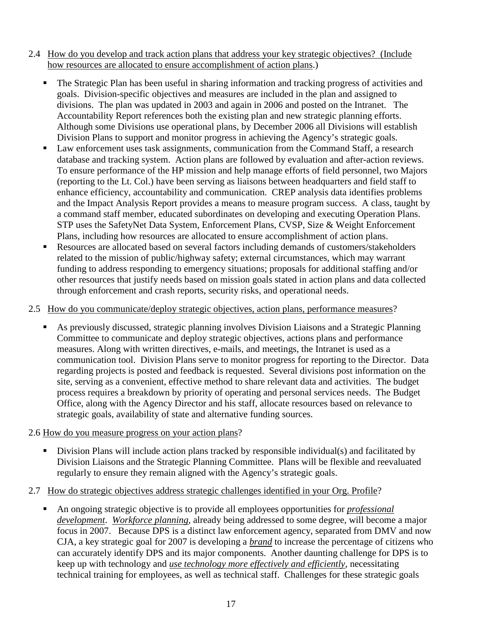- 2.4 How do you develop and track action plans that address your key strategic objectives? (Include how resources are allocated to ensure accomplishment of action plans.)
	- The Strategic Plan has been useful in sharing information and tracking progress of activities and goals. Division-specific objectives and measures are included in the plan and assigned to divisions. The plan was updated in 2003 and again in 2006 and posted on the Intranet. The Accountability Report references both the existing plan and new strategic planning efforts. Although some Divisions use operational plans, by December 2006 all Divisions will establish Division Plans to support and monitor progress in achieving the Agency's strategic goals.
	- Law enforcement uses task assignments, communication from the Command Staff, a research database and tracking system. Action plans are followed by evaluation and after-action reviews. To ensure performance of the HP mission and help manage efforts of field personnel, two Majors (reporting to the Lt. Col.) have been serving as liaisons between headquarters and field staff to enhance efficiency, accountability and communication. CREP analysis data identifies problems and the Impact Analysis Report provides a means to measure program success. A class, taught by a command staff member, educated subordinates on developing and executing Operation Plans. STP uses the SafetyNet Data System, Enforcement Plans, CVSP, Size & Weight Enforcement Plans, including how resources are allocated to ensure accomplishment of action plans.
	- Resources are allocated based on several factors including demands of customers/stakeholders related to the mission of public/highway safety; external circumstances, which may warrant funding to address responding to emergency situations; proposals for additional staffing and/or other resources that justify needs based on mission goals stated in action plans and data collected through enforcement and crash reports, security risks, and operational needs.

#### 2.5 How do you communicate/deploy strategic objectives, action plans, performance measures?

 As previously discussed, strategic planning involves Division Liaisons and a Strategic Planning Committee to communicate and deploy strategic objectives, actions plans and performance measures. Along with written directives, e-mails, and meetings, the Intranet is used as a communication tool. Division Plans serve to monitor progress for reporting to the Director. Data regarding projects is posted and feedback is requested. Several divisions post information on the site, serving as a convenient, effective method to share relevant data and activities. The budget process requires a breakdown by priority of operating and personal services needs. The Budget Office, along with the Agency Director and his staff, allocate resources based on relevance to strategic goals, availability of state and alternative funding sources.

#### 2.6 How do you measure progress on your action plans?

Division Plans will include action plans tracked by responsible individual(s) and facilitated by Division Liaisons and the Strategic Planning Committee. Plans will be flexible and reevaluated regularly to ensure they remain aligned with the Agency's strategic goals.

#### 2.7 How do strategic objectives address strategic challenges identified in your Org. Profile?

 An ongoing strategic objective is to provide all employees opportunities for *professional development*. *Workforce planning*, already being addressed to some degree, will become a major focus in 2007. Because DPS is a distinct law enforcement agency, separated from DMV and now CJA, a key strategic goal for 2007 is developing a *brand* to increase the percentage of citizens who can accurately identify DPS and its major components. Another daunting challenge for DPS is to keep up with technology and *use technology more effectively and efficiently*, necessitating technical training for employees, as well as technical staff. Challenges for these strategic goals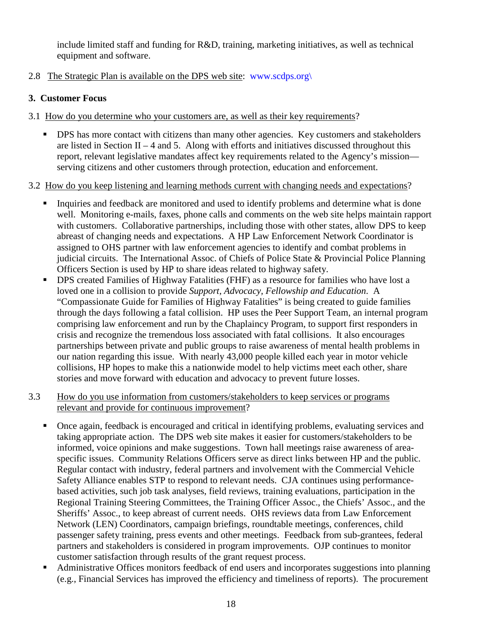include limited staff and funding for R&D, training, marketing initiatives, as well as technical equipment and software.

2.8 The Strategic Plan is available on the DPS web site: www.scdps.org\

#### **3. Customer Focus**

- 3.1 How do you determine who your customers are, as well as their key requirements?
	- DPS has more contact with citizens than many other agencies. Key customers and stakeholders are listed in Section II – 4 and 5. Along with efforts and initiatives discussed throughout this report, relevant legislative mandates affect key requirements related to the Agency's mission serving citizens and other customers through protection, education and enforcement.

#### 3.2 How do you keep listening and learning methods current with changing needs and expectations?

- Inquiries and feedback are monitored and used to identify problems and determine what is done well. Monitoring e-mails, faxes, phone calls and comments on the web site helps maintain rapport with customers. Collaborative partnerships, including those with other states, allow DPS to keep abreast of changing needs and expectations. A HP Law Enforcement Network Coordinator is assigned to OHS partner with law enforcement agencies to identify and combat problems in judicial circuits. The International Assoc. of Chiefs of Police State & Provincial Police Planning Officers Section is used by HP to share ideas related to highway safety.
- **DPS** created Families of Highway Fatalities (FHF) as a resource for families who have lost a loved one in a collision to provide *Support, Advocacy, Fellowship and Education*. A "Compassionate Guide for Families of Highway Fatalities" is being created to guide families through the days following a fatal collision. HP uses the Peer Support Team, an internal program comprising law enforcement and run by the Chaplaincy Program, to support first responders in crisis and recognize the tremendous loss associated with fatal collisions. It also encourages partnerships between private and public groups to raise awareness of mental health problems in our nation regarding this issue. With nearly 43,000 people killed each year in motor vehicle collisions, HP hopes to make this a nationwide model to help victims meet each other, share stories and move forward with education and advocacy to prevent future losses.

#### 3.3 How do you use information from customers/stakeholders to keep services or programs relevant and provide for continuous improvement?

- Once again, feedback is encouraged and critical in identifying problems, evaluating services and taking appropriate action. The DPS web site makes it easier for customers/stakeholders to be informed, voice opinions and make suggestions. Town hall meetings raise awareness of areaspecific issues. Community Relations Officers serve as direct links between HP and the public. Regular contact with industry, federal partners and involvement with the Commercial Vehicle Safety Alliance enables STP to respond to relevant needs. CJA continues using performancebased activities, such job task analyses, field reviews, training evaluations, participation in the Regional Training Steering Committees, the Training Officer Assoc., the Chiefs' Assoc., and the Sheriffs' Assoc., to keep abreast of current needs. OHS reviews data from Law Enforcement Network (LEN) Coordinators, campaign briefings, roundtable meetings, conferences, child passenger safety training, press events and other meetings. Feedback from sub-grantees, federal partners and stakeholders is considered in program improvements. OJP continues to monitor customer satisfaction through results of the grant request process.
- Administrative Offices monitors feedback of end users and incorporates suggestions into planning (e.g., Financial Services has improved the efficiency and timeliness of reports). The procurement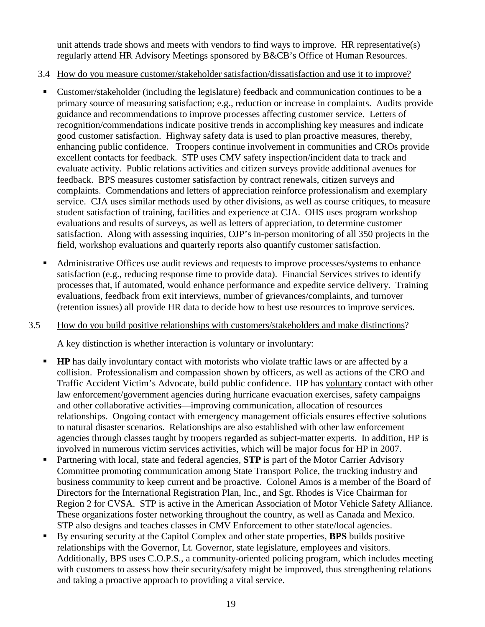unit attends trade shows and meets with vendors to find ways to improve. HR representative(s) regularly attend HR Advisory Meetings sponsored by B&CB's Office of Human Resources.

- 3.4 How do you measure customer/stakeholder satisfaction/dissatisfaction and use it to improve?
	- Customer/stakeholder (including the legislature) feedback and communication continues to be a primary source of measuring satisfaction; e.g., reduction or increase in complaints. Audits provide guidance and recommendations to improve processes affecting customer service. Letters of recognition/commendations indicate positive trends in accomplishing key measures and indicate good customer satisfaction. Highway safety data is used to plan proactive measures, thereby, enhancing public confidence. Troopers continue involvement in communities and CROs provide excellent contacts for feedback. STP uses CMV safety inspection/incident data to track and evaluate activity. Public relations activities and citizen surveys provide additional avenues for feedback. BPS measures customer satisfaction by contract renewals, citizen surveys and complaints. Commendations and letters of appreciation reinforce professionalism and exemplary service. CJA uses similar methods used by other divisions, as well as course critiques, to measure student satisfaction of training, facilities and experience at CJA. OHS uses program workshop evaluations and results of surveys, as well as letters of appreciation, to determine customer satisfaction. Along with assessing inquiries, OJP's in-person monitoring of all 350 projects in the field, workshop evaluations and quarterly reports also quantify customer satisfaction.
	- Administrative Offices use audit reviews and requests to improve processes/systems to enhance satisfaction (e.g., reducing response time to provide data). Financial Services strives to identify processes that, if automated, would enhance performance and expedite service delivery. Training evaluations, feedback from exit interviews, number of grievances/complaints, and turnover (retention issues) all provide HR data to decide how to best use resources to improve services.

#### 3.5 How do you build positive relationships with customers/stakeholders and make distinctions?

A key distinction is whether interaction is voluntary or involuntary:

- **HP** has daily involuntary contact with motorists who violate traffic laws or are affected by a collision. Professionalism and compassion shown by officers, as well as actions of the CRO and Traffic Accident Victim's Advocate, build public confidence. HP has voluntary contact with other law enforcement/government agencies during hurricane evacuation exercises, safety campaigns and other collaborative activities—improving communication, allocation of resources relationships. Ongoing contact with emergency management officials ensures effective solutions to natural disaster scenarios. Relationships are also established with other law enforcement agencies through classes taught by troopers regarded as subject-matter experts. In addition, HP is involved in numerous victim services activities, which will be major focus for HP in 2007.
- Partnering with local, state and federal agencies, **STP** is part of the Motor Carrier Advisory Committee promoting communication among State Transport Police, the trucking industry and business community to keep current and be proactive. Colonel Amos is a member of the Board of Directors for the International Registration Plan, Inc., and Sgt. Rhodes is Vice Chairman for Region 2 for CVSA. STP is active in the American Association of Motor Vehicle Safety Alliance. These organizations foster networking throughout the country, as well as Canada and Mexico. STP also designs and teaches classes in CMV Enforcement to other state/local agencies.
- By ensuring security at the Capitol Complex and other state properties, **BPS** builds positive relationships with the Governor, Lt. Governor, state legislature, employees and visitors. Additionally, BPS uses C.O.P.S., a community-oriented policing program, which includes meeting with customers to assess how their security/safety might be improved, thus strengthening relations and taking a proactive approach to providing a vital service.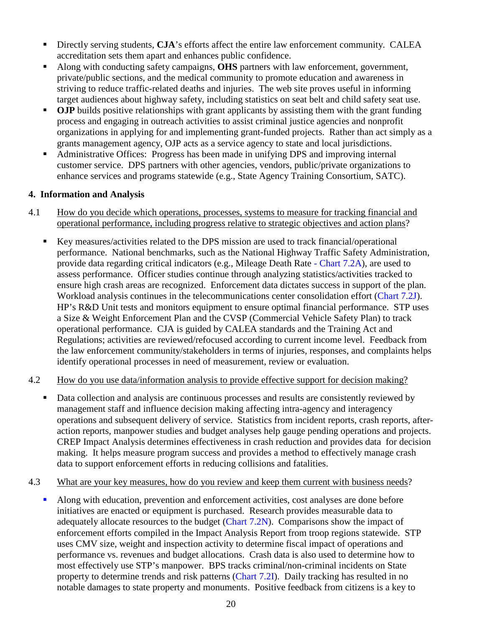- Directly serving students, **CJA**'s efforts affect the entire law enforcement community. CALEA accreditation sets them apart and enhances public confidence.
- Along with conducting safety campaigns, **OHS** partners with law enforcement, government, private/public sections, and the medical community to promote education and awareness in striving to reduce traffic-related deaths and injuries. The web site proves useful in informing target audiences about highway safety, including statistics on seat belt and child safety seat use.
- **OJP** builds positive relationships with grant applicants by assisting them with the grant funding process and engaging in outreach activities to assist criminal justice agencies and nonprofit organizations in applying for and implementing grant-funded projects. Rather than act simply as a grants management agency, OJP acts as a service agency to state and local jurisdictions.
- Administrative Offices: Progress has been made in unifying DPS and improving internal customer service. DPS partners with other agencies, vendors, public/private organizations to enhance services and programs statewide (e.g., State Agency Training Consortium, SATC).

#### **4. Information and Analysis**

- 4.1 How do you decide which operations, processes, systems to measure for tracking financial and operational performance, including progress relative to strategic objectives and action plans?
	- Key measures/activities related to the DPS mission are used to track financial/operational performance. National benchmarks, such as the National Highway Traffic Safety Administration, provide data regarding critical indicators (e.g., Mileage Death Rate - Chart 7.2A), are used to assess performance. Officer studies continue through analyzing statistics/activities tracked to ensure high crash areas are recognized. Enforcement data dictates success in support of the plan. Workload analysis continues in the telecommunications center consolidation effort (Chart 7.2J). HP's R&D Unit tests and monitors equipment to ensure optimal financial performance. STP uses a Size & Weight Enforcement Plan and the CVSP (Commercial Vehicle Safety Plan) to track operational performance. CJA is guided by CALEA standards and the Training Act and Regulations; activities are reviewed/refocused according to current income level. Feedback from the law enforcement community/stakeholders in terms of injuries, responses, and complaints helps identify operational processes in need of measurement, review or evaluation.

#### 4.2 How do you use data/information analysis to provide effective support for decision making?

- Data collection and analysis are continuous processes and results are consistently reviewed by management staff and influence decision making affecting intra-agency and interagency operations and subsequent delivery of service. Statistics from incident reports, crash reports, afteraction reports, manpower studies and budget analyses help gauge pending operations and projects. CREP Impact Analysis determines effectiveness in crash reduction and provides data for decision making. It helps measure program success and provides a method to effectively manage crash data to support enforcement efforts in reducing collisions and fatalities.
- 4.3 What are your key measures, how do you review and keep them current with business needs?
	- Along with education, prevention and enforcement activities, cost analyses are done before initiatives are enacted or equipment is purchased. Research provides measurable data to adequately allocate resources to the budget (Chart 7.2N). Comparisons show the impact of enforcement efforts compiled in the Impact Analysis Report from troop regions statewide. STP uses CMV size, weight and inspection activity to determine fiscal impact of operations and performance vs. revenues and budget allocations. Crash data is also used to determine how to most effectively use STP's manpower. BPS tracks criminal/non-criminal incidents on State property to determine trends and risk patterns (Chart 7.2I). Daily tracking has resulted in no notable damages to state property and monuments. Positive feedback from citizens is a key to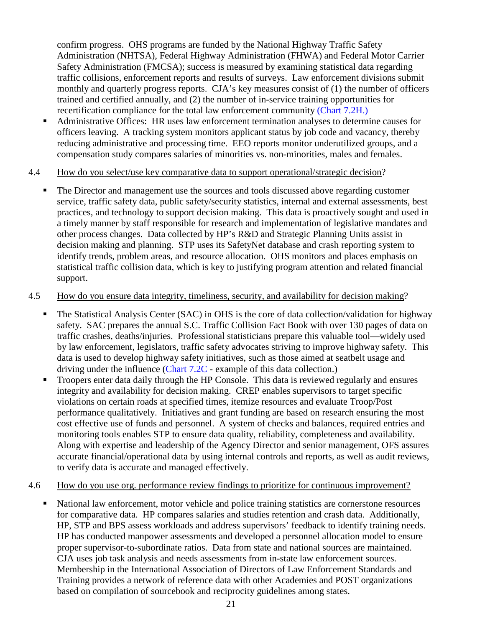confirm progress. OHS programs are funded by the National Highway Traffic Safety Administration (NHTSA), Federal Highway Administration (FHWA) and Federal Motor Carrier Safety Administration (FMCSA); success is measured by examining statistical data regarding traffic collisions, enforcement reports and results of surveys. Law enforcement divisions submit monthly and quarterly progress reports. CJA's key measures consist of (1) the number of officers trained and certified annually, and (2) the number of in-service training opportunities for recertification compliance for the total law enforcement community (Chart 7.2H.)

 Administrative Offices: HR uses law enforcement termination analyses to determine causes for officers leaving. A tracking system monitors applicant status by job code and vacancy, thereby reducing administrative and processing time. EEO reports monitor underutilized groups, and a compensation study compares salaries of minorities vs. non-minorities, males and females.

#### 4.4 How do you select/use key comparative data to support operational/strategic decision?

 The Director and management use the sources and tools discussed above regarding customer service, traffic safety data, public safety/security statistics, internal and external assessments, best practices, and technology to support decision making. This data is proactively sought and used in a timely manner by staff responsible for research and implementation of legislative mandates and other process changes. Data collected by HP's R&D and Strategic Planning Units assist in decision making and planning. STP uses its SafetyNet database and crash reporting system to identify trends, problem areas, and resource allocation. OHS monitors and places emphasis on statistical traffic collision data, which is key to justifying program attention and related financial support.

#### 4.5 How do you ensure data integrity, timeliness, security, and availability for decision making?

- The Statistical Analysis Center (SAC) in OHS is the core of data collection/validation for highway safety. SAC prepares the annual S.C. Traffic Collision Fact Book with over 130 pages of data on traffic crashes, deaths/injuries. Professional statisticians prepare this valuable tool—widely used by law enforcement, legislators, traffic safety advocates striving to improve highway safety. This data is used to develop highway safety initiatives, such as those aimed at seatbelt usage and driving under the influence (Chart 7.2C - example of this data collection.)
- Troopers enter data daily through the HP Console. This data is reviewed regularly and ensures integrity and availability for decision making. CREP enables supervisors to target specific violations on certain roads at specified times, itemize resources and evaluate Troop/Post performance qualitatively. Initiatives and grant funding are based on research ensuring the most cost effective use of funds and personnel. A system of checks and balances, required entries and monitoring tools enables STP to ensure data quality, reliability, completeness and availability. Along with expertise and leadership of the Agency Director and senior management, OFS assures accurate financial/operational data by using internal controls and reports, as well as audit reviews, to verify data is accurate and managed effectively.

#### 4.6 How do you use org. performance review findings to prioritize for continuous improvement?

 National law enforcement, motor vehicle and police training statistics are cornerstone resources for comparative data. HP compares salaries and studies retention and crash data. Additionally, HP, STP and BPS assess workloads and address supervisors' feedback to identify training needs. HP has conducted manpower assessments and developed a personnel allocation model to ensure proper supervisor-to-subordinate ratios. Data from state and national sources are maintained. CJA uses job task analysis and needs assessments from in-state law enforcement sources. Membership in the International Association of Directors of Law Enforcement Standards and Training provides a network of reference data with other Academies and POST organizations based on compilation of sourcebook and reciprocity guidelines among states.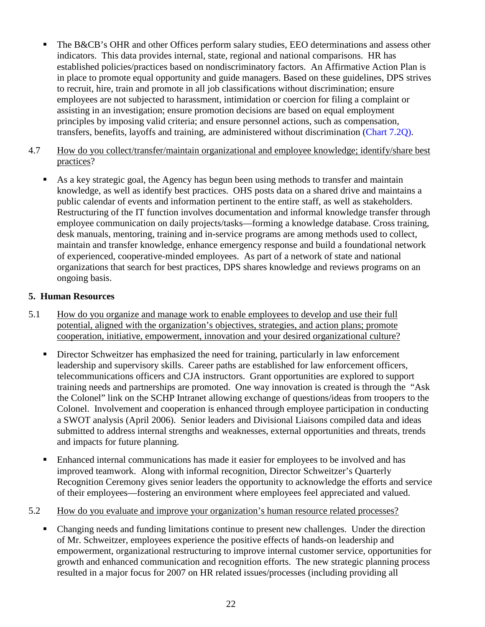- The B&CB's OHR and other Offices perform salary studies, EEO determinations and assess other indicators. This data provides internal, state, regional and national comparisons. HR has established policies/practices based on nondiscriminatory factors. An Affirmative Action Plan is in place to promote equal opportunity and guide managers. Based on these guidelines, DPS strives to recruit, hire, train and promote in all job classifications without discrimination; ensure employees are not subjected to harassment, intimidation or coercion for filing a complaint or assisting in an investigation; ensure promotion decisions are based on equal employment principles by imposing valid criteria; and ensure personnel actions, such as compensation, transfers, benefits, layoffs and training, are administered without discrimination (Chart 7.2Q).
- 4.7 How do you collect/transfer/maintain organizational and employee knowledge; identify/share best practices?
	- As a key strategic goal, the Agency has begun been using methods to transfer and maintain knowledge, as well as identify best practices. OHS posts data on a shared drive and maintains a public calendar of events and information pertinent to the entire staff, as well as stakeholders. Restructuring of the IT function involves documentation and informal knowledge transfer through employee communication on daily projects/tasks—forming a knowledge database. Cross training, desk manuals, mentoring, training and in-service programs are among methods used to collect, maintain and transfer knowledge, enhance emergency response and build a foundational network of experienced, cooperative-minded employees. As part of a network of state and national organizations that search for best practices, DPS shares knowledge and reviews programs on an ongoing basis.

#### **5. Human Resources**

- 5.1 How do you organize and manage work to enable employees to develop and use their full potential, aligned with the organization's objectives, strategies, and action plans; promote cooperation, initiative, empowerment, innovation and your desired organizational culture?
	- Director Schweitzer has emphasized the need for training, particularly in law enforcement leadership and supervisory skills. Career paths are established for law enforcement officers, telecommunications officers and CJA instructors. Grant opportunities are explored to support training needs and partnerships are promoted. One way innovation is created is through the "Ask the Colonel" link on the SCHP Intranet allowing exchange of questions/ideas from troopers to the Colonel. Involvement and cooperation is enhanced through employee participation in conducting a SWOT analysis (April 2006). Senior leaders and Divisional Liaisons compiled data and ideas submitted to address internal strengths and weaknesses, external opportunities and threats, trends and impacts for future planning.
	- Enhanced internal communications has made it easier for employees to be involved and has improved teamwork. Along with informal recognition, Director Schweitzer's Quarterly Recognition Ceremony gives senior leaders the opportunity to acknowledge the efforts and service of their employees—fostering an environment where employees feel appreciated and valued.
- 5.2 How do you evaluate and improve your organization's human resource related processes?
	- Changing needs and funding limitations continue to present new challenges. Under the direction of Mr. Schweitzer, employees experience the positive effects of hands-on leadership and empowerment, organizational restructuring to improve internal customer service, opportunities for growth and enhanced communication and recognition efforts. The new strategic planning process resulted in a major focus for 2007 on HR related issues/processes (including providing all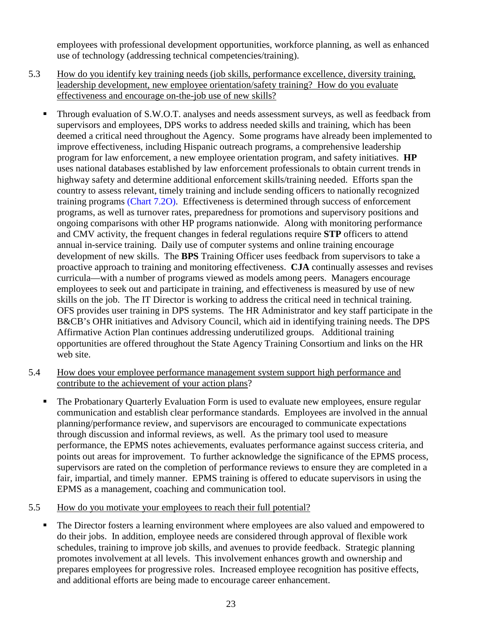employees with professional development opportunities, workforce planning, as well as enhanced use of technology (addressing technical competencies/training).

- 5.3 How do you identify key training needs (job skills, performance excellence, diversity training, leadership development, new employee orientation/safety training? How do you evaluate effectiveness and encourage on-the-job use of new skills?
	- **Through evaluation of S.W.O.T.** analyses and needs assessment surveys, as well as feedback from supervisors and employees, DPS works to address needed skills and training, which has been deemed a critical need throughout the Agency. Some programs have already been implemented to improve effectiveness, including Hispanic outreach programs, a comprehensive leadership program for law enforcement, a new employee orientation program, and safety initiatives. **HP**  uses national databases established by law enforcement professionals to obtain current trends in highway safety and determine additional enforcement skills/training needed. Efforts span the country to assess relevant, timely training and include sending officers to nationally recognized training programs (Chart 7.2O). Effectiveness is determined through success of enforcement programs, as well as turnover rates, preparedness for promotions and supervisory positions and ongoing comparisons with other HP programs nationwide. Along with monitoring performance and CMV activity, the frequent changes in federal regulations require **STP** officers to attend annual in-service training. Daily use of computer systems and online training encourage development of new skills. The **BPS** Training Officer uses feedback from supervisors to take a proactive approach to training and monitoring effectiveness. **CJA** continually assesses and revises curricula—with a number of programs viewed as models among peers. Managers encourage employees to seek out and participate in training, and effectiveness is measured by use of new skills on the job. The IT Director is working to address the critical need in technical training. OFS provides user training in DPS systems. The HR Administrator and key staff participate in the B&CB's OHR initiatives and Advisory Council, which aid in identifying training needs. The DPS Affirmative Action Plan continues addressing underutilized groups. Additional training opportunities are offered throughout the State Agency Training Consortium and links on the HR web site.
- 5.4 How does your employee performance management system support high performance and contribute to the achievement of your action plans?
	- The Probationary Quarterly Evaluation Form is used to evaluate new employees, ensure regular communication and establish clear performance standards. Employees are involved in the annual planning/performance review, and supervisors are encouraged to communicate expectations through discussion and informal reviews, as well. As the primary tool used to measure performance, the EPMS notes achievements, evaluates performance against success criteria, and points out areas for improvement. To further acknowledge the significance of the EPMS process, supervisors are rated on the completion of performance reviews to ensure they are completed in a fair, impartial, and timely manner. EPMS training is offered to educate supervisors in using the EPMS as a management, coaching and communication tool.
- 5.5 How do you motivate your employees to reach their full potential?
	- The Director fosters a learning environment where employees are also valued and empowered to do their jobs. In addition, employee needs are considered through approval of flexible work schedules, training to improve job skills, and avenues to provide feedback. Strategic planning promotes involvement at all levels. This involvement enhances growth and ownership and prepares employees for progressive roles. Increased employee recognition has positive effects, and additional efforts are being made to encourage career enhancement.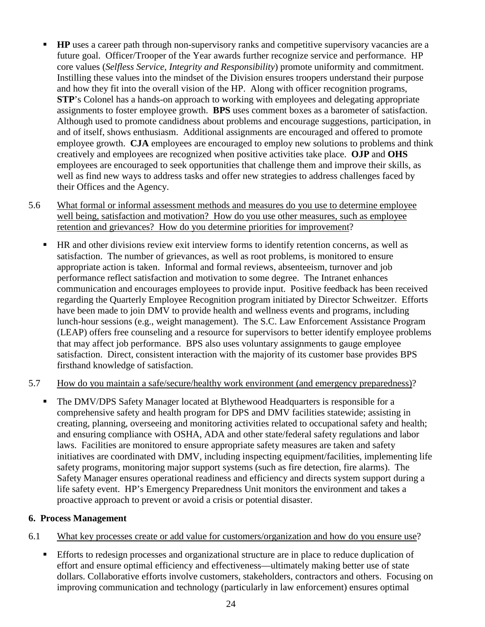- **HP** uses a career path through non-supervisory ranks and competitive supervisory vacancies are a future goal. Officer/Trooper of the Year awards further recognize service and performance. HP core values (*Selfless Service, Integrity and Responsibility*) promote uniformity and commitment. Instilling these values into the mindset of the Division ensures troopers understand their purpose and how they fit into the overall vision of the HP. Along with officer recognition programs, **STP**'s Colonel has a hands-on approach to working with employees and delegating appropriate assignments to foster employee growth. **BPS** uses comment boxes as a barometer of satisfaction. Although used to promote candidness about problems and encourage suggestions, participation, in and of itself, shows enthusiasm. Additional assignments are encouraged and offered to promote employee growth. **CJA** employees are encouraged to employ new solutions to problems and think creatively and employees are recognized when positive activities take place. **OJP** and **OHS**  employees are encouraged to seek opportunities that challenge them and improve their skills, as well as find new ways to address tasks and offer new strategies to address challenges faced by their Offices and the Agency.
- 5.6 What formal or informal assessment methods and measures do you use to determine employee well being, satisfaction and motivation? How do you use other measures, such as employee retention and grievances? How do you determine priorities for improvement?
	- HR and other divisions review exit interview forms to identify retention concerns, as well as satisfaction. The number of grievances, as well as root problems, is monitored to ensure appropriate action is taken. Informal and formal reviews, absenteeism, turnover and job performance reflect satisfaction and motivation to some degree. The Intranet enhances communication and encourages employees to provide input. Positive feedback has been received regarding the Quarterly Employee Recognition program initiated by Director Schweitzer. Efforts have been made to join DMV to provide health and wellness events and programs, including lunch-hour sessions (e.g., weight management). The S.C. Law Enforcement Assistance Program (LEAP) offers free counseling and a resource for supervisors to better identify employee problems that may affect job performance. BPS also uses voluntary assignments to gauge employee satisfaction. Direct, consistent interaction with the majority of its customer base provides BPS firsthand knowledge of satisfaction.

#### 5.7 How do you maintain a safe/secure/healthy work environment (and emergency preparedness)?

 The DMV/DPS Safety Manager located at Blythewood Headquarters is responsible for a comprehensive safety and health program for DPS and DMV facilities statewide; assisting in creating, planning, overseeing and monitoring activities related to occupational safety and health; and ensuring compliance with OSHA, ADA and other state/federal safety regulations and labor laws. Facilities are monitored to ensure appropriate safety measures are taken and safety initiatives are coordinated with DMV, including inspecting equipment/facilities, implementing life safety programs, monitoring major support systems (such as fire detection, fire alarms). The Safety Manager ensures operational readiness and efficiency and directs system support during a life safety event. HP's Emergency Preparedness Unit monitors the environment and takes a proactive approach to prevent or avoid a crisis or potential disaster.

#### **6. Process Management**

- 6.1 What key processes create or add value for customers/organization and how do you ensure use?
	- Efforts to redesign processes and organizational structure are in place to reduce duplication of effort and ensure optimal efficiency and effectiveness—ultimately making better use of state dollars. Collaborative efforts involve customers, stakeholders, contractors and others. Focusing on improving communication and technology (particularly in law enforcement) ensures optimal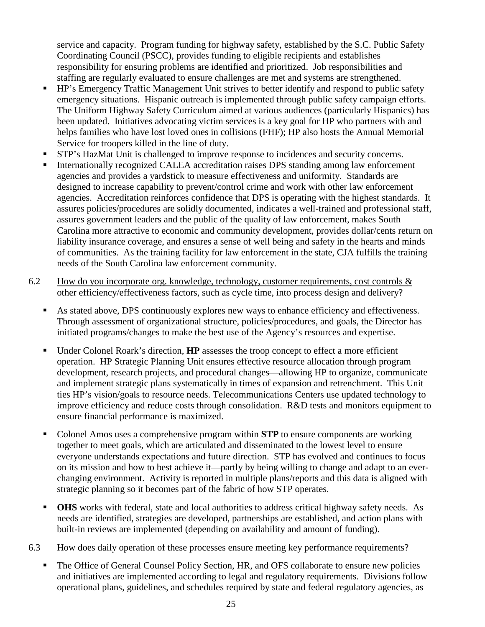service and capacity. Program funding for highway safety, established by the S.C. Public Safety Coordinating Council (PSCC), provides funding to eligible recipients and establishes responsibility for ensuring problems are identified and prioritized. Job responsibilities and staffing are regularly evaluated to ensure challenges are met and systems are strengthened.

- HP's Emergency Traffic Management Unit strives to better identify and respond to public safety emergency situations. Hispanic outreach is implemented through public safety campaign efforts. The Uniform Highway Safety Curriculum aimed at various audiences (particularly Hispanics) has been updated. Initiatives advocating victim services is a key goal for HP who partners with and helps families who have lost loved ones in collisions (FHF); HP also hosts the Annual Memorial Service for troopers killed in the line of duty.
- STP's HazMat Unit is challenged to improve response to incidences and security concerns.
- Internationally recognized CALEA accreditation raises DPS standing among law enforcement agencies and provides a yardstick to measure effectiveness and uniformity. Standards are designed to increase capability to prevent/control crime and work with other law enforcement agencies. Accreditation reinforces confidence that DPS is operating with the highest standards. It assures policies/procedures are solidly documented, indicates a well-trained and professional staff, assures government leaders and the public of the quality of law enforcement, makes South Carolina more attractive to economic and community development, provides dollar/cents return on liability insurance coverage, and ensures a sense of well being and safety in the hearts and minds of communities. As the training facility for law enforcement in the state, CJA fulfills the training needs of the South Carolina law enforcement community.
- 6.2 How do you incorporate org. knowledge, technology, customer requirements, cost controls  $\&$ other efficiency/effectiveness factors, such as cycle time, into process design and delivery?
	- As stated above, DPS continuously explores new ways to enhance efficiency and effectiveness. Through assessment of organizational structure, policies/procedures, and goals, the Director has initiated programs/changes to make the best use of the Agency's resources and expertise.
	- Under Colonel Roark's direction, **HP** assesses the troop concept to effect a more efficient operation. HP Strategic Planning Unit ensures effective resource allocation through program development, research projects, and procedural changes—allowing HP to organize, communicate and implement strategic plans systematically in times of expansion and retrenchment. This Unit ties HP's vision/goals to resource needs. Telecommunications Centers use updated technology to improve efficiency and reduce costs through consolidation. R&D tests and monitors equipment to ensure financial performance is maximized.
	- Colonel Amos uses a comprehensive program within **STP** to ensure components are working together to meet goals, which are articulated and disseminated to the lowest level to ensure everyone understands expectations and future direction. STP has evolved and continues to focus on its mission and how to best achieve it—partly by being willing to change and adapt to an everchanging environment. Activity is reported in multiple plans/reports and this data is aligned with strategic planning so it becomes part of the fabric of how STP operates.
	- **OHS** works with federal, state and local authorities to address critical highway safety needs. As needs are identified, strategies are developed, partnerships are established, and action plans with built-in reviews are implemented (depending on availability and amount of funding).
- 6.3 How does daily operation of these processes ensure meeting key performance requirements?
	- The Office of General Counsel Policy Section, HR, and OFS collaborate to ensure new policies and initiatives are implemented according to legal and regulatory requirements. Divisions follow operational plans, guidelines, and schedules required by state and federal regulatory agencies, as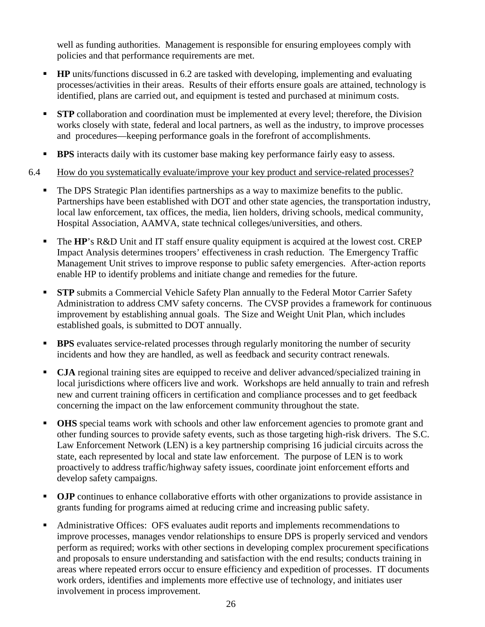well as funding authorities. Management is responsible for ensuring employees comply with policies and that performance requirements are met.

- **HP** units/functions discussed in 6.2 are tasked with developing, implementing and evaluating processes/activities in their areas. Results of their efforts ensure goals are attained, technology is identified, plans are carried out, and equipment is tested and purchased at minimum costs.
- **STP** collaboration and coordination must be implemented at every level; therefore, the Division works closely with state, federal and local partners, as well as the industry, to improve processes and procedures—keeping performance goals in the forefront of accomplishments.
- **BPS** interacts daily with its customer base making key performance fairly easy to assess.

#### 6.4 How do you systematically evaluate/improve your key product and service-related processes?

- The DPS Strategic Plan identifies partnerships as a way to maximize benefits to the public. Partnerships have been established with DOT and other state agencies, the transportation industry, local law enforcement, tax offices, the media, lien holders, driving schools, medical community, Hospital Association, AAMVA, state technical colleges/universities, and others.
- **The HP**'s R&D Unit and IT staff ensure quality equipment is acquired at the lowest cost. CREP Impact Analysis determines troopers' effectiveness in crash reduction. The Emergency Traffic Management Unit strives to improve response to public safety emergencies. After-action reports enable HP to identify problems and initiate change and remedies for the future.
- **STP** submits a Commercial Vehicle Safety Plan annually to the Federal Motor Carrier Safety Administration to address CMV safety concerns. The CVSP provides a framework for continuous improvement by establishing annual goals. The Size and Weight Unit Plan, which includes established goals, is submitted to DOT annually.
- **BPS** evaluates service-related processes through regularly monitoring the number of security incidents and how they are handled, as well as feedback and security contract renewals.
- **CJA** regional training sites are equipped to receive and deliver advanced/specialized training in local jurisdictions where officers live and work. Workshops are held annually to train and refresh new and current training officers in certification and compliance processes and to get feedback concerning the impact on the law enforcement community throughout the state.
- **OHS** special teams work with schools and other law enforcement agencies to promote grant and other funding sources to provide safety events, such as those targeting high-risk drivers. The S.C. Law Enforcement Network (LEN) is a key partnership comprising 16 judicial circuits across the state, each represented by local and state law enforcement. The purpose of LEN is to work proactively to address traffic/highway safety issues, coordinate joint enforcement efforts and develop safety campaigns.
- **OJP** continues to enhance collaborative efforts with other organizations to provide assistance in grants funding for programs aimed at reducing crime and increasing public safety.
- Administrative Offices: OFS evaluates audit reports and implements recommendations to improve processes, manages vendor relationships to ensure DPS is properly serviced and vendors perform as required; works with other sections in developing complex procurement specifications and proposals to ensure understanding and satisfaction with the end results; conducts training in areas where repeated errors occur to ensure efficiency and expedition of processes. IT documents work orders, identifies and implements more effective use of technology, and initiates user involvement in process improvement.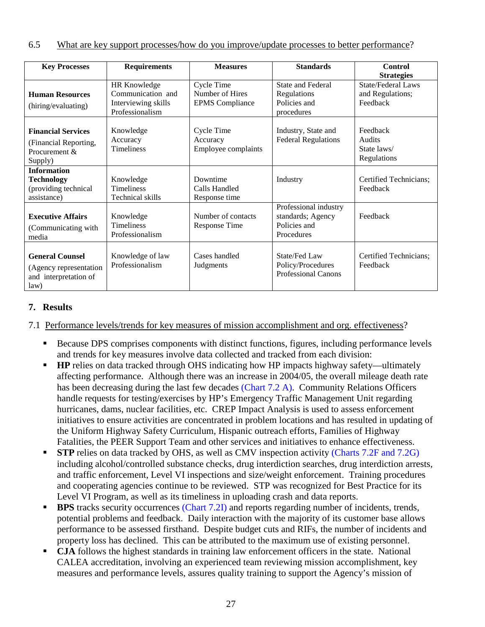| <b>Key Processes</b>                                                              | <b>Requirements</b>                                                         | <b>Measures</b>                                         | <b>Standards</b>                                                         | <b>Control</b>                                            |
|-----------------------------------------------------------------------------------|-----------------------------------------------------------------------------|---------------------------------------------------------|--------------------------------------------------------------------------|-----------------------------------------------------------|
|                                                                                   |                                                                             |                                                         |                                                                          | <b>Strategies</b>                                         |
| <b>Human Resources</b><br>(hiring/evaluating)                                     | HR Knowledge<br>Communication and<br>Interviewing skills<br>Professionalism | Cycle Time<br>Number of Hires<br><b>EPMS</b> Compliance | State and Federal<br>Regulations<br>Policies and<br>procedures           | <b>State/Federal Laws</b><br>and Regulations;<br>Feedback |
| <b>Financial Services</b><br>(Financial Reporting,<br>Procurement &<br>Supply)    | Knowledge<br>Accuracy<br><b>Timeliness</b>                                  | Cycle Time<br>Accuracy<br>Employee complaints           | Industry, State and<br><b>Federal Regulations</b>                        | Feedback<br><b>Audits</b><br>State laws/<br>Regulations   |
| <b>Information</b><br><b>Technology</b><br>(providing technical<br>assistance)    | Knowledge<br><b>Timeliness</b><br>Technical skills                          | Downtime<br>Calls Handled<br>Response time              | Industry                                                                 | Certified Technicians;<br>Feedback                        |
| <b>Executive Affairs</b><br>(Communicating with)<br>media                         | Knowledge<br>Timeliness<br>Professionalism                                  | Number of contacts<br><b>Response Time</b>              | Professional industry<br>standards; Agency<br>Policies and<br>Procedures | Feedback                                                  |
| <b>General Counsel</b><br>(Agency representation<br>and interpretation of<br>law) | Knowledge of law<br>Professionalism                                         | Cases handled<br>Judgments                              | State/Fed Law<br>Policy/Procedures<br><b>Professional Canons</b>         | Certified Technicians;<br>Feedback                        |

#### **7. Results**

7.1 Performance levels/trends for key measures of mission accomplishment and org. effectiveness?

- Because DPS comprises components with distinct functions, figures, including performance levels and trends for key measures involve data collected and tracked from each division:
- **HP** relies on data tracked through OHS indicating how HP impacts highway safety—ultimately affecting performance. Although there was an increase in 2004/05, the overall mileage death rate has been decreasing during the last few decades (Chart 7.2 A). Community Relations Officers handle requests for testing/exercises by HP's Emergency Traffic Management Unit regarding hurricanes, dams, nuclear facilities, etc. CREP Impact Analysis is used to assess enforcement initiatives to ensure activities are concentrated in problem locations and has resulted in updating of the Uniform Highway Safety Curriculum, Hispanic outreach efforts, Families of Highway Fatalities, the PEER Support Team and other services and initiatives to enhance effectiveness.
- **STP** relies on data tracked by OHS, as well as CMV inspection activity (Charts 7.2F and 7.2G) including alcohol/controlled substance checks, drug interdiction searches, drug interdiction arrests, and traffic enforcement, Level VI inspections and size/weight enforcement. Training procedures and cooperating agencies continue to be reviewed. STP was recognized for Best Practice for its Level VI Program, as well as its timeliness in uploading crash and data reports.
- **BPS** tracks security occurrences (Chart 7.2I) and reports regarding number of incidents, trends, potential problems and feedback. Daily interaction with the majority of its customer base allows performance to be assessed firsthand. Despite budget cuts and RIFs, the number of incidents and property loss has declined. This can be attributed to the maximum use of existing personnel.
- **CJA** follows the highest standards in training law enforcement officers in the state. National CALEA accreditation, involving an experienced team reviewing mission accomplishment, key measures and performance levels, assures quality training to support the Agency's mission of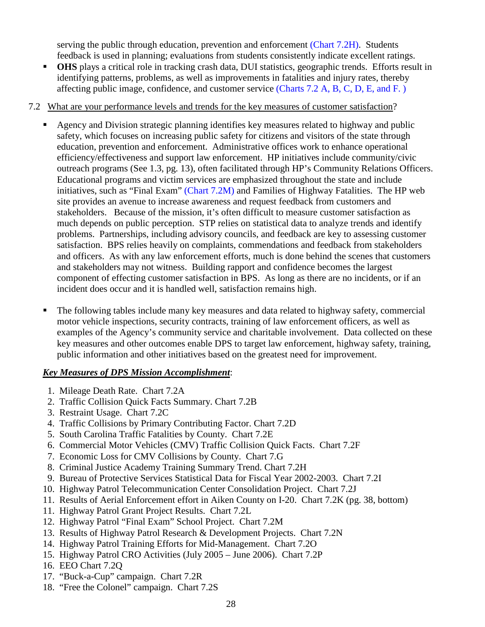serving the public through education, prevention and enforcement (Chart 7.2H). Students feedback is used in planning; evaluations from students consistently indicate excellent ratings.

**OHS** plays a critical role in tracking crash data, DUI statistics, geographic trends. Efforts result in identifying patterns, problems, as well as improvements in fatalities and injury rates, thereby affecting public image, confidence, and customer service (Charts 7.2 A, B, C, D, E, and F. )

#### 7.2 What are your performance levels and trends for the key measures of customer satisfaction?

- Agency and Division strategic planning identifies key measures related to highway and public safety, which focuses on increasing public safety for citizens and visitors of the state through education, prevention and enforcement. Administrative offices work to enhance operational efficiency/effectiveness and support law enforcement. HP initiatives include community/civic outreach programs (See 1.3, pg. 13), often facilitated through HP's Community Relations Officers. Educational programs and victim services are emphasized throughout the state and include initiatives, such as "Final Exam" (Chart 7.2M) and Families of Highway Fatalities. The HP web site provides an avenue to increase awareness and request feedback from customers and stakeholders. Because of the mission, it's often difficult to measure customer satisfaction as much depends on public perception. STP relies on statistical data to analyze trends and identify problems. Partnerships, including advisory councils, and feedback are key to assessing customer satisfaction. BPS relies heavily on complaints, commendations and feedback from stakeholders and officers. As with any law enforcement efforts, much is done behind the scenes that customers and stakeholders may not witness. Building rapport and confidence becomes the largest component of effecting customer satisfaction in BPS. As long as there are no incidents, or if an incident does occur and it is handled well, satisfaction remains high.
- The following tables include many key measures and data related to highway safety, commercial motor vehicle inspections, security contracts, training of law enforcement officers, as well as examples of the Agency's community service and charitable involvement. Data collected on these key measures and other outcomes enable DPS to target law enforcement, highway safety, training, public information and other initiatives based on the greatest need for improvement.

#### *Key Measures of DPS Mission Accomplishment*:

- 1. Mileage Death Rate. Chart 7.2A
- 2. Traffic Collision Quick Facts Summary. Chart 7.2B
- 3. Restraint Usage. Chart 7.2C
- 4. Traffic Collisions by Primary Contributing Factor. Chart 7.2D
- 5. South Carolina Traffic Fatalities by County. Chart 7.2E
- 6. Commercial Motor Vehicles (CMV) Traffic Collision Quick Facts. Chart 7.2F
- 7. Economic Loss for CMV Collisions by County. Chart 7.G
- 8. Criminal Justice Academy Training Summary Trend. Chart 7.2H
- 9. Bureau of Protective Services Statistical Data for Fiscal Year 2002-2003. Chart 7.2I
- 10. Highway Patrol Telecommunication Center Consolidation Project. Chart 7.2J
- 11. Results of Aerial Enforcement effort in Aiken County on I-20. Chart 7.2K (pg. 38, bottom)
- 11. Highway Patrol Grant Project Results. Chart 7.2L
- 12. Highway Patrol "Final Exam" School Project. Chart 7.2M
- 13. Results of Highway Patrol Research & Development Projects. Chart 7.2N
- 14. Highway Patrol Training Efforts for Mid-Management. Chart 7.2O
- 15. Highway Patrol CRO Activities (July 2005 June 2006). Chart 7.2P
- 16. EEO Chart 7.2Q
- 17. "Buck-a-Cup" campaign. Chart 7.2R
- 18. "Free the Colonel" campaign. Chart 7.2S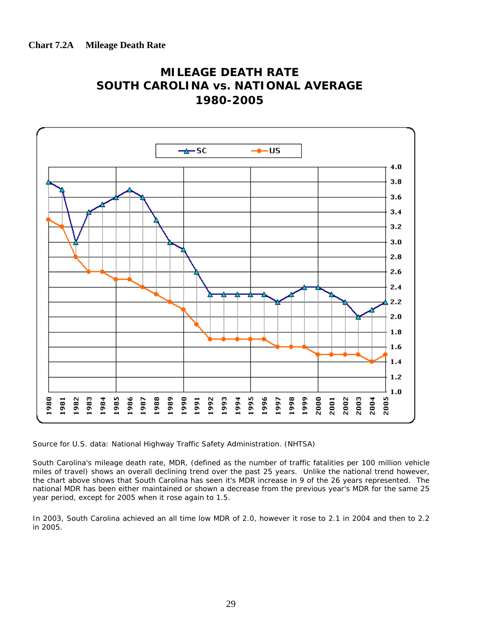



Source for U.S. data: National Highway Traffic Safety Administration. (NHTSA)

South Carolina's mileage death rate, MDR, (defined as the number of traffic fatalities per 100 million vehicle miles of travel) shows an overall declining trend over the past 25 years. Unlike the national trend however, the chart above shows that South Carolina has seen it's MDR increase in 9 of the 26 years represented. The national MDR has been either maintained or shown a decrease from the previous year's MDR for the same 25 year period, except for 2005 when it rose again to 1.5.

In 2003, South Carolina achieved an all time low MDR of 2.0, however it rose to 2.1 in 2004 and then to 2.2 in 2005.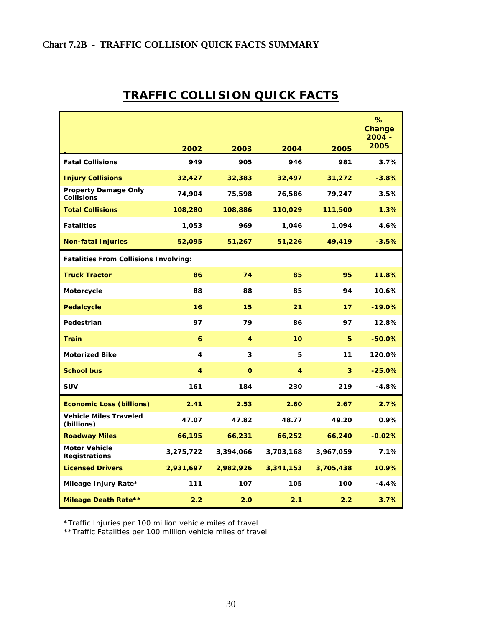### C**hart 7.2B - TRAFFIC COLLISION QUICK FACTS SUMMARY**

|                                                  |           |           |           |           | %<br>Change<br>$2004 -$<br>2005 |
|--------------------------------------------------|-----------|-----------|-----------|-----------|---------------------------------|
|                                                  | 2002      | 2003      | 2004      | 2005      |                                 |
| <b>Fatal Collisions</b>                          | 949       | 905       | 946       | 981       | 3.7%                            |
| <b>Injury Collisions</b>                         | 32,427    | 32,383    | 32,497    | 31,272    | $-3.8%$                         |
| <b>Property Damage Only</b><br><b>Collisions</b> | 74,904    | 75,598    | 76,586    | 79,247    | 3.5%                            |
| <b>Total Collisions</b>                          | 108,280   | 108,886   | 110,029   | 111,500   | 1.3%                            |
| <b>Fatalities</b>                                | 1,053     | 969       | 1,046     | 1,094     | 4.6%                            |
| <b>Non-fatal Injuries</b>                        | 52,095    | 51,267    | 51,226    | 49,419    | $-3.5%$                         |
| <b>Fatalities From Collisions Involving:</b>     |           |           |           |           |                                 |
| <b>Truck Tractor</b>                             | 86        | 74        | 85        | 95        | 11.8%                           |
| Motorcycle                                       | 88        | 88        | 85        | 94        | 10.6%                           |
| <b>Pedalcycle</b>                                | 16        | 15        | 21        | 17        | $-19.0%$                        |
| Pedestrian                                       | 97        | 79        | 86        | 97        | 12.8%                           |
| <b>Train</b>                                     | 6         | 4         | 10        | 5         | $-50.0%$                        |
| <b>Motorized Bike</b>                            | 4         | 3         | 5         | 11        | 120.0%                          |
| <b>School bus</b>                                | 4         | $\Omega$  | 4         | 3         | $-25.0%$                        |
| <b>SUV</b>                                       | 161       | 184       | 230       | 219       | -4.8%                           |
| <b>Economic Loss (billions)</b>                  | 2.41      | 2.53      | 2.60      | 2.67      | 2.7%                            |
| <b>Vehicle Miles Traveled</b><br>(billions)      | 47.07     | 47.82     | 48.77     | 49.20     | 0.9%                            |
| <b>Roadway Miles</b>                             | 66,195    | 66,231    | 66,252    | 66,240    | $-0.02%$                        |
| <b>Motor Vehicle</b><br><b>Registrations</b>     | 3,275,722 | 3,394,066 | 3,703,168 | 3,967,059 | 7.1%                            |
| <b>Licensed Drivers</b>                          | 2,931,697 | 2,982,926 | 3,341,153 | 3,705,438 | 10.9%                           |
| Mileage Injury Rate*                             | 111       | 107       | 105       | 100       | $-4.4%$                         |
| <b>Mileage Death Rate**</b>                      | 2.2       | 2.0       | 2.1       | 2.2       | 3.7%                            |

# **TRAFFIC COLLISION QUICK FACTS**

\*Traffic Injuries per 100 million vehicle miles of travel

\*\*Traffic Fatalities per 100 million vehicle miles of travel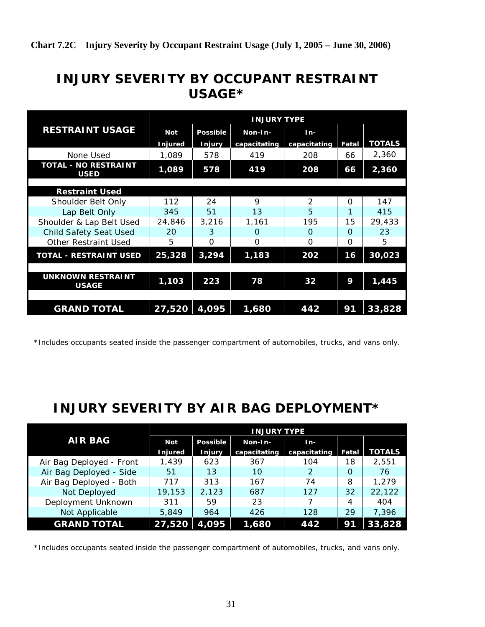# **INJURY SEVERITY BY OCCUPANT RESTRAINT USAGE\***

|                                            | <b>INJURY TYPE</b> |               |              |                |          |               |  |  |  |  |
|--------------------------------------------|--------------------|---------------|--------------|----------------|----------|---------------|--|--|--|--|
| <b>RESTRAINT USAGE</b>                     | <b>Not</b>         | Possible      | Non-In-      | $In-$          |          |               |  |  |  |  |
|                                            | Injured            | <b>Injury</b> | capacitating | capacitating   | Fatal    | <b>TOTALS</b> |  |  |  |  |
| None Used                                  | 1.089              | 578           | 419          | 208            | 66       | 2,360         |  |  |  |  |
| <b>TOTAL - NO RESTRAINT</b><br><b>USED</b> | 1,089              | 578           | 419          | 208            | 66       | 2,360         |  |  |  |  |
|                                            |                    |               |              |                |          |               |  |  |  |  |
| <b>Restraint Used</b>                      |                    |               |              |                |          |               |  |  |  |  |
| Shoulder Belt Only                         | 112                | 24            | $\mathsf o$  | $\mathfrak{D}$ | $\Omega$ | 147           |  |  |  |  |
| Lap Belt Only                              | 345                | 51            | 13           | 5              | 1        | 415           |  |  |  |  |
| Shoulder & Lap Belt Used                   | 24,846             | 3,216         | 1,161        | 195            | 15       | 29,433        |  |  |  |  |
| <b>Child Safety Seat Used</b>              | <b>20</b>          | 3             | $\Omega$     | $\Omega$       | $\Omega$ | 23            |  |  |  |  |
| <b>Other Restraint Used</b>                | 5                  | 0             | O            | 0              | $\Omega$ | 5             |  |  |  |  |
| TOTAL - RESTRAINT USED                     | 25,328             | 3,294         | 1,183        | 202            | 16       | 30,023        |  |  |  |  |
|                                            |                    |               |              |                |          |               |  |  |  |  |
| <b>UNKNOWN RESTRAINT</b><br><b>USAGE</b>   | 1,103              | 223           | 78           | 32             | 9        | 1,445         |  |  |  |  |
|                                            |                    |               |              |                |          |               |  |  |  |  |
| <b>GRAND TOTAL</b>                         | 27,520             | 4,095         | 1,680        | 442            | 91       | 33,828        |  |  |  |  |

\*Includes occupants seated inside the passenger compartment of automobiles, trucks, and vans only.

# **INJURY SEVERITY BY AIR BAG DEPLOYMENT\***

|                          | <b>INJURY TYPE</b> |                 |              |              |          |               |  |  |  |
|--------------------------|--------------------|-----------------|--------------|--------------|----------|---------------|--|--|--|
| <b>AIR BAG</b>           | <b>Not</b>         | <b>Possible</b> | Non-In-      | In-          |          |               |  |  |  |
|                          | <b>Injured</b>     | <b>Injury</b>   | capacitating | capacitating | Fatal    | <b>TOTALS</b> |  |  |  |
| Air Bag Deployed - Front | 1,439              | 623             | 367          | 104          | 18       | 2.551         |  |  |  |
| Air Bag Deployed - Side  | 51                 | 13              | 10           | 2            | $\Omega$ | 76            |  |  |  |
| Air Bag Deployed - Both  | 717                | 313             | 167          | 74           | 8        | 1,279         |  |  |  |
| Not Deployed             | 19,153             | 2,123           | 687          | 127          | 32       | 22,122        |  |  |  |
| Deployment Unknown       | 311                | 59              | 23           |              | 4        | 404           |  |  |  |
| Not Applicable           | 5.849              | 964             | 426          | 128          | 29       | 7,396         |  |  |  |
| <b>GRAND TOTAL</b>       | 27,520             | 4,095           | 1,680        | 442          | 91       | 33,828        |  |  |  |

\*Includes occupants seated inside the passenger compartment of automobiles, trucks, and vans only.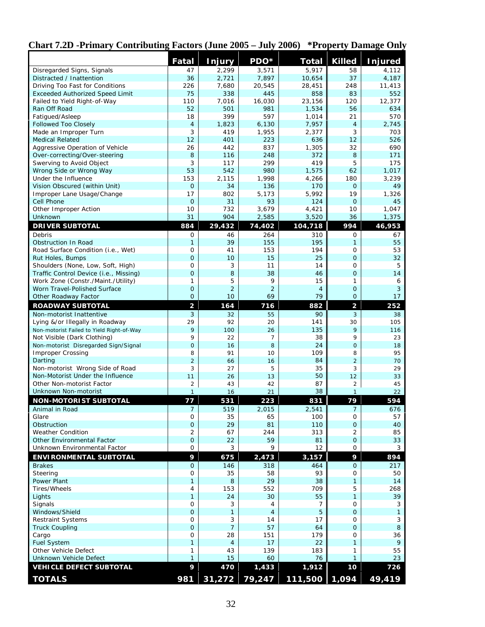|                                                                     | <b>Fatal</b>             | Injury               | PDO*                 | <b>Total</b>         | <b>Killed</b>                | <b>Injured</b> |
|---------------------------------------------------------------------|--------------------------|----------------------|----------------------|----------------------|------------------------------|----------------|
| Disregarded Signs, Signals                                          | 47                       | 2,299                | 3,571                | 5,917                | 58                           | 4,112          |
| Distracted / Inattention                                            | 36                       | 2,721                | 7,897                | 10,654               | 37                           | 4,187          |
| Driving Too Fast for Conditions                                     | 226                      | 7,680                | 20,545               | 28,451               | 248                          | 11,413         |
| <b>Exceeded Authorized Speed Limit</b>                              | 75                       | 338                  | 445                  | 858                  | 83                           | 552            |
| Failed to Yield Right-of-Way                                        | 110                      | 7,016                | 16,030               | 23,156               | 120                          | 12,377         |
| Ran Off Road<br>Fatigued/Asleep                                     | 52<br>18                 | 501<br>399           | 981<br>597           | 1,534<br>1,014       | 56<br>21                     | 634<br>570     |
| <b>Followed Too Closely</b>                                         | $\overline{\mathcal{A}}$ | 1,823                | 6,130                | 7,957                | $\overline{4}$               | 2,745          |
| Made an Improper Turn                                               | 3                        | 419                  | 1,955                | 2,377                | 3                            | 703            |
| <b>Medical Related</b>                                              | 12                       | 401                  | 223                  | 636                  | 12                           | 526            |
| Aggressive Operation of Vehicle                                     | 26                       | 442                  | 837                  | 1,305                | 32                           | 690            |
| Over-correcting/Over-steering                                       | 8                        | 116                  | 248                  | 372                  | 8                            | 171            |
| Swerving to Avoid Object                                            | 3                        | 117                  | 299                  | 419                  | 5                            | 175            |
| Wrong Side or Wrong Way                                             | 53                       | 542                  | 980                  | 1,575                | 62                           | 1,017          |
| Under the Influence                                                 | 153                      | 2,115                | 1,998                | 4,266                | 180                          | 3,239          |
| Vision Obscured (within Unit)                                       | $\mathbf 0$              | 34<br>802            | 136                  | 170<br>5,992         | $\Omega$<br>19               | 49             |
| Improper Lane Usage/Change<br>Cell Phone                            | 17<br>$\mathbf{O}$       | 31                   | 5,173<br>93          | 124                  | $\Omega$                     | 1,326<br>45    |
| Other Improper Action                                               | 10                       | 732                  | 3,679                | 4,421                | 10                           | 1,047          |
| Unknown                                                             | 31                       | 904                  | 2,585                | 3,520                | 36                           | 1,375          |
| <b>DRIVER SUBTOTAL</b>                                              | 884                      | 29,432               | 74,402               | 104,718              | 994                          | 46,953         |
| Debris                                                              | 0                        | 46                   | 264                  | 310                  | 0                            | 67             |
| Obstruction In Road                                                 | 1                        | 39                   | 155                  | 195                  | $\mathbf{1}$                 | 55             |
| Road Surface Condition (i.e., Wet)                                  | 0                        | 41                   | 153                  | 194                  | $\mathbf 0$                  | 53             |
| Rut Holes, Bumps                                                    | $\mathbf 0$              | 10                   | 15                   | 25                   | $\Omega$                     | 32             |
| Shoulders (None, Low, Soft, High)                                   | 0                        | 3                    | 11                   | 14                   | $\mathbf 0$                  | 5              |
| Traffic Control Device (i.e., Missing)                              | $\mathbf 0$              | 8                    | 38                   | 46                   | $\Omega$                     | 14             |
| Work Zone (Constr./Maint./Utility)                                  | 1                        | 5                    | 9                    | 15                   | $\mathbf{1}$                 | 6              |
| Worn Travel-Polished Surface<br>Other Roadway Factor                | 0<br>$\mathbf 0$         | $\overline{2}$<br>10 | $\overline{2}$<br>69 | $\overline{4}$<br>79 | $\mathbf{O}$<br>$\mathbf{O}$ | 3<br>17        |
| <b>ROADWAY SUBTOTAL</b>                                             | $\overline{\mathbf{c}}$  | 164                  | 716                  | 882                  | $\overline{\mathbf{c}}$      | 252            |
| Non-motorist Inattentive                                            | 3                        | 32                   | 55                   | 90                   | 3                            | 38             |
| Lying &/or Illegally in Roadway                                     | 29                       | 92                   | 20                   | 141                  | 30                           | 105            |
| Non-motorist Failed to Yield Right-of-Way                           | 9                        | 100                  | 26                   | 135                  | 9                            | 116            |
| Not Visible (Dark Clothing)                                         | 9                        | 22                   | 7                    | 38                   | 9                            | 23             |
| Non-motorist Disregarded Sign/Signal                                | $\overline{0}$           | 16                   | 8                    | 24                   | $\mathbf 0$                  | 18             |
| <b>Improper Crossing</b>                                            | 8                        | 91                   | 10                   | 109                  | 8                            | 95             |
| Darting                                                             | $\overline{2}$           | 66                   | 16                   | 84                   | $\overline{2}$               | 70             |
| Non-motorist Wrong Side of Road<br>Non-Motorist Under the Influence | 3                        | 27<br>26             | 5                    | 35<br>50             | 3<br>12                      | 29             |
| Other Non-motorist Factor                                           | 11<br>$\overline{c}$     | 43                   | 13<br>42             | 87                   | $\overline{2}$               | 33<br>45       |
| Unknown Non-motorist                                                | $\mathbf{1}$             | 16                   | 21                   | 38                   | $\mathbf{1}$                 | 22             |
| <b>NON-MOTORIST SUBTOTAL</b>                                        | 77                       | 531                  | 223                  | 831                  | 79                           | 594            |
| Animal in Road                                                      | 7                        | 519                  | 2,015                | 2,541                | 7                            | 676            |
| Glare                                                               | 0                        | 35                   | 65                   | 100                  | 0                            | 57             |
| Obstruction                                                         | $\mathbf 0$              | 29                   | 81                   | 110                  | $\overline{O}$               | 40             |
| <b>Weather Condition</b>                                            | $\overline{2}$           | 67                   | 244                  | 313                  | $\overline{2}$               | 85             |
| <b>Other Environmental Factor</b>                                   | $\mathbf 0$              | 22                   | 59                   | 81                   | $\overline{O}$               | 33             |
| Unknown Environmental Factor                                        | 0                        | 3                    | 9                    | 12                   | $\mathbf 0$                  | 3              |
| <b>ENVIRONMENTAL SUBTOTAL</b>                                       | 9                        | 675                  | 2,473                | 3,157                | 9                            | 894            |
| <b>Brakes</b>                                                       | $\mathbf{O}$             | 146                  | 318                  | 464                  | $\mathbf{O}$                 | 217            |
| Steering                                                            | 0                        | 35                   | 58                   | 93                   | $\mathbf 0$                  | 50             |
| Power Plant                                                         | 1                        | 8                    | 29                   | 38                   | $\mathbf{1}$                 | 14             |
| Tires/Wheels<br>Lights                                              | 4<br>$\mathbf{1}$        | 153<br>24            | 552<br>30            | 709<br>55            | 5<br>$\mathbf{1}$            | 268<br>39      |
| Signals                                                             | 0                        | 3                    | 4                    | 7                    | 0                            | 3              |
| Windows/Shield                                                      | $\mathbf 0$              | 1                    | 4                    | 5                    | $\overline{O}$               | $\mathbf{1}$   |
| <b>Restraint Systems</b>                                            | $\mathbf 0$              | 3                    | 14                   | 17                   | $\mathbf 0$                  | 3              |
| <b>Truck Coupling</b>                                               | $\mathsf{O}\xspace$      | $\overline{7}$       | 57                   | 64                   | $\mathbf{O}$                 | 8              |
| Cargo                                                               | 0                        | 28                   | 151                  | 179                  | $\mathbf 0$                  | 36             |
| <b>Fuel System</b>                                                  | 1                        | $\overline{4}$       | 17                   | 22                   | $\mathbf{1}$                 | 9              |
| Other Vehicle Defect                                                | 1                        | 43                   | 139                  | 183                  | $\mathbf{1}$                 | 55             |
| Unknown Vehicle Defect                                              | 1                        | 15                   | 60                   | 76                   | $\mathbf{1}$                 | 23             |
| <b>VEHICLE DEFECT SUBTOTAL</b>                                      | 9                        | 470                  | 1,433                | 1,912                | 10                           | 726            |
| <b>TOTALS</b>                                                       | 981                      | 31,272               |                      | 79,247 111,500 1,094 |                              | 49,419         |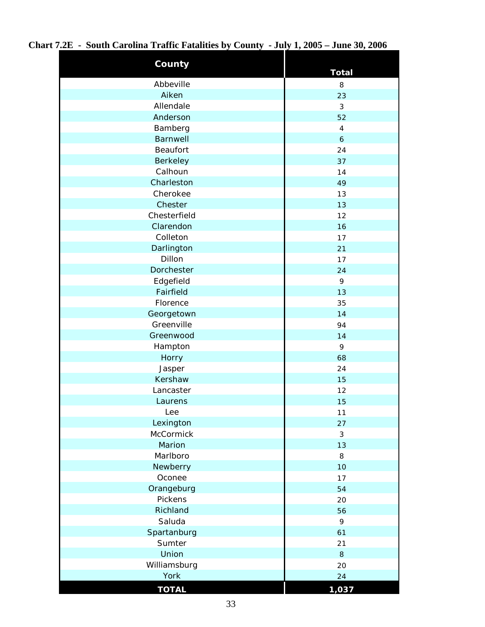| County          | <b>Total</b>   |
|-----------------|----------------|
| Abbeville       | 8              |
| Aiken           | 23             |
| Allendale       | $\mathfrak{Z}$ |
| Anderson        | 52             |
| Bamberg         | $\overline{4}$ |
| Barnwell        | 6              |
| <b>Beaufort</b> | 24             |
| Berkeley        | 37             |
| Calhoun         | 14             |
| Charleston      | 49             |
| Cherokee        | 13             |
| Chester         | 13             |
| Chesterfield    | 12             |
| Clarendon       | 16             |
| Colleton        | 17             |
| Darlington      | 21             |
| Dillon          | 17             |
| Dorchester      | 24             |
| Edgefield       | 9              |
| Fairfield       | 13             |
| Florence        | 35             |
| Georgetown      | 14             |
| Greenville      | 94             |
| Greenwood       | 14             |
| Hampton         | 9              |
| Horry           | 68             |
| Jasper          | 24             |
| Kershaw         | 15             |
| Lancaster       | 12             |
| Laurens         | 15             |
| Lee             | 11             |
| Lexington       | 27             |
| McCormick       | $\mathfrak{Z}$ |
| Marion          | 13             |
| Marlboro        | 8              |
| Newberry        | 10             |
| Oconee          | 17             |
| Orangeburg      | 54             |
| Pickens         | 20             |
| Richland        | 56             |
| Saluda          | 9              |
| Spartanburg     | 61             |
| Sumter          | 21             |
| Union           | 8              |
| Williamsburg    | 20             |
| York            | 24             |
| <b>TOTAL</b>    | 1,037          |

**Chart 7.2E - South Carolina Traffic Fatalities by County - July 1, 2005 – June 30, 2006**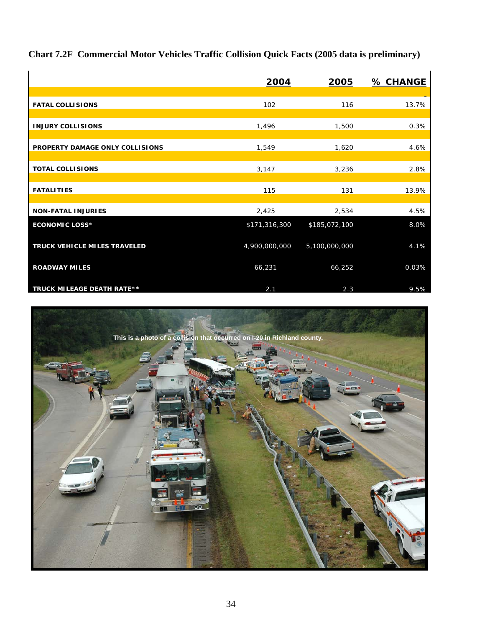**Chart 7.2F Commercial Motor Vehicles Traffic Collision Quick Facts (2005 data is preliminary)**

|                                   | 2004          | 2005          | <b>% CHANGE</b> |
|-----------------------------------|---------------|---------------|-----------------|
|                                   |               |               |                 |
| <b>FATAL COLLISIONS</b>           | 102           | 116           | 13.7%           |
| <b>INJURY COLLISIONS</b>          | 1,496         | 1,500         | 0.3%            |
| PROPERTY DAMAGE ONLY COLLISIONS   | 1,549         | 1,620         | 4.6%            |
| <b>TOTAL COLLISIONS</b>           | 3,147         | 3,236         | 2.8%            |
| <b>FATALITIES</b>                 | 115           | 131           | 13.9%           |
| <b>NON-FATAL INJURIES</b>         | 2,425         | 2,534         | 4.5%            |
| <b>ECONOMIC LOSS*</b>             | \$171,316,300 | \$185,072,100 | 8.0%            |
| TRUCK VEHICLE MILES TRAVELED      | 4,900,000,000 | 5,100,000,000 | 4.1%            |
| <b>ROADWAY MILES</b>              | 66,231        | 66,252        | 0.03%           |
| <b>TRUCK MILEAGE DEATH RATE**</b> | 2.1           | 2.3           | 9.5%            |

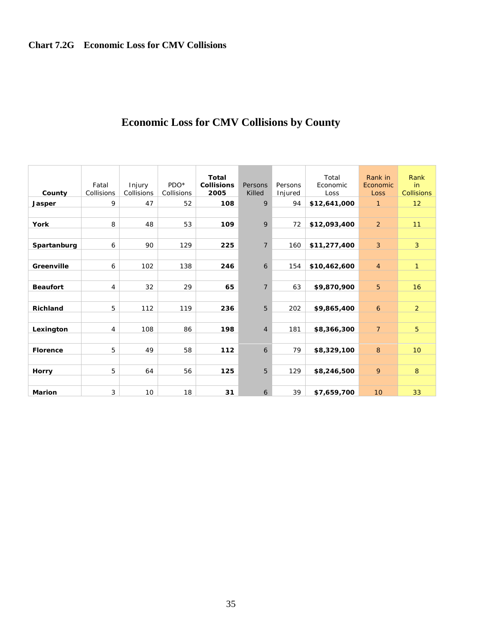| County<br>Jasper | Fatal<br>Collisions<br>9 | Injury<br>Collisions<br>47 | PDO <sup>*</sup><br>Collisions<br>52 | Total<br><b>Collisions</b><br>2005<br>108 | Persons<br>Killed<br>9 | Persons<br>Injured<br>94 | Total<br>Economic<br>Loss<br>\$12,641,000 | Rank in<br>Economic<br>Loss<br>$\mathbf{1}$ | Rank<br>in<br><b>Collisions</b><br>12 |
|------------------|--------------------------|----------------------------|--------------------------------------|-------------------------------------------|------------------------|--------------------------|-------------------------------------------|---------------------------------------------|---------------------------------------|
|                  |                          |                            |                                      |                                           |                        |                          |                                           |                                             |                                       |
| <b>York</b>      | 8                        | 48                         | 53                                   | 109                                       | 9                      | 72                       | \$12,093,400                              | 2                                           | 11                                    |
| Spartanburg      | 6                        | 90                         | 129                                  | 225                                       | $\overline{7}$         | 160                      | \$11,277,400                              | $\mathbf{3}$                                | $\overline{3}$                        |
| Greenville       | 6                        | 102                        | 138                                  | 246                                       | 6                      | 154                      | \$10,462,600                              | $\overline{4}$                              | $\mathbf{1}$                          |
| <b>Beaufort</b>  | $\overline{4}$           | 32                         | 29                                   | 65                                        | $\overline{7}$         | 63                       | \$9,870,900                               | 5                                           | 16                                    |
| <b>Richland</b>  | 5                        | 112                        | 119                                  | 236                                       | 5                      | 202                      | \$9,865,400                               | 6                                           | 2                                     |
| Lexington        | $\overline{4}$           | 108                        | 86                                   | 198                                       | $\overline{4}$         | 181                      | \$8,366,300                               | $\overline{7}$                              | 5                                     |
|                  |                          |                            |                                      |                                           |                        |                          |                                           |                                             |                                       |
| <b>Florence</b>  | 5                        | 49                         | 58                                   | 112                                       | 6                      | 79                       | \$8,329,100                               | 8                                           | 10 <sup>°</sup>                       |
| Horry            | 5                        | 64                         | 56                                   | 125                                       | 5                      | 129                      | \$8,246,500                               | 9                                           | 8                                     |
| <b>Marion</b>    | 3                        | 10                         | 18                                   | 31                                        | 6                      | 39                       | \$7,659,700                               | 10                                          | 33                                    |

# **Economic Loss for CMV Collisions by County**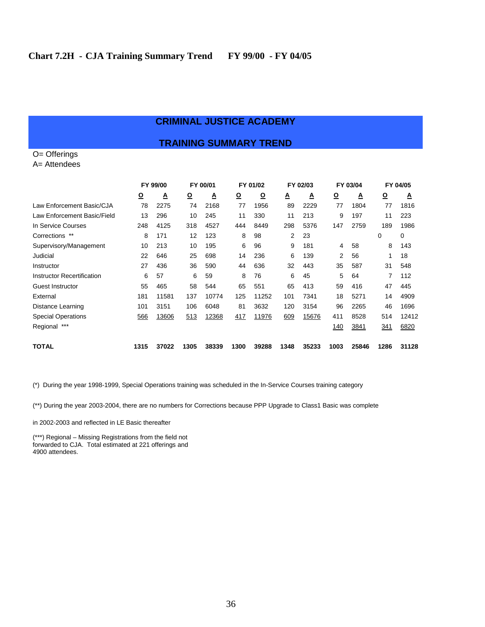#### **CRIMINAL JUSTICE ACADEMY**

#### **TRAINING SUMMARY TREND**

O= Offerings A= Attendees

|                                   |          | FY 99/00 |          | FY 00/01<br>FY 01/02 |                         |          | FY 02/03 |       | FY 03/04                |       | FY 04/05   |       |
|-----------------------------------|----------|----------|----------|----------------------|-------------------------|----------|----------|-------|-------------------------|-------|------------|-------|
|                                   | <u>୦</u> | Δ        | <u>୦</u> | ≜                    | $\overline{\mathbf{Q}}$ | <u>0</u> | ≜        | ◬     | $\overline{\mathbf{Q}}$ | Δ     | <u>୦</u>   | A     |
| Law Enforcement Basic/CJA         | 78       | 2275     | 74       | 2168                 | 77                      | 1956     | 89       | 2229  | 77                      | 1804  | 77         | 1816  |
| Law Enforcement Basic/Field       | 13       | 296      | 10       | 245                  | 11                      | 330      | 11       | 213   | 9                       | 197   | 11         | 223   |
| In Service Courses                | 248      | 4125     | 318      | 4527                 | 444                     | 8449     | 298      | 5376  | 147                     | 2759  | 189        | 1986  |
| Corrections **                    | 8        | 171      | 12       | 123                  | 8                       | 98       | 2        | 23    |                         |       | 0          | 0     |
| Supervisory/Management            | 10       | 213      | 10       | 195                  | 6                       | 96       | 9        | 181   | 4                       | 58    | 8          | 143   |
| Judicial                          | 22       | 646      | 25       | 698                  | 14                      | 236      | 6        | 139   | 2                       | 56    |            | 18    |
| Instructor                        | 27       | 436      | 36       | 590                  | 44                      | 636      | 32       | 443   | 35                      | 587   | 31         | 548   |
| <b>Instructor Recertification</b> | 6        | 57       | 6        | 59                   | 8                       | 76       | 6        | 45    | 5                       | 64    | 7          | 112   |
| Guest Instructor                  | 55       | 465      | 58       | 544                  | 65                      | 551      | 65       | 413   | 59                      | 416   | 47         | 445   |
| External                          | 181      | 11581    | 137      | 10774                | 125                     | 11252    | 101      | 7341  | 18                      | 5271  | 14         | 4909  |
| Distance Learning                 | 101      | 3151     | 106      | 6048                 | 81                      | 3632     | 120      | 3154  | 96                      | 2265  | 46         | 1696  |
| <b>Special Operations</b>         | 566      | 13606    | 513      | 12368                | 417                     | 11976    | 609      | 15676 | 411                     | 8528  | 514        | 12412 |
| $***$<br>Regional                 |          |          |          |                      |                         |          |          |       | 140                     | 3841  | <u>341</u> | 6820  |
| TOTAL                             | 1315     | 37022    | 1305     | 38339                | 1300                    | 39288    | 1348     | 35233 | 1003                    | 25846 | 1286       | 31128 |

(\*) During the year 1998-1999, Special Operations training was scheduled in the In-Service Courses training category

(\*\*) During the year 2003-2004, there are no numbers for Corrections because PPP Upgrade to Class1 Basic was complete

in 2002-2003 and reflected in LE Basic thereafter

(\*\*\*) Regional – Missing Registrations from the field not forwarded to CJA. Total estimated at 221 offerings and 4900 attendees.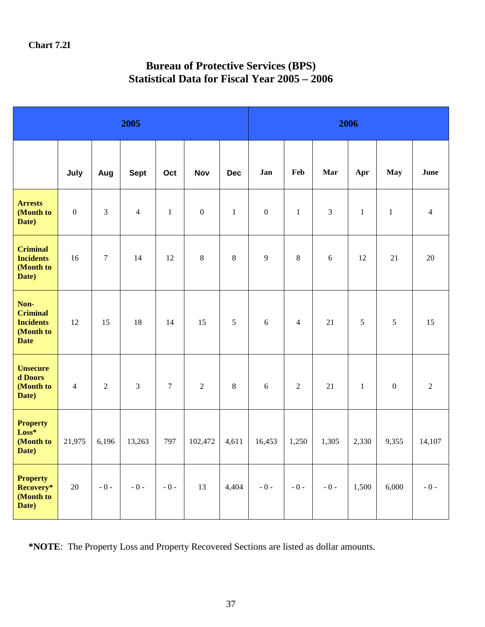# **Bureau of Protective Services (BPS) Statistical Data for Fiscal Year 2005 – 2006**

|                                                                         | 2005             |                |                |                |                  | 2006         |                  |                |                |              |                  |                |
|-------------------------------------------------------------------------|------------------|----------------|----------------|----------------|------------------|--------------|------------------|----------------|----------------|--------------|------------------|----------------|
|                                                                         | July             | Aug            | <b>Sept</b>    | Oct            | <b>Nov</b>       | <b>Dec</b>   | Jan              | Feb            | Mar            | Apr          | <b>May</b>       | June           |
| <b>Arrests</b><br>(Month to<br>Date)                                    | $\boldsymbol{0}$ | $\overline{3}$ | $\overline{4}$ | $\mathbf{1}$   | $\boldsymbol{0}$ | $\mathbf{1}$ | $\boldsymbol{0}$ | $\mathbf{1}$   | $\overline{3}$ | $\mathbf{1}$ | $\mathbf{1}$     | $\overline{4}$ |
| <b>Criminal</b><br><b>Incidents</b><br>(Month to<br>Date)               | 16               | $\overline{7}$ | 14             | 12             | $\,8\,$          | $\,8\,$      | 9                | 8              | 6              | 12           | 21               | 20             |
| Non-<br><b>Criminal</b><br><b>Incidents</b><br>(Month to<br><b>Date</b> | 12               | 15             | 18             | 14             | 15               | 5            | $6\,$            | $\overline{4}$ | 21             | 5            | 5                | 15             |
| <b>Unsecure</b><br>d Doors<br>(Month to<br>Date)                        | $\overline{4}$   | $\overline{2}$ | $\overline{3}$ | $\overline{7}$ | $\overline{2}$   | $\,8\,$      | $6\,$            | $\overline{2}$ | 21             | $\mathbf{1}$ | $\boldsymbol{0}$ | $\overline{2}$ |
| <b>Property</b><br>$Loss*$<br>(Month to<br>Date)                        | 21,975           | 6,196          | 13,263         | 797            | 102,472          | 4,611        | 16,453           | 1,250          | 1,305          | 2,330        | 9,355            | 14,107         |
| <b>Property</b><br>Recovery*<br>(Month to<br>Date)                      | 20               | $-0-$          | $-0-$          | $-0-$          | 13               | 4,404        | $-0-$            | $-0-$          | $-0 -$         | 1,500        | 6,000            | $-0-$          |

**\*NOTE**: The Property Loss and Property Recovered Sections are listed as dollar amounts.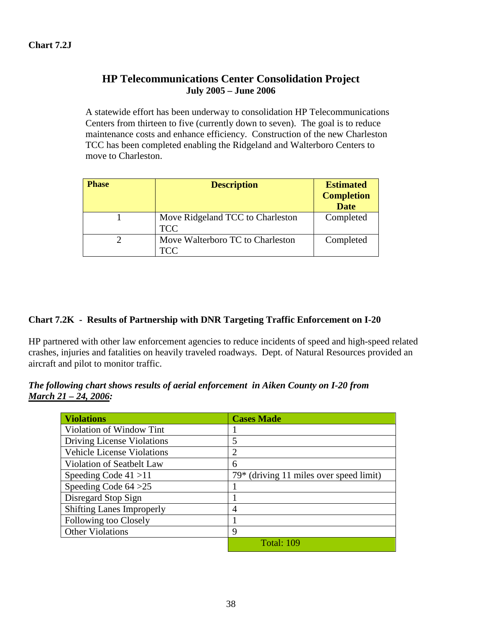### **HP Telecommunications Center Consolidation Project July 2005 – June 2006**

A statewide effort has been underway to consolidation HP Telecommunications Centers from thirteen to five (currently down to seven). The goal is to reduce maintenance costs and enhance efficiency. Construction of the new Charleston TCC has been completed enabling the Ridgeland and Walterboro Centers to move to Charleston.

| <b>Phase</b> | <b>Description</b>               | <b>Estimated</b>  |
|--------------|----------------------------------|-------------------|
|              |                                  | <b>Completion</b> |
|              |                                  | <b>Date</b>       |
|              | Move Ridgeland TCC to Charleston | Completed         |
|              | TCC.                             |                   |
|              | Move Walterboro TC to Charleston | Completed         |
|              | TCC                              |                   |

#### **Chart 7.2K - Results of Partnership with DNR Targeting Traffic Enforcement on I-20**

HP partnered with other law enforcement agencies to reduce incidents of speed and high-speed related crashes, injuries and fatalities on heavily traveled roadways. Dept. of Natural Resources provided an aircraft and pilot to monitor traffic.

#### *The following chart shows results of aerial enforcement in Aiken County on I-20 from March 21 – 24, 2006:*

| <i><b>Violations</b></i>          | <b>Cases Made</b>                         |
|-----------------------------------|-------------------------------------------|
| Violation of Window Tint          |                                           |
| Driving License Violations        | 5                                         |
| <b>Vehicle License Violations</b> | 2                                         |
| Violation of Seatbelt Law         | 6                                         |
| Speeding Code $41 > 11$           | $79*$ (driving 11 miles over speed limit) |
| Speeding Code $64 > 25$           |                                           |
| Disregard Stop Sign               |                                           |
| <b>Shifting Lanes Improperly</b>  | 4                                         |
| Following too Closely             |                                           |
| <b>Other Violations</b>           | 9                                         |
|                                   | <b>Total: 109</b>                         |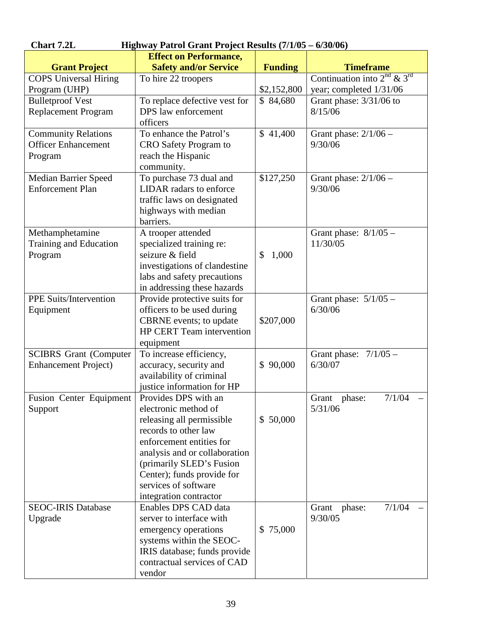| <b>Effect on Performance,</b><br><b>Safety and/or Service</b><br><b>Funding</b><br><b>Timeframe</b><br><b>Grant Project</b><br>Continuation into $2^{nd}$ & $3^{rd}$<br><b>COPS Universal Hiring</b><br>To hire 22 troopers<br>\$2,152,800<br>year; completed 1/31/06<br>Program (UHP)<br><b>Bulletproof Vest</b><br>To replace defective vest for<br>Grant phase: 3/31/06 to<br>\$84,680<br>DPS law enforcement<br><b>Replacement Program</b><br>8/15/06<br>officers<br>To enhance the Patrol's<br>\$41,400<br><b>Community Relations</b><br>Grant phase: $2/1/06$ –<br><b>Officer Enhancement</b><br>9/30/06<br>CRO Safety Program to<br>reach the Hispanic<br>Program<br>community.<br>To purchase 73 dual and<br>\$127,250<br><b>Median Barrier Speed</b><br>Grant phase: $2/1/06$ –<br><b>Enforcement Plan</b><br>LIDAR radars to enforce<br>9/30/06<br>traffic laws on designated<br>highways with median<br>barriers.<br>Methamphetamine<br>Grant phase: $8/1/05$ -<br>A trooper attended<br>11/30/05<br>Training and Education<br>specialized training re:<br>seizure & field<br>Program<br>\$<br>1,000<br>investigations of clandestine<br>labs and safety precautions<br>in addressing these hazards<br><b>PPE Suits/Intervention</b><br>Provide protective suits for<br>Grant phase: $5/1/05$ -<br>officers to be used during<br>6/30/06<br>Equipment<br>CBRNE events; to update<br>\$207,000<br><b>HP CERT Team intervention</b><br>equipment<br>To increase efficiency,<br><b>SCIBRS</b> Grant (Computer<br>Grant phase: $7/1/05$ -<br>\$90,000<br>6/30/07<br><b>Enhancement Project)</b><br>accuracy, security and<br>availability of criminal<br>justice information for HP<br>Fusion Center Equipment<br>Grant phase:<br>Provides DPS with an<br>7/1/04<br>5/31/06<br>electronic method of<br>Support<br>\$50,000<br>releasing all permissible<br>records to other law<br>enforcement entities for<br>analysis and or collaboration<br>(primarily SLED's Fusion<br>Center); funds provide for<br>services of software<br>integration contractor<br><b>SEOC-IRIS Database</b><br>Enables DPS CAD data<br>7/1/04<br>phase:<br>Grant | <b>Chart 7.2L</b><br>Highway Patrol Grant Project Results (7/1/05 – 6/30/06) |                          |  |         |  |  |  |  |  |  |
|---------------------------------------------------------------------------------------------------------------------------------------------------------------------------------------------------------------------------------------------------------------------------------------------------------------------------------------------------------------------------------------------------------------------------------------------------------------------------------------------------------------------------------------------------------------------------------------------------------------------------------------------------------------------------------------------------------------------------------------------------------------------------------------------------------------------------------------------------------------------------------------------------------------------------------------------------------------------------------------------------------------------------------------------------------------------------------------------------------------------------------------------------------------------------------------------------------------------------------------------------------------------------------------------------------------------------------------------------------------------------------------------------------------------------------------------------------------------------------------------------------------------------------------------------------------------------------------------------------------------------------------------------------------------------------------------------------------------------------------------------------------------------------------------------------------------------------------------------------------------------------------------------------------------------------------------------------------------------------------------------------------------------------------------------------------------------------------------------------------------------------------------------|------------------------------------------------------------------------------|--------------------------|--|---------|--|--|--|--|--|--|
|                                                                                                                                                                                                                                                                                                                                                                                                                                                                                                                                                                                                                                                                                                                                                                                                                                                                                                                                                                                                                                                                                                                                                                                                                                                                                                                                                                                                                                                                                                                                                                                                                                                                                                                                                                                                                                                                                                                                                                                                                                                                                                                                                   |                                                                              |                          |  |         |  |  |  |  |  |  |
|                                                                                                                                                                                                                                                                                                                                                                                                                                                                                                                                                                                                                                                                                                                                                                                                                                                                                                                                                                                                                                                                                                                                                                                                                                                                                                                                                                                                                                                                                                                                                                                                                                                                                                                                                                                                                                                                                                                                                                                                                                                                                                                                                   |                                                                              |                          |  |         |  |  |  |  |  |  |
|                                                                                                                                                                                                                                                                                                                                                                                                                                                                                                                                                                                                                                                                                                                                                                                                                                                                                                                                                                                                                                                                                                                                                                                                                                                                                                                                                                                                                                                                                                                                                                                                                                                                                                                                                                                                                                                                                                                                                                                                                                                                                                                                                   |                                                                              |                          |  |         |  |  |  |  |  |  |
|                                                                                                                                                                                                                                                                                                                                                                                                                                                                                                                                                                                                                                                                                                                                                                                                                                                                                                                                                                                                                                                                                                                                                                                                                                                                                                                                                                                                                                                                                                                                                                                                                                                                                                                                                                                                                                                                                                                                                                                                                                                                                                                                                   |                                                                              |                          |  |         |  |  |  |  |  |  |
|                                                                                                                                                                                                                                                                                                                                                                                                                                                                                                                                                                                                                                                                                                                                                                                                                                                                                                                                                                                                                                                                                                                                                                                                                                                                                                                                                                                                                                                                                                                                                                                                                                                                                                                                                                                                                                                                                                                                                                                                                                                                                                                                                   |                                                                              |                          |  |         |  |  |  |  |  |  |
|                                                                                                                                                                                                                                                                                                                                                                                                                                                                                                                                                                                                                                                                                                                                                                                                                                                                                                                                                                                                                                                                                                                                                                                                                                                                                                                                                                                                                                                                                                                                                                                                                                                                                                                                                                                                                                                                                                                                                                                                                                                                                                                                                   |                                                                              |                          |  |         |  |  |  |  |  |  |
|                                                                                                                                                                                                                                                                                                                                                                                                                                                                                                                                                                                                                                                                                                                                                                                                                                                                                                                                                                                                                                                                                                                                                                                                                                                                                                                                                                                                                                                                                                                                                                                                                                                                                                                                                                                                                                                                                                                                                                                                                                                                                                                                                   |                                                                              |                          |  |         |  |  |  |  |  |  |
|                                                                                                                                                                                                                                                                                                                                                                                                                                                                                                                                                                                                                                                                                                                                                                                                                                                                                                                                                                                                                                                                                                                                                                                                                                                                                                                                                                                                                                                                                                                                                                                                                                                                                                                                                                                                                                                                                                                                                                                                                                                                                                                                                   |                                                                              |                          |  |         |  |  |  |  |  |  |
|                                                                                                                                                                                                                                                                                                                                                                                                                                                                                                                                                                                                                                                                                                                                                                                                                                                                                                                                                                                                                                                                                                                                                                                                                                                                                                                                                                                                                                                                                                                                                                                                                                                                                                                                                                                                                                                                                                                                                                                                                                                                                                                                                   |                                                                              |                          |  |         |  |  |  |  |  |  |
|                                                                                                                                                                                                                                                                                                                                                                                                                                                                                                                                                                                                                                                                                                                                                                                                                                                                                                                                                                                                                                                                                                                                                                                                                                                                                                                                                                                                                                                                                                                                                                                                                                                                                                                                                                                                                                                                                                                                                                                                                                                                                                                                                   |                                                                              |                          |  |         |  |  |  |  |  |  |
|                                                                                                                                                                                                                                                                                                                                                                                                                                                                                                                                                                                                                                                                                                                                                                                                                                                                                                                                                                                                                                                                                                                                                                                                                                                                                                                                                                                                                                                                                                                                                                                                                                                                                                                                                                                                                                                                                                                                                                                                                                                                                                                                                   |                                                                              |                          |  |         |  |  |  |  |  |  |
|                                                                                                                                                                                                                                                                                                                                                                                                                                                                                                                                                                                                                                                                                                                                                                                                                                                                                                                                                                                                                                                                                                                                                                                                                                                                                                                                                                                                                                                                                                                                                                                                                                                                                                                                                                                                                                                                                                                                                                                                                                                                                                                                                   |                                                                              |                          |  |         |  |  |  |  |  |  |
|                                                                                                                                                                                                                                                                                                                                                                                                                                                                                                                                                                                                                                                                                                                                                                                                                                                                                                                                                                                                                                                                                                                                                                                                                                                                                                                                                                                                                                                                                                                                                                                                                                                                                                                                                                                                                                                                                                                                                                                                                                                                                                                                                   |                                                                              |                          |  |         |  |  |  |  |  |  |
|                                                                                                                                                                                                                                                                                                                                                                                                                                                                                                                                                                                                                                                                                                                                                                                                                                                                                                                                                                                                                                                                                                                                                                                                                                                                                                                                                                                                                                                                                                                                                                                                                                                                                                                                                                                                                                                                                                                                                                                                                                                                                                                                                   |                                                                              |                          |  |         |  |  |  |  |  |  |
|                                                                                                                                                                                                                                                                                                                                                                                                                                                                                                                                                                                                                                                                                                                                                                                                                                                                                                                                                                                                                                                                                                                                                                                                                                                                                                                                                                                                                                                                                                                                                                                                                                                                                                                                                                                                                                                                                                                                                                                                                                                                                                                                                   |                                                                              |                          |  |         |  |  |  |  |  |  |
|                                                                                                                                                                                                                                                                                                                                                                                                                                                                                                                                                                                                                                                                                                                                                                                                                                                                                                                                                                                                                                                                                                                                                                                                                                                                                                                                                                                                                                                                                                                                                                                                                                                                                                                                                                                                                                                                                                                                                                                                                                                                                                                                                   |                                                                              |                          |  |         |  |  |  |  |  |  |
|                                                                                                                                                                                                                                                                                                                                                                                                                                                                                                                                                                                                                                                                                                                                                                                                                                                                                                                                                                                                                                                                                                                                                                                                                                                                                                                                                                                                                                                                                                                                                                                                                                                                                                                                                                                                                                                                                                                                                                                                                                                                                                                                                   |                                                                              |                          |  |         |  |  |  |  |  |  |
|                                                                                                                                                                                                                                                                                                                                                                                                                                                                                                                                                                                                                                                                                                                                                                                                                                                                                                                                                                                                                                                                                                                                                                                                                                                                                                                                                                                                                                                                                                                                                                                                                                                                                                                                                                                                                                                                                                                                                                                                                                                                                                                                                   |                                                                              |                          |  |         |  |  |  |  |  |  |
|                                                                                                                                                                                                                                                                                                                                                                                                                                                                                                                                                                                                                                                                                                                                                                                                                                                                                                                                                                                                                                                                                                                                                                                                                                                                                                                                                                                                                                                                                                                                                                                                                                                                                                                                                                                                                                                                                                                                                                                                                                                                                                                                                   |                                                                              |                          |  |         |  |  |  |  |  |  |
|                                                                                                                                                                                                                                                                                                                                                                                                                                                                                                                                                                                                                                                                                                                                                                                                                                                                                                                                                                                                                                                                                                                                                                                                                                                                                                                                                                                                                                                                                                                                                                                                                                                                                                                                                                                                                                                                                                                                                                                                                                                                                                                                                   |                                                                              |                          |  |         |  |  |  |  |  |  |
|                                                                                                                                                                                                                                                                                                                                                                                                                                                                                                                                                                                                                                                                                                                                                                                                                                                                                                                                                                                                                                                                                                                                                                                                                                                                                                                                                                                                                                                                                                                                                                                                                                                                                                                                                                                                                                                                                                                                                                                                                                                                                                                                                   |                                                                              |                          |  |         |  |  |  |  |  |  |
|                                                                                                                                                                                                                                                                                                                                                                                                                                                                                                                                                                                                                                                                                                                                                                                                                                                                                                                                                                                                                                                                                                                                                                                                                                                                                                                                                                                                                                                                                                                                                                                                                                                                                                                                                                                                                                                                                                                                                                                                                                                                                                                                                   |                                                                              |                          |  |         |  |  |  |  |  |  |
|                                                                                                                                                                                                                                                                                                                                                                                                                                                                                                                                                                                                                                                                                                                                                                                                                                                                                                                                                                                                                                                                                                                                                                                                                                                                                                                                                                                                                                                                                                                                                                                                                                                                                                                                                                                                                                                                                                                                                                                                                                                                                                                                                   |                                                                              |                          |  |         |  |  |  |  |  |  |
|                                                                                                                                                                                                                                                                                                                                                                                                                                                                                                                                                                                                                                                                                                                                                                                                                                                                                                                                                                                                                                                                                                                                                                                                                                                                                                                                                                                                                                                                                                                                                                                                                                                                                                                                                                                                                                                                                                                                                                                                                                                                                                                                                   |                                                                              |                          |  |         |  |  |  |  |  |  |
|                                                                                                                                                                                                                                                                                                                                                                                                                                                                                                                                                                                                                                                                                                                                                                                                                                                                                                                                                                                                                                                                                                                                                                                                                                                                                                                                                                                                                                                                                                                                                                                                                                                                                                                                                                                                                                                                                                                                                                                                                                                                                                                                                   |                                                                              |                          |  |         |  |  |  |  |  |  |
|                                                                                                                                                                                                                                                                                                                                                                                                                                                                                                                                                                                                                                                                                                                                                                                                                                                                                                                                                                                                                                                                                                                                                                                                                                                                                                                                                                                                                                                                                                                                                                                                                                                                                                                                                                                                                                                                                                                                                                                                                                                                                                                                                   |                                                                              |                          |  |         |  |  |  |  |  |  |
|                                                                                                                                                                                                                                                                                                                                                                                                                                                                                                                                                                                                                                                                                                                                                                                                                                                                                                                                                                                                                                                                                                                                                                                                                                                                                                                                                                                                                                                                                                                                                                                                                                                                                                                                                                                                                                                                                                                                                                                                                                                                                                                                                   |                                                                              |                          |  |         |  |  |  |  |  |  |
|                                                                                                                                                                                                                                                                                                                                                                                                                                                                                                                                                                                                                                                                                                                                                                                                                                                                                                                                                                                                                                                                                                                                                                                                                                                                                                                                                                                                                                                                                                                                                                                                                                                                                                                                                                                                                                                                                                                                                                                                                                                                                                                                                   |                                                                              |                          |  |         |  |  |  |  |  |  |
|                                                                                                                                                                                                                                                                                                                                                                                                                                                                                                                                                                                                                                                                                                                                                                                                                                                                                                                                                                                                                                                                                                                                                                                                                                                                                                                                                                                                                                                                                                                                                                                                                                                                                                                                                                                                                                                                                                                                                                                                                                                                                                                                                   |                                                                              |                          |  |         |  |  |  |  |  |  |
|                                                                                                                                                                                                                                                                                                                                                                                                                                                                                                                                                                                                                                                                                                                                                                                                                                                                                                                                                                                                                                                                                                                                                                                                                                                                                                                                                                                                                                                                                                                                                                                                                                                                                                                                                                                                                                                                                                                                                                                                                                                                                                                                                   |                                                                              |                          |  |         |  |  |  |  |  |  |
|                                                                                                                                                                                                                                                                                                                                                                                                                                                                                                                                                                                                                                                                                                                                                                                                                                                                                                                                                                                                                                                                                                                                                                                                                                                                                                                                                                                                                                                                                                                                                                                                                                                                                                                                                                                                                                                                                                                                                                                                                                                                                                                                                   |                                                                              |                          |  |         |  |  |  |  |  |  |
|                                                                                                                                                                                                                                                                                                                                                                                                                                                                                                                                                                                                                                                                                                                                                                                                                                                                                                                                                                                                                                                                                                                                                                                                                                                                                                                                                                                                                                                                                                                                                                                                                                                                                                                                                                                                                                                                                                                                                                                                                                                                                                                                                   |                                                                              |                          |  |         |  |  |  |  |  |  |
|                                                                                                                                                                                                                                                                                                                                                                                                                                                                                                                                                                                                                                                                                                                                                                                                                                                                                                                                                                                                                                                                                                                                                                                                                                                                                                                                                                                                                                                                                                                                                                                                                                                                                                                                                                                                                                                                                                                                                                                                                                                                                                                                                   |                                                                              |                          |  |         |  |  |  |  |  |  |
|                                                                                                                                                                                                                                                                                                                                                                                                                                                                                                                                                                                                                                                                                                                                                                                                                                                                                                                                                                                                                                                                                                                                                                                                                                                                                                                                                                                                                                                                                                                                                                                                                                                                                                                                                                                                                                                                                                                                                                                                                                                                                                                                                   |                                                                              |                          |  |         |  |  |  |  |  |  |
|                                                                                                                                                                                                                                                                                                                                                                                                                                                                                                                                                                                                                                                                                                                                                                                                                                                                                                                                                                                                                                                                                                                                                                                                                                                                                                                                                                                                                                                                                                                                                                                                                                                                                                                                                                                                                                                                                                                                                                                                                                                                                                                                                   |                                                                              |                          |  |         |  |  |  |  |  |  |
|                                                                                                                                                                                                                                                                                                                                                                                                                                                                                                                                                                                                                                                                                                                                                                                                                                                                                                                                                                                                                                                                                                                                                                                                                                                                                                                                                                                                                                                                                                                                                                                                                                                                                                                                                                                                                                                                                                                                                                                                                                                                                                                                                   |                                                                              |                          |  |         |  |  |  |  |  |  |
|                                                                                                                                                                                                                                                                                                                                                                                                                                                                                                                                                                                                                                                                                                                                                                                                                                                                                                                                                                                                                                                                                                                                                                                                                                                                                                                                                                                                                                                                                                                                                                                                                                                                                                                                                                                                                                                                                                                                                                                                                                                                                                                                                   |                                                                              |                          |  |         |  |  |  |  |  |  |
|                                                                                                                                                                                                                                                                                                                                                                                                                                                                                                                                                                                                                                                                                                                                                                                                                                                                                                                                                                                                                                                                                                                                                                                                                                                                                                                                                                                                                                                                                                                                                                                                                                                                                                                                                                                                                                                                                                                                                                                                                                                                                                                                                   |                                                                              |                          |  |         |  |  |  |  |  |  |
|                                                                                                                                                                                                                                                                                                                                                                                                                                                                                                                                                                                                                                                                                                                                                                                                                                                                                                                                                                                                                                                                                                                                                                                                                                                                                                                                                                                                                                                                                                                                                                                                                                                                                                                                                                                                                                                                                                                                                                                                                                                                                                                                                   |                                                                              |                          |  |         |  |  |  |  |  |  |
|                                                                                                                                                                                                                                                                                                                                                                                                                                                                                                                                                                                                                                                                                                                                                                                                                                                                                                                                                                                                                                                                                                                                                                                                                                                                                                                                                                                                                                                                                                                                                                                                                                                                                                                                                                                                                                                                                                                                                                                                                                                                                                                                                   |                                                                              |                          |  |         |  |  |  |  |  |  |
|                                                                                                                                                                                                                                                                                                                                                                                                                                                                                                                                                                                                                                                                                                                                                                                                                                                                                                                                                                                                                                                                                                                                                                                                                                                                                                                                                                                                                                                                                                                                                                                                                                                                                                                                                                                                                                                                                                                                                                                                                                                                                                                                                   |                                                                              |                          |  |         |  |  |  |  |  |  |
|                                                                                                                                                                                                                                                                                                                                                                                                                                                                                                                                                                                                                                                                                                                                                                                                                                                                                                                                                                                                                                                                                                                                                                                                                                                                                                                                                                                                                                                                                                                                                                                                                                                                                                                                                                                                                                                                                                                                                                                                                                                                                                                                                   | Upgrade                                                                      | server to interface with |  | 9/30/05 |  |  |  |  |  |  |
| \$75,000<br>emergency operations                                                                                                                                                                                                                                                                                                                                                                                                                                                                                                                                                                                                                                                                                                                                                                                                                                                                                                                                                                                                                                                                                                                                                                                                                                                                                                                                                                                                                                                                                                                                                                                                                                                                                                                                                                                                                                                                                                                                                                                                                                                                                                                  |                                                                              |                          |  |         |  |  |  |  |  |  |
| systems within the SEOC-                                                                                                                                                                                                                                                                                                                                                                                                                                                                                                                                                                                                                                                                                                                                                                                                                                                                                                                                                                                                                                                                                                                                                                                                                                                                                                                                                                                                                                                                                                                                                                                                                                                                                                                                                                                                                                                                                                                                                                                                                                                                                                                          |                                                                              |                          |  |         |  |  |  |  |  |  |
| IRIS database; funds provide                                                                                                                                                                                                                                                                                                                                                                                                                                                                                                                                                                                                                                                                                                                                                                                                                                                                                                                                                                                                                                                                                                                                                                                                                                                                                                                                                                                                                                                                                                                                                                                                                                                                                                                                                                                                                                                                                                                                                                                                                                                                                                                      |                                                                              |                          |  |         |  |  |  |  |  |  |
| contractual services of CAD                                                                                                                                                                                                                                                                                                                                                                                                                                                                                                                                                                                                                                                                                                                                                                                                                                                                                                                                                                                                                                                                                                                                                                                                                                                                                                                                                                                                                                                                                                                                                                                                                                                                                                                                                                                                                                                                                                                                                                                                                                                                                                                       |                                                                              |                          |  |         |  |  |  |  |  |  |
| vendor                                                                                                                                                                                                                                                                                                                                                                                                                                                                                                                                                                                                                                                                                                                                                                                                                                                                                                                                                                                                                                                                                                                                                                                                                                                                                                                                                                                                                                                                                                                                                                                                                                                                                                                                                                                                                                                                                                                                                                                                                                                                                                                                            |                                                                              |                          |  |         |  |  |  |  |  |  |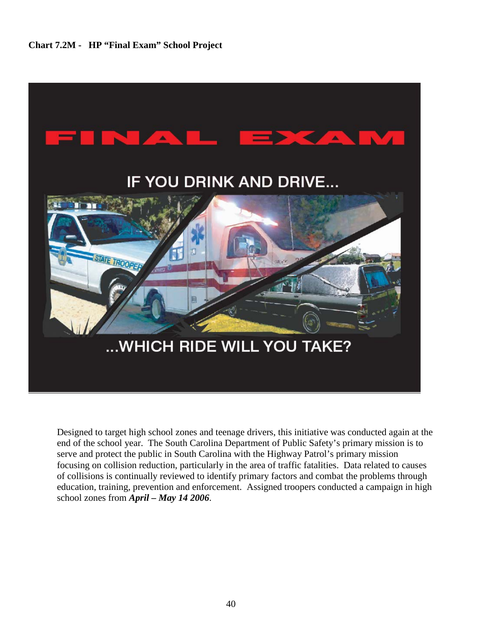

Designed to target high school zones and teenage drivers, this initiative was conducted again at the end of the school year. The South Carolina Department of Public Safety's primary mission is to serve and protect the public in South Carolina with the Highway Patrol's primary mission focusing on collision reduction, particularly in the area of traffic fatalities. Data related to causes of collisions is continually reviewed to identify primary factors and combat the problems through education, training, prevention and enforcement. Assigned troopers conducted a campaign in high school zones from *April – May 14 2006*.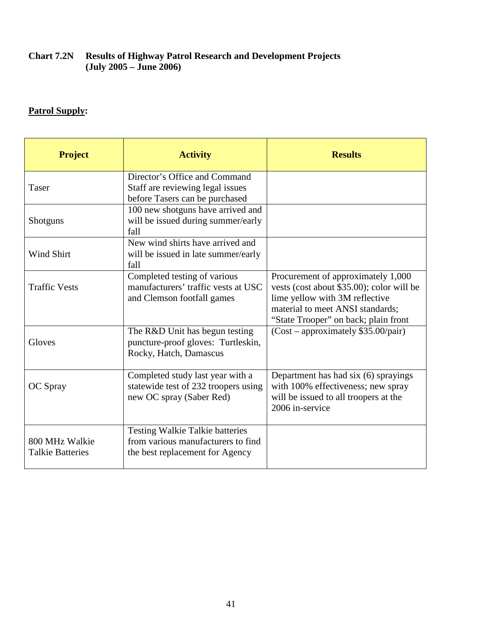#### **Chart 7.2N Results of Highway Patrol Research and Development Projects (July 2005 – June 2006)**

# **Patrol Supply:**

| <b>Project</b>                            | <b>Activity</b>                                                                                                 | <b>Results</b>                                                                                                                                                                                |
|-------------------------------------------|-----------------------------------------------------------------------------------------------------------------|-----------------------------------------------------------------------------------------------------------------------------------------------------------------------------------------------|
| Taser                                     | Director's Office and Command<br>Staff are reviewing legal issues<br>before Tasers can be purchased             |                                                                                                                                                                                               |
| <b>Shotguns</b>                           | 100 new shotguns have arrived and<br>will be issued during summer/early<br>fall                                 |                                                                                                                                                                                               |
| Wind Shirt                                | New wind shirts have arrived and<br>will be issued in late summer/early<br>fall                                 |                                                                                                                                                                                               |
| <b>Traffic Vests</b>                      | Completed testing of various<br>manufacturers' traffic vests at USC<br>and Clemson footfall games               | Procurement of approximately 1,000<br>vests (cost about \$35.00); color will be<br>lime yellow with 3M reflective<br>material to meet ANSI standards;<br>"State Trooper" on back; plain front |
| Gloves                                    | The R&D Unit has begun testing<br>puncture-proof gloves: Turtleskin,<br>Rocky, Hatch, Damascus                  | $(Cost - approximately $35.00/pair)$                                                                                                                                                          |
| OC Spray                                  | Completed study last year with a<br>statewide test of 232 troopers using<br>new OC spray (Saber Red)            | Department has had six (6) sprayings<br>with 100% effectiveness; new spray<br>will be issued to all troopers at the<br>2006 in-service                                                        |
| 800 MHz Walkie<br><b>Talkie Batteries</b> | <b>Testing Walkie Talkie batteries</b><br>from various manufacturers to find<br>the best replacement for Agency |                                                                                                                                                                                               |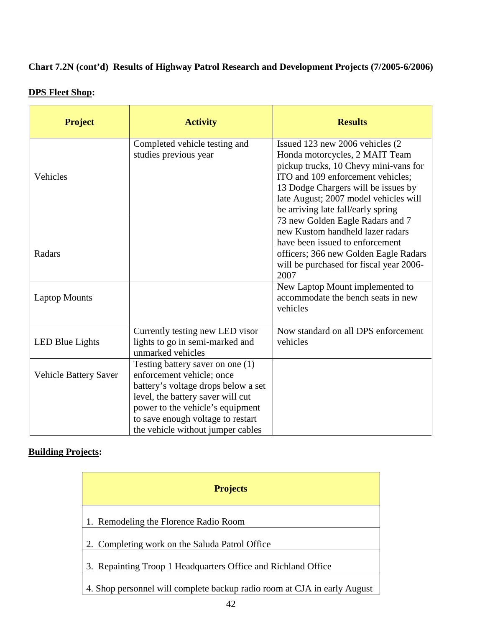# **Chart 7.2N (cont'd) Results of Highway Patrol Research and Development Projects (7/2005-6/2006)**

| <b>Project</b>               | <b>Activity</b>                                                                                                                                                                                                                                         | <b>Results</b>                                                                                                                                                                                                                                                         |
|------------------------------|---------------------------------------------------------------------------------------------------------------------------------------------------------------------------------------------------------------------------------------------------------|------------------------------------------------------------------------------------------------------------------------------------------------------------------------------------------------------------------------------------------------------------------------|
| Vehicles                     | Completed vehicle testing and<br>studies previous year                                                                                                                                                                                                  | Issued 123 new 2006 vehicles (2)<br>Honda motorcycles, 2 MAIT Team<br>pickup trucks, 10 Chevy mini-vans for<br>ITO and 109 enforcement vehicles;<br>13 Dodge Chargers will be issues by<br>late August; 2007 model vehicles will<br>be arriving late fall/early spring |
| Radars                       |                                                                                                                                                                                                                                                         | 73 new Golden Eagle Radars and 7<br>new Kustom handheld lazer radars<br>have been issued to enforcement<br>officers; 366 new Golden Eagle Radars<br>will be purchased for fiscal year 2006-<br>2007                                                                    |
| <b>Laptop Mounts</b>         |                                                                                                                                                                                                                                                         | New Laptop Mount implemented to<br>accommodate the bench seats in new<br>vehicles                                                                                                                                                                                      |
| <b>LED Blue Lights</b>       | Currently testing new LED visor<br>lights to go in semi-marked and<br>unmarked vehicles                                                                                                                                                                 | Now standard on all DPS enforcement<br>vehicles                                                                                                                                                                                                                        |
| <b>Vehicle Battery Saver</b> | Testing battery saver on one (1)<br>enforcement vehicle; once<br>battery's voltage drops below a set<br>level, the battery saver will cut<br>power to the vehicle's equipment<br>to save enough voltage to restart<br>the vehicle without jumper cables |                                                                                                                                                                                                                                                                        |

### **DPS Fleet Shop:**

### **Building Projects:**

| <b>Projects</b>                                                          |
|--------------------------------------------------------------------------|
| 1. Remodeling the Florence Radio Room                                    |
| 2. Completing work on the Saluda Patrol Office                           |
| 3. Repainting Troop 1 Headquarters Office and Richland Office            |
| 4. Shop personnel will complete backup radio room at CJA in early August |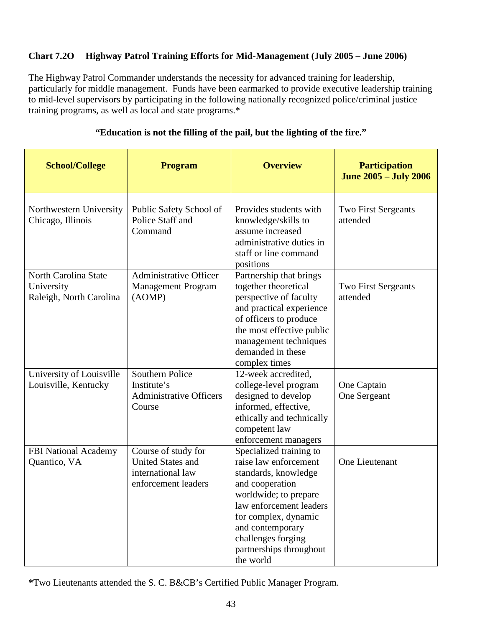### **Chart 7.2O Highway Patrol Training Efforts for Mid-Management (July 2005 – June 2006)**

The Highway Patrol Commander understands the necessity for advanced training for leadership, particularly for middle management. Funds have been earmarked to provide executive leadership training to mid-level supervisors by participating in the following nationally recognized police/criminal justice training programs, as well as local and state programs.\*

| <b>School/College</b>                                         | <b>Program</b>                                                                              | <b>Overview</b>                                                                                                                                                                                                                                           | <b>Participation</b><br><b>June 2005 - July 2006</b> |
|---------------------------------------------------------------|---------------------------------------------------------------------------------------------|-----------------------------------------------------------------------------------------------------------------------------------------------------------------------------------------------------------------------------------------------------------|------------------------------------------------------|
| Northwestern University<br>Chicago, Illinois                  | Public Safety School of<br>Police Staff and<br>Command                                      | Provides students with<br>knowledge/skills to<br>assume increased<br>administrative duties in<br>staff or line command<br>positions                                                                                                                       | <b>Two First Sergeants</b><br>attended               |
| North Carolina State<br>University<br>Raleigh, North Carolina | Administrative Officer<br><b>Management Program</b><br>(AOMP)                               | Partnership that brings<br>together theoretical<br>perspective of faculty<br>and practical experience<br>of officers to produce<br>the most effective public<br>management techniques<br>demanded in these<br>complex times                               | <b>Two First Sergeants</b><br>attended               |
| University of Louisville<br>Louisville, Kentucky              | <b>Southern Police</b><br>Institute's<br><b>Administrative Officers</b><br>Course           | 12-week accredited,<br>college-level program<br>designed to develop<br>informed, effective,<br>ethically and technically<br>competent law<br>enforcement managers                                                                                         | One Captain<br>One Sergeant                          |
| FBI National Academy<br>Quantico, VA                          | Course of study for<br><b>United States and</b><br>international law<br>enforcement leaders | Specialized training to<br>raise law enforcement<br>standards, knowledge<br>and cooperation<br>worldwide; to prepare<br>law enforcement leaders<br>for complex, dynamic<br>and contemporary<br>challenges forging<br>partnerships throughout<br>the world | One Lieutenant                                       |

#### **"Education is not the filling of the pail, but the lighting of the fire."**

**\***Two Lieutenants attended the S. C. B&CB's Certified Public Manager Program.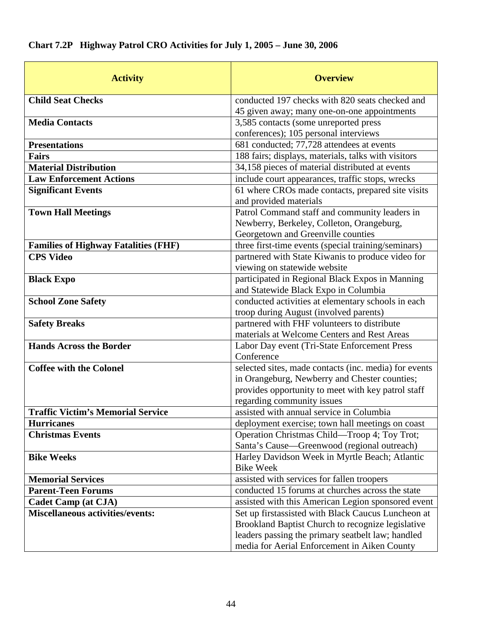|  |  |  |  | Chart 7.2P Highway Patrol CRO Activities for July 1, 2005 - June 30, 2006 |
|--|--|--|--|---------------------------------------------------------------------------|
|--|--|--|--|---------------------------------------------------------------------------|

| <b>Activity</b>                                       | <b>Overview</b>                                       |
|-------------------------------------------------------|-------------------------------------------------------|
| <b>Child Seat Checks</b>                              | conducted 197 checks with 820 seats checked and       |
|                                                       | 45 given away; many one-on-one appointments           |
| <b>Media Contacts</b>                                 | 3,585 contacts (some unreported press                 |
|                                                       | conferences); 105 personal interviews                 |
| <b>Presentations</b>                                  | 681 conducted; 77,728 attendees at events             |
| <b>Fairs</b>                                          | 188 fairs; displays, materials, talks with visitors   |
| <b>Material Distribution</b>                          | 34,158 pieces of material distributed at events       |
| <b>Law Enforcement Actions</b>                        | include court appearances, traffic stops, wrecks      |
| <b>Significant Events</b>                             | 61 where CROs made contacts, prepared site visits     |
|                                                       | and provided materials                                |
| <b>Town Hall Meetings</b>                             | Patrol Command staff and community leaders in         |
|                                                       | Newberry, Berkeley, Colleton, Orangeburg,             |
|                                                       | Georgetown and Greenville counties                    |
| <b>Families of Highway Fatalities (FHF)</b>           | three first-time events (special training/seminars)   |
| <b>CPS Video</b>                                      | partnered with State Kiwanis to produce video for     |
|                                                       | viewing on statewide website                          |
| <b>Black Expo</b>                                     | participated in Regional Black Expos in Manning       |
|                                                       | and Statewide Black Expo in Columbia                  |
| <b>School Zone Safety</b>                             | conducted activities at elementary schools in each    |
|                                                       | troop during August (involved parents)                |
| <b>Safety Breaks</b>                                  | partnered with FHF volunteers to distribute           |
|                                                       | materials at Welcome Centers and Rest Areas           |
| <b>Hands Across the Border</b>                        | Labor Day event (Tri-State Enforcement Press          |
|                                                       | Conference                                            |
| <b>Coffee with the Colonel</b>                        | selected sites, made contacts (inc. media) for events |
|                                                       | in Orangeburg, Newberry and Chester counties;         |
|                                                       | provides opportunity to meet with key patrol staff    |
|                                                       | regarding community issues                            |
| <b>Traffic Victim's Memorial Service</b>              | assisted with annual service in Columbia              |
| <b>Hurricanes</b>                                     | deployment exercise; town hall meetings on coast      |
| <b>Christmas Events</b>                               | Operation Christmas Child—Troop 4; Toy Trot;          |
|                                                       | Santa's Cause-Greenwood (regional outreach)           |
| <b>Bike Weeks</b>                                     | Harley Davidson Week in Myrtle Beach; Atlantic        |
|                                                       | <b>Bike Week</b>                                      |
| <b>Memorial Services</b><br><b>Parent-Teen Forums</b> | assisted with services for fallen troopers            |
|                                                       | conducted 15 forums at churches across the state      |
| <b>Cadet Camp (at CJA)</b>                            | assisted with this American Legion sponsored event    |
| <b>Miscellaneous activities/events:</b>               | Set up firstassisted with Black Caucus Luncheon at    |
|                                                       | Brookland Baptist Church to recognize legislative     |
|                                                       | leaders passing the primary seatbelt law; handled     |
|                                                       | media for Aerial Enforcement in Aiken County          |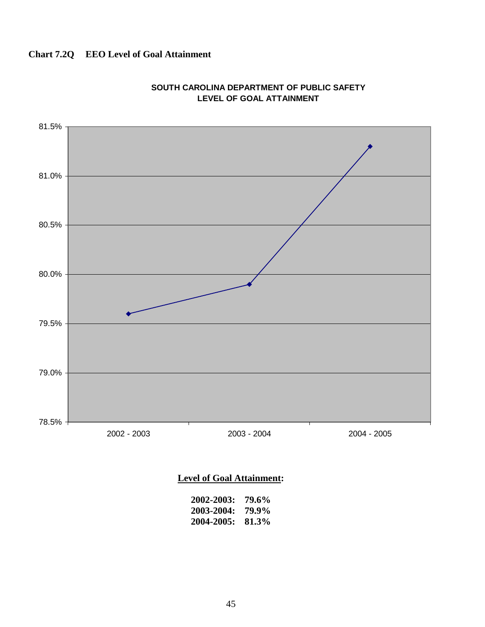## **Chart 7.2Q EEO Level of Goal Attainment**



#### **SOUTH CAROLINA DEPARTMENT OF PUBLIC SAFETY LEVEL OF GOAL ATTAINMENT**

### **Level of Goal Attainment:**

| 2002-2003: | 79.6% |
|------------|-------|
| 2003-2004: | 79.9% |
| 2004-2005: | 81.3% |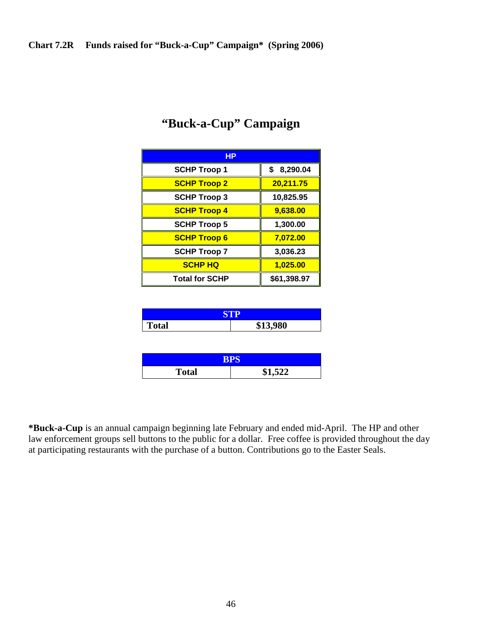| HР                    |             |
|-----------------------|-------------|
| <b>SCHP Troop 1</b>   | \$8,290.04  |
| <b>SCHP Troop 2</b>   | 20,211.75   |
| <b>SCHP Troop 3</b>   | 10,825.95   |
| <b>SCHP Troop 4</b>   | 9,638.00    |
| <b>SCHP Troop 5</b>   | 1,300.00    |
| <b>SCHP Troop 6</b>   | 7,072.00    |
| <b>SCHP Troop 7</b>   | 3,036.23    |
| <b>SCHP HQ</b>        | 1,025.00    |
| <b>Total for SCHP</b> | \$61,398.97 |

# **"Buck-a-Cup" Campaign**

| tal | 2000<br>υ∪ |
|-----|------------|

| 24 D  |                         |  |
|-------|-------------------------|--|
| Total | <b>¢1.522</b><br>كطفوعه |  |

**\*Buck-a-Cup** is an annual campaign beginning late February and ended mid-April. The HP and other law enforcement groups sell buttons to the public for a dollar. Free coffee is provided throughout the day at participating restaurants with the purchase of a button. Contributions go to the Easter Seals.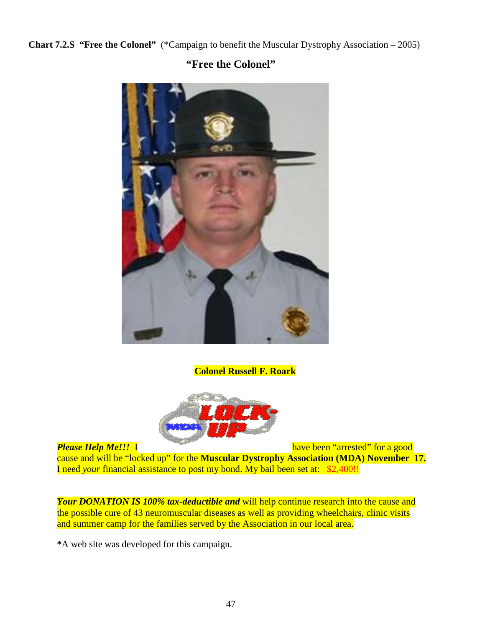**Chart 7.2.S "Free the Colonel"** (\*Campaign to benefit the Muscular Dystrophy Association – 2005)

## **"Free the Colonel"**



**Colonel Russell F. Roark**



*Please Help Me!!!* I have been "arrested" for a good

cause and will be "locked up" for the **Muscular Dystrophy Association (MDA) November 17.** I need *your* financial assistance to post my bond. My bail been set at: \$2,400!!

*Your DONATION IS 100% tax-deductible and* will help continue research into the cause and the possible cure of 43 neuromuscular diseases as well as providing wheelchairs, clinic visits and summer camp for the families served by the Association in our local area.

**\***A web site was developed for this campaign.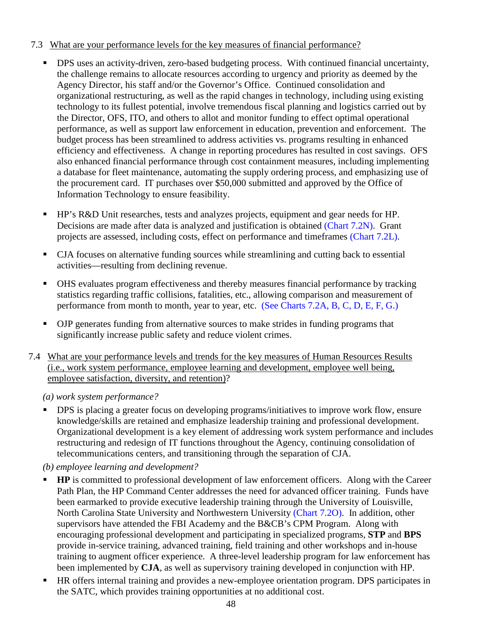#### 7.3 What are your performance levels for the key measures of financial performance?

- **DPS** uses an activity-driven, zero-based budgeting process. With continued financial uncertainty, the challenge remains to allocate resources according to urgency and priority as deemed by the Agency Director, his staff and/or the Governor's Office. Continued consolidation and organizational restructuring, as well as the rapid changes in technology, including using existing technology to its fullest potential, involve tremendous fiscal planning and logistics carried out by the Director, OFS, ITO, and others to allot and monitor funding to effect optimal operational performance, as well as support law enforcement in education, prevention and enforcement. The budget process has been streamlined to address activities vs. programs resulting in enhanced efficiency and effectiveness. A change in reporting procedures has resulted in cost savings. OFS also enhanced financial performance through cost containment measures, including implementing a database for fleet maintenance, automating the supply ordering process, and emphasizing use of the procurement card. IT purchases over \$50,000 submitted and approved by the Office of Information Technology to ensure feasibility.
- HP's R&D Unit researches, tests and analyzes projects, equipment and gear needs for HP. Decisions are made after data is analyzed and justification is obtained (Chart 7.2N). Grant projects are assessed, including costs, effect on performance and timeframes (Chart 7.2L).
- CJA focuses on alternative funding sources while streamlining and cutting back to essential activities—resulting from declining revenue.
- OHS evaluates program effectiveness and thereby measures financial performance by tracking statistics regarding traffic collisions, fatalities, etc., allowing comparison and measurement of performance from month to month, year to year, etc. (See Charts 7.2A, B, C, D, E, F, G.)
- OJP generates funding from alternative sources to make strides in funding programs that significantly increase public safety and reduce violent crimes.
- 7.4 What are your performance levels and trends for the key measures of Human Resources Results (i.e., work system performance, employee learning and development, employee well being, employee satisfaction, diversity, and retention)?

*(a) work system performance?* 

 DPS is placing a greater focus on developing programs/initiatives to improve work flow, ensure knowledge/skills are retained and emphasize leadership training and professional development. Organizational development is a key element of addressing work system performance and includes restructuring and redesign of IT functions throughout the Agency, continuing consolidation of telecommunications centers, and transitioning through the separation of CJA.

*(b) employee learning and development?* 

- **HP** is committed to professional development of law enforcement officers. Along with the Career Path Plan, the HP Command Center addresses the need for advanced officer training. Funds have been earmarked to provide executive leadership training through the University of Louisville, North Carolina State University and Northwestern University (Chart 7.2O). In addition, other supervisors have attended the FBI Academy and the B&CB's CPM Program. Along with encouraging professional development and participating in specialized programs, **STP** and **BPS** provide in-service training, advanced training, field training and other workshops and in-house training to augment officer experience. A three-level leadership program for law enforcement has been implemented by **CJA**, as well as supervisory training developed in conjunction with HP.
- HR offers internal training and provides a new-employee orientation program. DPS participates in the SATC, which provides training opportunities at no additional cost.